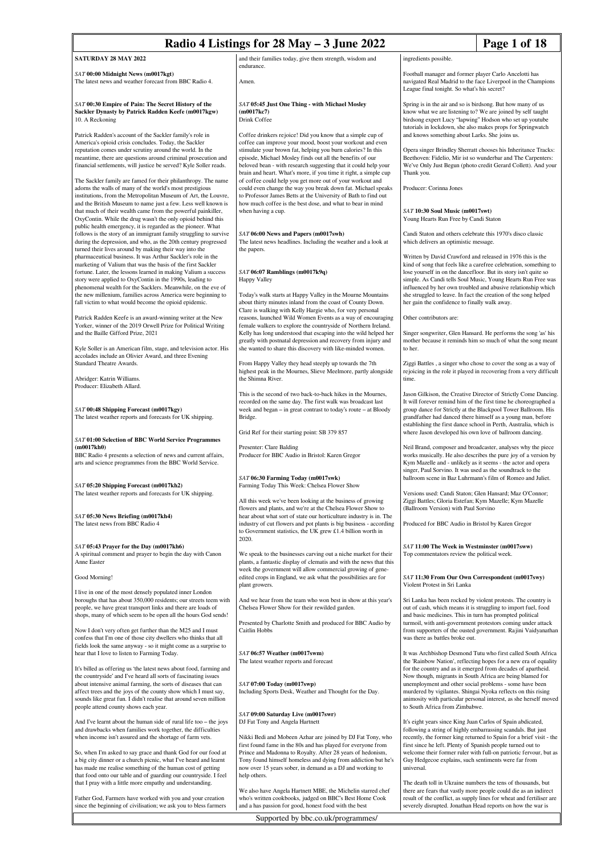| Radio 4 Listings for 28 May - 3 June 2022<br>Page 1 of 18                                                                                                                                                                                                                                                                                                                          |                                                                                                                                                                                                                                                                                                                                                                                             |                                                                                                                                                                                                                                                       |                                                                                                                                                                                                                                                                      |
|------------------------------------------------------------------------------------------------------------------------------------------------------------------------------------------------------------------------------------------------------------------------------------------------------------------------------------------------------------------------------------|---------------------------------------------------------------------------------------------------------------------------------------------------------------------------------------------------------------------------------------------------------------------------------------------------------------------------------------------------------------------------------------------|-------------------------------------------------------------------------------------------------------------------------------------------------------------------------------------------------------------------------------------------------------|----------------------------------------------------------------------------------------------------------------------------------------------------------------------------------------------------------------------------------------------------------------------|
| SATURDAY 28 MAY 2022                                                                                                                                                                                                                                                                                                                                                               | and their families today, give them strength, wisdom and                                                                                                                                                                                                                                                                                                                                    | ingredients possible.                                                                                                                                                                                                                                 |                                                                                                                                                                                                                                                                      |
| SAT 00:00 Midnight News (m0017kgt)<br>The latest news and weather forecast from BBC Radio 4.                                                                                                                                                                                                                                                                                       | endurance.<br>Amen.                                                                                                                                                                                                                                                                                                                                                                         | Football manager and former player Carlo Ancelotti has<br>League final tonight. So what's his secret?                                                                                                                                                 | navigated Real Madrid to the face Liverpool in the Champions                                                                                                                                                                                                         |
| SAT 00:30 Empire of Pain: The Secret History of the<br>Sackler Dynasty by Patrick Radden Keefe (m0017kgw)<br>10. A Reckoning                                                                                                                                                                                                                                                       | SAT 05:45 Just One Thing - with Michael Mosley<br>(m0017kc7)<br>Drink Coffee                                                                                                                                                                                                                                                                                                                | Spring is in the air and so is birdsong. But how many of us<br>know what we are listening to? We are joined by self taught<br>birdsong expert Lucy "lapwing" Hodson who set up youtube<br>tutorials in lockdown, she also makes props for Springwatch |                                                                                                                                                                                                                                                                      |
| Patrick Radden's account of the Sackler family's role in<br>America's opioid crisis concludes. Today, the Sackler<br>reputation comes under scrutiny around the world. In the<br>meantime, there are questions around criminal prosecution and<br>financial settlements, will justice be served? Kyle Soller reads.                                                                | Coffee drinkers rejoice! Did you know that a simple cup of<br>coffee can improve your mood, boost your workout and even<br>stimulate your brown fat, helping you burn calories? In this<br>episode, Michael Mosley finds out all the benefits of our<br>beloved bean - with research suggesting that it could help your<br>brain and heart. What's more, if you time it right, a simple cup | and knows something about Larks. She joins us.<br>Thank you.                                                                                                                                                                                          | Opera singer Brindley Sherratt chooses his Inheritance Tracks:<br>Beethoven: Fidelio, Mir ist so wunderbar and The Carpenters:<br>We've Only Just Begun (photo credit Gerard Collett). And your                                                                      |
| The Sackler family are famed for their philanthropy. The name<br>adorns the walls of many of the world's most prestigious<br>institutions, from the Metropolitan Museum of Art, the Louvre,                                                                                                                                                                                        | of coffee could help you get more out of your workout and<br>could even change the way you break down fat. Michael speaks<br>to Professor James Betts at the University of Bath to find out                                                                                                                                                                                                 | Producer: Corinna Jones                                                                                                                                                                                                                               |                                                                                                                                                                                                                                                                      |
| and the British Museum to name just a few. Less well known is<br>that much of their wealth came from the powerful painkiller,<br>OxyContin. While the drug wasn't the only opioid behind this<br>public health emergency, it is regarded as the pioneer. What                                                                                                                      | how much coffee is the best dose, and what to bear in mind<br>when having a cup.                                                                                                                                                                                                                                                                                                            | SAT 10:30 Soul Music (m0017swt)<br>Young Hearts Run Free by Candi Staton                                                                                                                                                                              |                                                                                                                                                                                                                                                                      |
| follows is the story of an immigrant family struggling to survive<br>during the depression, and who, as the 20th century progressed<br>turned their lives around by making their way into the<br>pharmaceutical business. It was Arthur Sackler's role in the                                                                                                                      | SAT 06:00 News and Papers (m0017swh)<br>The latest news headlines. Including the weather and a look at<br>the papers.                                                                                                                                                                                                                                                                       | Candi Staton and others celebrate this 1970's disco classic<br>which delivers an optimistic message.<br>Written by David Crawford and released in 1976 this is the                                                                                    |                                                                                                                                                                                                                                                                      |
| marketing of Valium that was the basis of the first Sackler<br>fortune. Later, the lessons learned in making Valium a success<br>story were applied to OxyContin in the 1990s, leading to<br>phenomenal wealth for the Sacklers. Meanwhile, on the eve of<br>the new millenium, families across America were beginning to<br>fall victim to what would become the opioid epidemic. | $SAT$ 06:07 Ramblings (m0017k9q)<br><b>Happy Valley</b><br>Today's walk starts at Happy Valley in the Mourne Mountains<br>about thirty minutes inland from the coast of County Down.                                                                                                                                                                                                        | lose yourself in on the dancefloor. But its story isn't quite so<br>she struggled to leave. In fact the creation of the song helped<br>her gain the confidence to finally walk away.                                                                  | kind of song that feels like a carefree celebration, something to<br>simple. As Candi tells Soul Music, Young Hearts Run Free was<br>influenced by her own troubled and abusive relationship which                                                                   |
| Patrick Radden Keefe is an award-winning writer at the New<br>Yorker, winner of the 2019 Orwell Prize for Political Writing<br>and the Baille Gifford Prize, 2021                                                                                                                                                                                                                  | Clare is walking with Kelly Hargie who, for very personal<br>reasons, launched Wild Women Events as a way of encouraging<br>female walkers to explore the countryside of Northern Ireland.<br>Kelly has long understood that escaping into the wild helped her<br>greatly with postnatal depression and recovery from injury and                                                            | Other contributors are:                                                                                                                                                                                                                               | Singer songwriter, Glen Hansard. He performs the song 'as' his<br>mother because it reminds him so much of what the song meant                                                                                                                                       |
| Kyle Soller is an American film, stage, and television actor. His<br>accolades include an Olivier Award, and three Evening<br>Standard Theatre Awards.                                                                                                                                                                                                                             | she wanted to share this discovery with like-minded women.<br>From Happy Valley they head steeply up towards the 7th<br>highest peak in the Mournes, Slieve Meelmore, partly alongside                                                                                                                                                                                                      | to her.                                                                                                                                                                                                                                               | Ziggi Battles, a singer who chose to cover the song as a way of<br>rejoicing in the role it played in recovering from a very difficult                                                                                                                               |
| Abridger: Katrin Williams.<br>Producer: Elizabeth Allard.                                                                                                                                                                                                                                                                                                                          | the Shimna River.<br>This is the second of two back-to-back hikes in the Mournes,                                                                                                                                                                                                                                                                                                           | time.                                                                                                                                                                                                                                                 | Jason Gilkison, the Creative Director of Strictly Come Dancing.                                                                                                                                                                                                      |
| SAT 00:48 Shipping Forecast (m0017kgy)<br>The latest weather reports and forecasts for UK shipping.                                                                                                                                                                                                                                                                                | recorded on the same day. The first walk was broadcast last<br>week and began – in great contrast to today's route – at Bloody<br>Bridge.                                                                                                                                                                                                                                                   |                                                                                                                                                                                                                                                       | It will forever remind him of the first time he choreographed a<br>group dance for Strictly at the Blackpool Tower Ballroom. His<br>grandfather had danced there himself as a young man, before<br>establishing the first dance school in Perth, Australia, which is |
| SAT 01:00 Selection of BBC World Service Programmes<br>(m0017kh0)<br>BBC Radio 4 presents a selection of news and current affairs,<br>arts and science programmes from the BBC World Service.                                                                                                                                                                                      | Grid Ref for their starting point: SB 379 857<br>Presenter: Clare Balding<br>Producer for BBC Audio in Bristol: Karen Gregor                                                                                                                                                                                                                                                                | where Jason developed his own love of ballroom dancing.<br>Kym Mazelle and - unlikely as it seems - the actor and opera                                                                                                                               | Neil Brand, composer and broadcaster, analyses why the piece<br>works musically. He also describes the pure joy of a version by                                                                                                                                      |
| SAT 05:20 Shipping Forecast (m0017kh2)<br>The latest weather reports and forecasts for UK shipping.                                                                                                                                                                                                                                                                                | SAT 06:30 Farming Today (m0017swk)<br>Farming Today This Week: Chelsea Flower Show                                                                                                                                                                                                                                                                                                          | singer, Paul Sorvino. It was used as the soundtrack to the<br>ballroom scene in Baz Luhrmann's film of Romeo and Juliet.<br>Versions used: Candi Staton; Glen Hansard; Maz O'Connor;                                                                  |                                                                                                                                                                                                                                                                      |
| SAT 05:30 News Briefing (m0017kh4)<br>The latest news from BBC Radio 4                                                                                                                                                                                                                                                                                                             | All this week we've been looking at the business of growing<br>flowers and plants, and we're at the Chelsea Flower Show to<br>hear about what sort of state our horticulture industry is in. The<br>industry of cut flowers and pot plants is big business - according                                                                                                                      | Ziggi Battles; Gloria Estefan; Kym Mazelle; Kym Mazelle<br>(Ballroom Version) with Paul Sorvino<br>Produced for BBC Audio in Bristol by Karen Gregor                                                                                                  |                                                                                                                                                                                                                                                                      |
| SAT 05:43 Prayer for the Day (m0017kh6)<br>A spiritual comment and prayer to begin the day with Canon                                                                                                                                                                                                                                                                              | to Government statistics, the UK grew £1.4 billion worth in<br>2020.<br>We speak to the businesses carving out a niche market for their                                                                                                                                                                                                                                                     | SAT 11:00 The Week in Westminster (m0017sww)<br>Top commentators review the political week.                                                                                                                                                           |                                                                                                                                                                                                                                                                      |
| Anne Easter<br>Good Morning!                                                                                                                                                                                                                                                                                                                                                       | plants, a fantastic display of clematis and with the news that this<br>week the government will allow commercial growing of gene-<br>edited crops in England, we ask what the possibilities are for                                                                                                                                                                                         | SAT 11:30 From Our Own Correspondent (m0017swy)                                                                                                                                                                                                       |                                                                                                                                                                                                                                                                      |
| I live in one of the most densely populated inner London<br>boroughs that has about 350,000 residents; our streets teem with<br>people, we have great transport links and there are loads of                                                                                                                                                                                       | plant growers.<br>And we hear from the team who won best in show at this year's<br>Chelsea Flower Show for their rewilded garden.                                                                                                                                                                                                                                                           | Violent Protest in Sri Lanka<br>Sri Lanka has been rocked by violent protests. The country is<br>out of cash, which means it is struggling to import fuel, food                                                                                       |                                                                                                                                                                                                                                                                      |
| shops, many of which seem to be open all the hours God sends!<br>Now I don't very often get further than the M25 and I must<br>confess that I'm one of those city dwellers who thinks that all<br>fields look the same anyway - so it might come as a surprise to                                                                                                                  | Presented by Charlotte Smith and produced for BBC Audio by<br>Caitlin Hobbs                                                                                                                                                                                                                                                                                                                 | and basic medicines. This in turn has prompted political<br>was there as battles broke out.                                                                                                                                                           | turmoil, with anti-government protestors coming under attack<br>from supporters of the ousted government. Rajini Vaidyanathan                                                                                                                                        |
| hear that I love to listen to Farming Today.<br>It's billed as offering us 'the latest news about food, farming and                                                                                                                                                                                                                                                                | SAT 06:57 Weather (m0017swm)<br>The latest weather reports and forecast                                                                                                                                                                                                                                                                                                                     | for the country and as it emerged from decades of apartheid.                                                                                                                                                                                          | It was Archbishop Desmond Tutu who first called South Africa<br>the 'Rainbow Nation', reflecting hopes for a new era of equality                                                                                                                                     |
| the countryside' and I've heard all sorts of fascinating issues<br>about intensive animal farming, the sorts of diseases that can<br>affect trees and the joys of the county show which I must say,<br>sounds like great fun. I didn't realise that around seven million<br>people attend county shows each year.                                                                  | $SAT$ 07:00 Today (m0017swp)<br>Including Sports Desk, Weather and Thought for the Day.<br>SAT 09:00 Saturday Live (m0017swr)                                                                                                                                                                                                                                                               | Now though, migrants in South Africa are being blamed for<br>unemployment and other social problems - some have been<br>murdered by vigilantes. Shingai Nyoka reflects on this rising<br>to South Africa from Zimbabwe.                               | animosity with particular personal interest, as she herself moved                                                                                                                                                                                                    |
| And I've learnt about the human side of rural life too – the joys<br>and drawbacks when families work together, the difficulties<br>when income isn't assured and the shortage of farm vets.                                                                                                                                                                                       | DJ Fat Tony and Angela Hartnett<br>Nikki Bedi and Mobeen Azhar are joined by DJ Fat Tony, who<br>first found fame in the 80s and has played for everyone from                                                                                                                                                                                                                               | It's eight years since King Juan Carlos of Spain abdicated,<br>following a string of highly embarrassing scandals. But just<br>first since he left. Plenty of Spanish people turned out to                                                            | recently, the former king returned to Spain for a brief visit - the                                                                                                                                                                                                  |
| So, when I'm asked to say grace and thank God for our food at<br>a big city dinner or a church picnic, what I've heard and learnt<br>has made me realise something of the human cost of getting<br>that food onto our table and of guarding our countryside. I feel<br>that I pray with a little more empathy and understanding.                                                   | Prince and Madonna to Royalty. After 28 years of hedonism,<br>Tony found himself homeless and dying from addiction but he's<br>now over 15 years sober, in demand as a DJ and working to<br>help others.                                                                                                                                                                                    | Guy Hedgecoe explains, such sentiments were far from<br>universal.<br>The death toll in Ukraine numbers the tens of thousands, but                                                                                                                    | welcome their former ruler with full-on patriotic fervour, but as                                                                                                                                                                                                    |
| Father God, Farmers have worked with you and your creation<br>since the beginning of civilisation; we ask you to bless farmers                                                                                                                                                                                                                                                     | We also have Angela Hartnett MBE, the Michelin starred chef<br>who's written cookbooks, judged on BBC's Best Home Cook<br>and a has passion for good, honest food with the best                                                                                                                                                                                                             | severely disrupted. Jonathan Head reports on how the war is                                                                                                                                                                                           | there are fears that vastly more people could die as an indirect<br>result of the conflict, as supply lines for wheat and fertiliser are                                                                                                                             |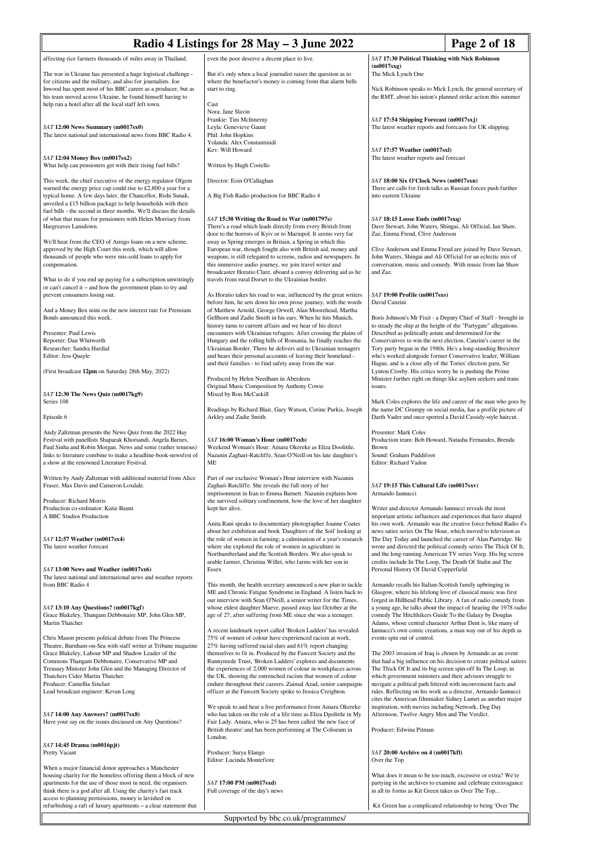| Radio 4 Listings for 28 May - 3 June 2022                                                                                        |                                                                                                                                      |                                                                                                                                 | Page 2 of 18                                                                                                                    |
|----------------------------------------------------------------------------------------------------------------------------------|--------------------------------------------------------------------------------------------------------------------------------------|---------------------------------------------------------------------------------------------------------------------------------|---------------------------------------------------------------------------------------------------------------------------------|
| affecting rice farmers thousands of miles away in Thailand.                                                                      | even the poor deserve a decent place to live.                                                                                        | SAT 17:30 Political Thinking with Nick Robinson                                                                                 |                                                                                                                                 |
| The war in Ukraine has presented a huge logistical challenge -                                                                   | But it's only when a local journalist raises the question as to                                                                      | $(m0017s\text{xg})$<br>The Mick Lynch One                                                                                       |                                                                                                                                 |
| for citizens and the military, and also for journalists. Joe                                                                     | where the benefactor's money is coming from that alarm bells                                                                         |                                                                                                                                 |                                                                                                                                 |
| Inwood has spent most of his BBC career as a producer, but as<br>his team moved across Ukraine, he found himself having to       | start to ring.                                                                                                                       | the RMT, about his union's planned strike action this summer                                                                    | Nick Robinson speaks to Mick Lynch, the general secretary of                                                                    |
| help run a hotel after all the local staff left town.                                                                            | Cast                                                                                                                                 |                                                                                                                                 |                                                                                                                                 |
|                                                                                                                                  | Nora: Jane Slavin                                                                                                                    |                                                                                                                                 |                                                                                                                                 |
| SAT 12:00 News Summary (m0017sx0)                                                                                                | Frankie: Tim McInnerny<br>Leyla: Genevieve Gaunt                                                                                     | SAT 17:54 Shipping Forecast (m0017sxj)<br>The latest weather reports and forecasts for UK shipping.                             |                                                                                                                                 |
| The latest national and international news from BBC Radio 4.                                                                     | Phil: John Hopkins                                                                                                                   |                                                                                                                                 |                                                                                                                                 |
|                                                                                                                                  | Yolanda: Alex Constantinidi<br>Kev: Will Howard                                                                                      | SAT 17:57 Weather (m0017sxl)                                                                                                    |                                                                                                                                 |
| SAT 12:04 Money Box (m0017sx2)                                                                                                   |                                                                                                                                      | The latest weather reports and forecast                                                                                         |                                                                                                                                 |
| What help can pensioners get with their rising fuel bills?                                                                       | Written by Hugh Costello                                                                                                             |                                                                                                                                 |                                                                                                                                 |
| This week, the chief executive of the energy regulator Ofgem                                                                     | Director: Eoin O'Callaghan                                                                                                           | SAT 18:00 Six O'Clock News (m0017sxn)                                                                                           |                                                                                                                                 |
| warned the energy price cap could rise to £2,800 a year for a<br>typical home. A few days later, the Chancellor, Rishi Sunak,    | A Big Fish Radio production for BBC Radio 4                                                                                          | There are calls for fresh talks as Russian forces push further<br>into eastern Ukraine                                          |                                                                                                                                 |
| unveiled a £15 billion package to help households with their                                                                     |                                                                                                                                      |                                                                                                                                 |                                                                                                                                 |
| fuel bills - the second in three months. We'll discuss the details<br>of what that means for pensioners with Helen Morrisey from | SAT 15:30 Writing the Road to War (m001797s)                                                                                         | SAT 18:15 Loose Ends (m0017sxq)                                                                                                 |                                                                                                                                 |
| Hargreaves Lansdown.                                                                                                             | There's a road which leads directly from every British front                                                                         | Dave Stewart, John Waters, Shingai, Ali Official, Ian Shaw,                                                                     |                                                                                                                                 |
| We'll hear from the CEO of Amigo loans on a new scheme,                                                                          | door to the horrors of Kyiv or to Mariupol. It seems very far<br>away as Spring emerges in Britain, a Spring in which this           | Zaz, Emma Freud, Clive Anderson                                                                                                 |                                                                                                                                 |
| approved by the High Court this week, which will allow                                                                           | European war, though fought also with British aid, money and                                                                         | Clive Anderson and Emma Freud are joined by Dave Stewart,                                                                       |                                                                                                                                 |
| thousands of people who were mis-sold loans to apply for                                                                         | weapons, is still relegated to screens, radios and newspapers. In                                                                    | John Waters, Shingai and Ali Official for an eclectic mix of                                                                    |                                                                                                                                 |
| compensation.                                                                                                                    | this immersive audio journey, we join travel writer and<br>broadcaster Horatio Clare, aboard a convoy delivering aid as he           | conversation, music and comedy. With music from Ian Shaw<br>and Zaz.                                                            |                                                                                                                                 |
| What to do if you end up paying for a subscription unwittingly                                                                   | travels from rural Dorset to the Ukrainian border.                                                                                   |                                                                                                                                 |                                                                                                                                 |
| or can't cancel it – and how the government plans to try and<br>prevent consumers losing out.                                    | As Horatio takes his road to war, influenced by the great writers                                                                    | SAT 19:00 Profile (m0017sxs)                                                                                                    |                                                                                                                                 |
|                                                                                                                                  | before him, he sets down his own prose journey, with the words                                                                       | David Canzini                                                                                                                   |                                                                                                                                 |
| And a Money Box mini on the new interest rate for Premium<br>Bonds announced this week.                                          | of Matthew Arnold, George Orwell, Alan Moorehead, Martha<br>Gellhorn and Zadie Smith in his ears. When he hits Munich,               |                                                                                                                                 | Boris Johnson's Mr Fixit - a Deputy Chief of Staff - brought in                                                                 |
|                                                                                                                                  | history turns to current affairs and we hear of his direct                                                                           | to steady the ship at the height of the "Partygate" allegations.                                                                |                                                                                                                                 |
| Presenter: Paul Lewis<br>Reporter: Dan Whitworth                                                                                 | encounters with Ukrainian refugees. After crossing the plains of<br>Hungary and the rolling hills of Romania, he finally reaches the | Described as politically astute and determined for the<br>Conservatives to win the next election, Canzini's career in the       |                                                                                                                                 |
| Researcher: Sandra Hardial                                                                                                       | Ukrainian Border. There he delivers aid to Ukrainian teenagers                                                                       | Tory party began in the 1980s. He's a long-standing Brexiteer                                                                   |                                                                                                                                 |
| Editor: Jess Quayle                                                                                                              | and hears their personal accounts of leaving their homeland -<br>and their families - to find safety away from the war.              | who's worked alongside former Conservative leader, William<br>Hague, and is a close ally of the Tories' election guru, Sir      |                                                                                                                                 |
| (First broadcast 12pm on Saturday 28th May, 2022)                                                                                |                                                                                                                                      | Lynton Crosby. His critics worry he is pushing the Prime                                                                        |                                                                                                                                 |
|                                                                                                                                  | Produced by Helen Needham in Aberdeen<br>Original Music Composition by Anthony Cowie                                                 | Minister further right on things like asylum seekers and trans<br>issues.                                                       |                                                                                                                                 |
| SAT 12:30 The News Quiz (m0017kg9)                                                                                               | Mixed by Ron McCaskill                                                                                                               |                                                                                                                                 |                                                                                                                                 |
| Series 108                                                                                                                       | Readings by Richard Blair, Gary Watson, Corine Purkis, Joseph                                                                        |                                                                                                                                 | Mark Coles explores the life and career of the man who goes by<br>the name DC Grumpy on social media, has a profile picture of  |
| Episode 6                                                                                                                        | Arkley and Zadie Smith.                                                                                                              | Darth Vader and once sported a David Cassidy-style haircut.                                                                     |                                                                                                                                 |
| Andy Zaltzman presents the News Quiz from the 2022 Hay                                                                           |                                                                                                                                      | Presenter: Mark Coles                                                                                                           |                                                                                                                                 |
| Festival with panellists Shaparak Khorsandi, Angela Barnes,                                                                      | SAT 16:00 Woman's Hour (m0017sxb)                                                                                                    | Production team: Bob Howard, Natasha Fernandes, Brenda                                                                          |                                                                                                                                 |
| Paul Sinha and Robin Morgan. News and some (rather tenuous)<br>links to literature combine to make a headline-book-newsfest of   | Weekend Woman's Hour: Amara Okereke as Eliza Doolittle,<br>Nazanin Zaghari-Ratcliffe, Sean O'Neill on his late daughter's            | <b>Brown</b><br>Sound: Graham Puddifoot                                                                                         |                                                                                                                                 |
| a show at the renowned Literature Festival.                                                                                      | ME                                                                                                                                   | Editor: Richard Vadon                                                                                                           |                                                                                                                                 |
| Written by Andy Zaltzman with additional material from Alice                                                                     | Part of our exclusive Woman's Hour interview with Nazanin                                                                            |                                                                                                                                 |                                                                                                                                 |
| Fraser, Max Davis and Cameron Loxdale.                                                                                           | Zaghari-Ratcliffe. She reveals the full story of her                                                                                 | SAT 19:15 This Cultural Life (m0017sxv)                                                                                         |                                                                                                                                 |
| Producer: Richard Morris                                                                                                         | imprisonment in Iran to Emma Barnett. Nazanin explains how<br>she survived solitary confinement, how the love of her daughter        | Armando Iannucci                                                                                                                |                                                                                                                                 |
| Production co-ordinator: Katie Baum                                                                                              | kept her alive.                                                                                                                      | Writer and director Armando Iannucci reveals the most                                                                           |                                                                                                                                 |
| A BBC Studios Production                                                                                                         | Anita Rani speaks to documentary photographer Joanne Coates                                                                          | important artistic influences and experiences that have shaped                                                                  | his own work. Armando was the creative force behind Radio 4's                                                                   |
|                                                                                                                                  | about her exhibition and book 'Daughters of the Soil' looking at                                                                     | news satire series On The Hour, which moved to television as                                                                    |                                                                                                                                 |
| SAT 12:57 Weather (m0017sx4)<br>The latest weather forecast                                                                      | the role of women in farming; a culmination of a year's research<br>where she explored the role of women in agriculture in           |                                                                                                                                 | The Day Today and launched the career of Alan Partridge. He                                                                     |
|                                                                                                                                  | Northumberland and the Scottish Borders. We also speak to                                                                            |                                                                                                                                 | wrote and directed the political comedy series The Thick Of It,<br>and the long-running American TV series Veep. His big screen |
| SAT 13:00 News and Weather (m0017sx6)                                                                                            | arable farmer, Christina Willet, who farms with her son in<br>Essex.                                                                 | credits include In The Loop, The Death Of Stalin and The<br>Personal History Of David Copperfield.                              |                                                                                                                                 |
| The latest national and international news and weather reports                                                                   |                                                                                                                                      |                                                                                                                                 |                                                                                                                                 |
| from BBC Radio 4                                                                                                                 | This month, the health secretary announced a new plan to tackle<br>ME and Chronic Fatigue Syndrome in England. A listen back to      | Armando recalls his Italian-Scottish family upbringing in<br>Glasgow, where his lifelong love of classical music was first      |                                                                                                                                 |
|                                                                                                                                  | our interview with Sean O'Neill, a senior writer for the Times,                                                                      |                                                                                                                                 | forged in Hillhead Public Library. A fan of radio comedy from                                                                   |
| SAT 13:10 Any Questions? (m0017kgf)<br>Grace Blakeley, Thangam Debbonaire MP, John Glen MP,                                      | whose eldest daughter Maeve, passed away last October at the<br>age of 27, after suffering from ME since she was a teenager.         | comedy The Hitchhikers Guide To the Galaxy by Douglas                                                                           | a young age, he talks about the impact of hearing the 1978 radio                                                                |
| Martin Thatcher                                                                                                                  |                                                                                                                                      | Adams, whose central character Arthur Dent is, like many of                                                                     |                                                                                                                                 |
| Chris Mason presents political debate from The Princess                                                                          | A recent landmark report called 'Broken Ladders' has revealed<br>75% of women of colour have experienced racism at work,             | events spin out of control.                                                                                                     | Iannucci's own comic creations, a man way out of his depth as                                                                   |
| Theatre, Burnham-on-Sea with staff writer at Tribune magazine                                                                    | 27% having suffered racial slurs and 61% report changing                                                                             |                                                                                                                                 |                                                                                                                                 |
| Grace Blakeley, Labour MP and Shadow Leader of the<br>Commons Thangam Debbonaire, Conservative MP and                            | themselves to fit in. Produced by the Fawcett Society and the<br>Runnymede Trust, 'Broken Ladders' explores and documents            | The 2003 invasion of Iraq is chosen by Armando as an event                                                                      | that had a big influence on his decision to create political satires                                                            |
| Treasury Minister John Glen and the Managing Director of                                                                         | the experiences of 2,000 women of colour in workplaces across                                                                        | The Thick Of It and its big screen spin-off In The Loop, in                                                                     |                                                                                                                                 |
| Thatchers Cider Martin Thatcher.                                                                                                 | the UK, showing the entrenched racism that women of colour                                                                           | which government ministers and their advisors struggle to                                                                       |                                                                                                                                 |
| Producer: Camellia Sinclair<br>Lead broadcast engineer: Kevan Long                                                               | endure throughout their careers. Zaimal Azad, senior campaigns<br>officer at the Fawcett Society spoke to Jessica Creighton.         | navigate a political path littered with inconvenient facts and<br>rules. Reflecting on his work as a director, Armando Iannucci |                                                                                                                                 |
|                                                                                                                                  | We speak to and hear a live performance from Amara Okereke                                                                           | inspiration, with movies including Network, Dog Day                                                                             | cites the American filmmaker Sidney Lumet as another major                                                                      |
| SAT 14:00 Any Answers? (m0017sx8)                                                                                                | who has taken on the role of a life time as Eliza Dpolittle in My                                                                    | Afternoon, Twelve Angry Men and The Verdict.                                                                                    |                                                                                                                                 |
| Have your say on the issues discussed on Any Questions?                                                                          | Fair Lady. Amara, who is 25 has been called 'the new face of                                                                         | Producer: Edwina Pitman                                                                                                         |                                                                                                                                 |
|                                                                                                                                  | British theatre' and has been performing at The Coliseum in<br>London.                                                               |                                                                                                                                 |                                                                                                                                 |
| SAT 14:45 Drama (m0016pjt)                                                                                                       |                                                                                                                                      |                                                                                                                                 |                                                                                                                                 |
| Pretty Vacant                                                                                                                    | Producer: Surya Elango<br>Editor: Lucinda Montefiore                                                                                 | SAT 20:00 Archive on 4 (m0017kfl)<br>Over the Top                                                                               |                                                                                                                                 |
| When a major financial donor approaches a Manchester<br>housing charity for the homeless offering them a block of new            |                                                                                                                                      | What does it mean to be too much, excessive or extra? We're                                                                     |                                                                                                                                 |
| apartments for the use of those most in need, the organisers                                                                     | SAT 17:00 PM (m0017sxd)                                                                                                              |                                                                                                                                 | partying in the archives to examine and celebrate extravagance                                                                  |
| think there is a god after all. Using the charity's fast track<br>access to planning permissions, money is lavished on           | Full coverage of the day's news                                                                                                      | in all its forms as Kit Green takes us Over The Top                                                                             |                                                                                                                                 |
| refurbishing a raft of luxury apartments - a clear statement that                                                                |                                                                                                                                      | Kit Green has a complicated relationship to being 'Over The                                                                     |                                                                                                                                 |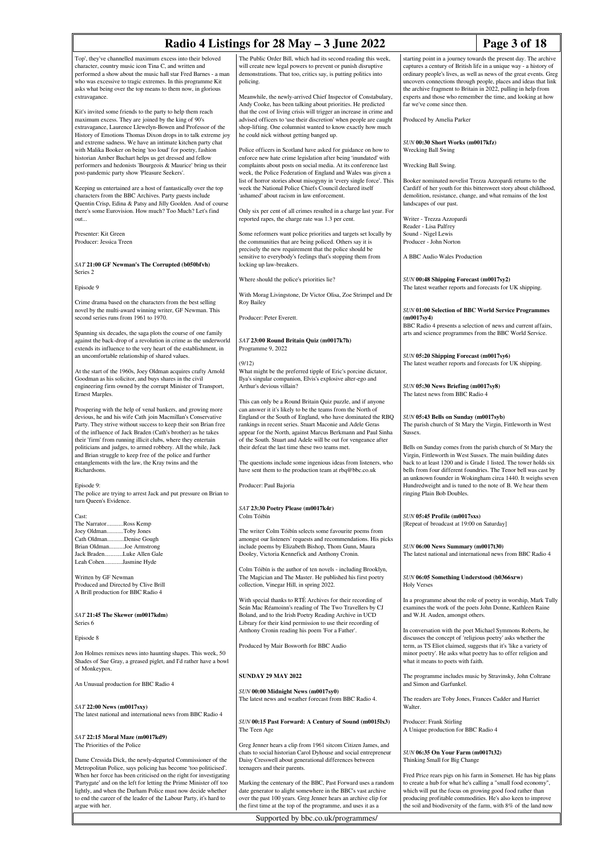# **Radio 4 Listings for 28 May – 3 June 2022 Page 3 of 18**

| Radio 4 Listings for 28 May - 3 June 2022<br>Page 3 of 18                                                                                                                                                                                                                                                                                                                                       |                                                                                                                                                                                                                                                                                                                                                                                                                                             |                                                                                                                                                                                                                                                             |                                                                                                                                                                                                                                                                                                                                               |  |
|-------------------------------------------------------------------------------------------------------------------------------------------------------------------------------------------------------------------------------------------------------------------------------------------------------------------------------------------------------------------------------------------------|---------------------------------------------------------------------------------------------------------------------------------------------------------------------------------------------------------------------------------------------------------------------------------------------------------------------------------------------------------------------------------------------------------------------------------------------|-------------------------------------------------------------------------------------------------------------------------------------------------------------------------------------------------------------------------------------------------------------|-----------------------------------------------------------------------------------------------------------------------------------------------------------------------------------------------------------------------------------------------------------------------------------------------------------------------------------------------|--|
| Top', they've channelled maximum excess into their beloved<br>character, country music icon Tina C, and written and<br>performed a show about the music hall star Fred Barnes - a man<br>who was excessive to tragic extremes. In this programme Kit<br>asks what being over the top means to them now, in glorious<br>extravagance.                                                            | The Public Order Bill, which had its second reading this week,<br>will create new legal powers to prevent or punish disruptive<br>demonstrations. That too, critics say, is putting politics into<br>policing.<br>Meanwhile, the newly-arrived Chief Inspector of Constabulary,                                                                                                                                                             | the archive fragment to Britain in 2022, pulling in help from                                                                                                                                                                                               | starting point in a journey towards the present day. The archive<br>captures a century of British life in a unique way - a history of<br>ordinary people's lives, as well as news of the great events. Greg<br>uncovers connections through people, places and ideas that link<br>experts and those who remember the time, and looking at how |  |
| Kit's invited some friends to the party to help them reach<br>maximum excess. They are joined by the king of 90's<br>extravagance, Laurence Llewelyn-Bowen and Professor of the<br>History of Emotions Thomas Dixon drops in to talk extreme joy<br>and extreme sadness. We have an intimate kitchen party chat                                                                                 | Andy Cooke, has been talking about priorities. He predicted<br>that the cost of living crisis will trigger an increase in crime and<br>advised officers to 'use their discretion' when people are caught<br>shop-lifting. One columnist wanted to know exactly how much<br>he could nick without getting banged up.                                                                                                                         | far we've come since then.<br>Produced by Amelia Parker<br>SUN 00:30 Short Works (m0017kfz)                                                                                                                                                                 |                                                                                                                                                                                                                                                                                                                                               |  |
| with Malika Booker on being 'too loud' for poetry, fashion<br>historian Amber Buchart helps us get dressed and fellow<br>performers and hedonists 'Bourgeois & Maurice' bring us their<br>post-pandemic party show 'Pleasure Seekers'.                                                                                                                                                          | Police officers in Scotland have asked for guidance on how to<br>enforce new hate crime legislation after being 'inundated' with<br>complaints about posts on social media. At its conference last<br>week, the Police Federation of England and Wales was given a<br>list of horror stories about misogyny in 'every single force'. This                                                                                                   | <b>Wrecking Ball Swing</b><br>Wrecking Ball Swing.<br>Booker nominated novelist Trezza Azzopardi returns to the                                                                                                                                             |                                                                                                                                                                                                                                                                                                                                               |  |
| Keeping us entertained are a host of fantastically over the top<br>characters from the BBC Archives. Party guests include<br>Quentin Crisp, Edina & Patsy and Jilly Goolden. And of course<br>there's some Eurovision. How much? Too Much? Let's find<br>out                                                                                                                                    | week the National Police Chiefs Council declared itself<br>'ashamed' about racism in law enforcement.<br>Only six per cent of all crimes resulted in a charge last year. For<br>reported rapes, the charge rate was 1.3 per cent.                                                                                                                                                                                                           | demolition, resistance, change, and what remains of the lost<br>landscapes of our past.<br>Writer - Trezza Azzopardi                                                                                                                                        | Cardiff of her youth for this bittersweet story about childhood,                                                                                                                                                                                                                                                                              |  |
| Presenter: Kit Green<br>Producer: Jessica Treen<br>SAT 21:00 GF Newman's The Corrupted (b050bfvh)                                                                                                                                                                                                                                                                                               | Some reformers want police priorities and targets set locally by<br>the communities that are being policed. Others say it is<br>precisely the new requirement that the police should be<br>sensitive to everybody's feelings that's stopping them from<br>locking up law-breakers.                                                                                                                                                          | Reader - Lisa Palfrey<br>Sound - Nigel Lewis<br>Producer - John Norton<br>A BBC Audio Wales Production                                                                                                                                                      |                                                                                                                                                                                                                                                                                                                                               |  |
| Series 2<br>Episode 9                                                                                                                                                                                                                                                                                                                                                                           | Where should the police's priorities lie?                                                                                                                                                                                                                                                                                                                                                                                                   | SUN 00:48 Shipping Forecast (m0017sy2)<br>The latest weather reports and forecasts for UK shipping.                                                                                                                                                         |                                                                                                                                                                                                                                                                                                                                               |  |
| Crime drama based on the characters from the best selling<br>novel by the multi-award winning writer, GF Newman. This<br>second series runs from 1961 to 1970.                                                                                                                                                                                                                                  | With Morag Livingstone, Dr Victor Olisa, Zoe Strimpel and Dr<br>Roy Bailey<br>Producer: Peter Everett.                                                                                                                                                                                                                                                                                                                                      | <b>SUN 01:00 Selection of BBC World Service Programmes</b><br>(m0017sv4)                                                                                                                                                                                    | BBC Radio 4 presents a selection of news and current affairs,                                                                                                                                                                                                                                                                                 |  |
| Spanning six decades, the saga plots the course of one family<br>against the back-drop of a revolution in crime as the underworld<br>extends its influence to the very heart of the establishment, in<br>an uncomfortable relationship of shared values.                                                                                                                                        | SAT 23:00 Round Britain Quiz (m0017k7h)<br>Programme 9, 2022                                                                                                                                                                                                                                                                                                                                                                                | arts and science programmes from the BBC World Service.<br>SUN 05:20 Shipping Forecast (m0017sy6)                                                                                                                                                           |                                                                                                                                                                                                                                                                                                                                               |  |
| At the start of the 1960s, Joey Oldman acquires crafty Arnold<br>Goodman as his solicitor, and buys shares in the civil<br>engineering firm owned by the corrupt Minister of Transport,<br>Ernest Marples.                                                                                                                                                                                      | (9/12)<br>What might be the preferred tipple of Eric's porcine dictator,<br>Ilya's singular companion, Elvis's explosive alter-ego and<br>Arthur's devious villain?                                                                                                                                                                                                                                                                         | The latest weather reports and forecasts for UK shipping.<br>SUN 05:30 News Briefing (m0017sy8)<br>The latest news from BBC Radio 4                                                                                                                         |                                                                                                                                                                                                                                                                                                                                               |  |
| Prospering with the help of venal bankers, and growing more<br>devious, he and his wife Cath join Macmillan's Conservative<br>Party. They strive without success to keep their son Brian free<br>of the influence of Jack Braden (Cath's brother) as he takes<br>their 'firm' from running illicit clubs, where they entertain<br>politicians and judges, to armed robbery. All the while, Jack | This can only be a Round Britain Quiz puzzle, and if anyone<br>can answer it it's likely to be the teams from the North of<br>England or the South of England, who have dominated the RBQ<br>rankings in recent series. Stuart Maconie and Adele Geras<br>appear for the North, against Marcus Berkmann and Paul Sinha<br>of the South. Stuart and Adele will be out for vengeance after<br>their defeat the last time these two teams met. | SUN 05:43 Bells on Sunday (m0017syb)<br>The parish church of St Mary the Virgin, Fittleworth in West<br>Sussex.                                                                                                                                             | Bells on Sunday comes from the parish church of St Mary the                                                                                                                                                                                                                                                                                   |  |
| and Brian struggle to keep free of the police and further<br>entanglements with the law, the Kray twins and the<br>Richardsons.<br>Episode 9:                                                                                                                                                                                                                                                   | The questions include some ingenious ideas from listeners, who<br>have sent them to the production team at rbq@bbc.co.uk<br>Producer: Paul Bajoria                                                                                                                                                                                                                                                                                          | Virgin, Fittleworth in West Sussex. The main building dates<br>Hundredweight and is tuned to the note of B. We hear them                                                                                                                                    | back to at least 1200 and is Grade 1 listed. The tower holds six<br>bells from four different foundries. The Tenor bell was cast by<br>an unknown founder in Wokingham circa 1440. It weighs seven                                                                                                                                            |  |
| The police are trying to arrest Jack and put pressure on Brian to<br>turn Queen's Evidence.                                                                                                                                                                                                                                                                                                     | SAT 23:30 Poetry Please (m0017k4r)                                                                                                                                                                                                                                                                                                                                                                                                          | ringing Plain Bob Doubles.                                                                                                                                                                                                                                  |                                                                                                                                                                                                                                                                                                                                               |  |
| Cast:<br>The NarratorRoss Kemp<br>Joey OldmanToby Jones                                                                                                                                                                                                                                                                                                                                         | Colm Tóibín<br>The writer Colm Tóibín selects some favourite poems from                                                                                                                                                                                                                                                                                                                                                                     | <b>SUN 05:45 Profile (m0017sxs)</b><br>[Repeat of broadcast at 19:00 on Saturday]                                                                                                                                                                           |                                                                                                                                                                                                                                                                                                                                               |  |
| Cath OldmanDenise Gough<br>Brian OldmanJoe Armstrong<br>Jack BradenLuke Allen Gale<br>Leah CohenJasmine Hyde                                                                                                                                                                                                                                                                                    | amongst our listeners' requests and recommendations. His picks<br>include poems by Elizabeth Bishop, Thom Gunn, Maura<br>Dooley, Victoria Kennefick and Anthony Cronin.                                                                                                                                                                                                                                                                     | <b>SUN 06:00 News Summary (m0017t30)</b><br>The latest national and international news from BBC Radio 4                                                                                                                                                     |                                                                                                                                                                                                                                                                                                                                               |  |
| Written by GF Newman<br>Produced and Directed by Clive Brill<br>A Brill production for BBC Radio 4                                                                                                                                                                                                                                                                                              | Colm Tóibín is the author of ten novels - including Brooklyn,<br>The Magician and The Master. He published his first poetry<br>collection, Vinegar Hill, in spring 2022.                                                                                                                                                                                                                                                                    | SUN 06:05 Something Understood (b0366xrw)<br><b>Holy Verses</b>                                                                                                                                                                                             |                                                                                                                                                                                                                                                                                                                                               |  |
| SAT 21:45 The Skewer (m0017kdm)<br>Series 6                                                                                                                                                                                                                                                                                                                                                     | With special thanks to RTÉ Archives for their recording of<br>Seán Mac Réamoinn's reading of The Two Travellers by CJ<br>Boland, and to the Irish Poetry Reading Archive in UCD<br>Library for their kind permission to use their recording of                                                                                                                                                                                              | examines the work of the poets John Donne, Kathleen Raine<br>and W.H. Auden, amongst others.                                                                                                                                                                | In a programme about the role of poetry in worship, Mark Tully                                                                                                                                                                                                                                                                                |  |
| Episode 8                                                                                                                                                                                                                                                                                                                                                                                       | Anthony Cronin reading his poem 'For a Father'.<br>Produced by Mair Bosworth for BBC Audio                                                                                                                                                                                                                                                                                                                                                  | In conversation with the poet Michael Symmons Roberts, he<br>discusses the concept of 'religious poetry' asks whether the<br>term, as TS Eliot claimed, suggests that it's 'like a variety of                                                               |                                                                                                                                                                                                                                                                                                                                               |  |
| Jon Holmes remixes news into haunting shapes. This week, 50<br>Shades of Sue Gray, a greased piglet, and I'd rather have a bowl<br>of Monkeypox.                                                                                                                                                                                                                                                |                                                                                                                                                                                                                                                                                                                                                                                                                                             | minor poetry'. He asks what poetry has to offer religion and<br>what it means to poets with faith.                                                                                                                                                          |                                                                                                                                                                                                                                                                                                                                               |  |
| An Unusual production for BBC Radio 4                                                                                                                                                                                                                                                                                                                                                           | <b>SUNDAY 29 MAY 2022</b><br>SUN 00:00 Midnight News (m0017sy0)                                                                                                                                                                                                                                                                                                                                                                             | The programme includes music by Stravinsky, John Coltrane<br>and Simon and Garfunkel.                                                                                                                                                                       |                                                                                                                                                                                                                                                                                                                                               |  |
| SAT 22:00 News (m0017sxy)<br>The latest national and international news from BBC Radio 4                                                                                                                                                                                                                                                                                                        | The latest news and weather forecast from BBC Radio 4.<br>SUN 00:15 Past Forward: A Century of Sound (m0015lx3)                                                                                                                                                                                                                                                                                                                             | The readers are Toby Jones, Frances Cadder and Harriet<br>Walter.<br>Producer: Frank Stirling                                                                                                                                                               |                                                                                                                                                                                                                                                                                                                                               |  |
| SAT 22:15 Moral Maze (m0017kd9)<br>The Priorities of the Police                                                                                                                                                                                                                                                                                                                                 | The Teen Age<br>Greg Jenner hears a clip from 1961 sitcom Citizen James, and                                                                                                                                                                                                                                                                                                                                                                | A Unique production for BBC Radio 4                                                                                                                                                                                                                         |                                                                                                                                                                                                                                                                                                                                               |  |
| Dame Cressida Dick, the newly-departed Commissioner of the<br>Metropolitan Police, says policing has become 'too politicised'.<br>When her force has been criticised on the right for investigating                                                                                                                                                                                             | chats to social historian Carol Dyhouse and social entrepreneur<br>Daisy Cresswell about generational differences between<br>teenagers and their parents.                                                                                                                                                                                                                                                                                   | SUN 06:35 On Your Farm (m0017t32)<br>Thinking Small for Big Change                                                                                                                                                                                          | Fred Price rears pigs on his farm in Somerset. He has big plans                                                                                                                                                                                                                                                                               |  |
| 'Partygate' and on the left for letting the Prime Minister off too<br>lightly, and when the Durham Police must now decide whether<br>to end the career of the leader of the Labour Party, it's hard to<br>argue with her.                                                                                                                                                                       | Marking the centenary of the BBC, Past Forward uses a random<br>date generator to alight somewhere in the BBC's vast archive<br>over the past 100 years. Greg Jenner hears an archive clip for<br>the first time at the top of the programme, and uses it as a                                                                                                                                                                              | to create a hub for what he's calling a "small food economy",<br>which will put the focus on growing good food rather than<br>producing profitable commodities. He's also keen to improve<br>the soil and biodiversity of the farm, with 8% of the land now |                                                                                                                                                                                                                                                                                                                                               |  |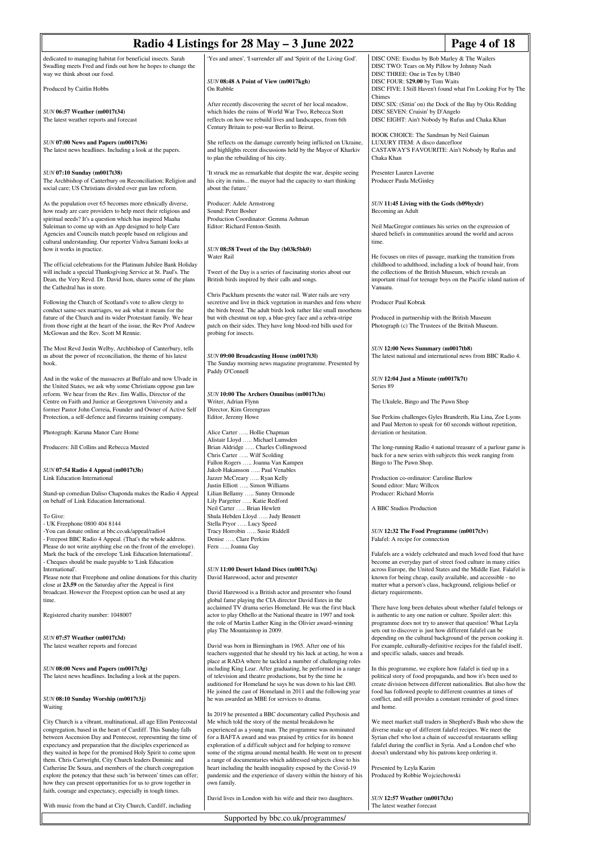|                                                                                                                                                                                                                                                                                                                                                                                                                                                                                                                                                                                                      | Radio 4 Listings for 28 May - 3 June 2022<br>Page 4 of 18                                                                                                                                                                                                                                                                                                                                                                                                                                                                                                                                           |                                                                                                                                                                                                                                                                                                                    |                                                                                                                                      |  |
|------------------------------------------------------------------------------------------------------------------------------------------------------------------------------------------------------------------------------------------------------------------------------------------------------------------------------------------------------------------------------------------------------------------------------------------------------------------------------------------------------------------------------------------------------------------------------------------------------|-----------------------------------------------------------------------------------------------------------------------------------------------------------------------------------------------------------------------------------------------------------------------------------------------------------------------------------------------------------------------------------------------------------------------------------------------------------------------------------------------------------------------------------------------------------------------------------------------------|--------------------------------------------------------------------------------------------------------------------------------------------------------------------------------------------------------------------------------------------------------------------------------------------------------------------|--------------------------------------------------------------------------------------------------------------------------------------|--|
| dedicated to managing habitat for beneficial insects. Sarah                                                                                                                                                                                                                                                                                                                                                                                                                                                                                                                                          | 'Yes and amen', 'I surrender all' and 'Spirit of the Living God'.                                                                                                                                                                                                                                                                                                                                                                                                                                                                                                                                   | DISC ONE: Exodus by Bob Marley & The Wailers                                                                                                                                                                                                                                                                       |                                                                                                                                      |  |
| Swadling meets Fred and finds out how he hopes to change the<br>way we think about our food.                                                                                                                                                                                                                                                                                                                                                                                                                                                                                                         | SUN 08:48 A Point of View (m0017kgh)                                                                                                                                                                                                                                                                                                                                                                                                                                                                                                                                                                | DISC TWO: Tears on My Pillow by Johnny Nash<br>DISC THREE: One in Ten by UB40<br>DISC FOUR: \$29.00 by Tom Waits                                                                                                                                                                                                   |                                                                                                                                      |  |
| Produced by Caitlin Hobbs                                                                                                                                                                                                                                                                                                                                                                                                                                                                                                                                                                            | On Rubble                                                                                                                                                                                                                                                                                                                                                                                                                                                                                                                                                                                           | Chimes                                                                                                                                                                                                                                                                                                             | DISC FIVE: I Still Haven't found what I'm Looking For by The                                                                         |  |
| SUN 06:57 Weather (m0017t34)<br>The latest weather reports and forecast                                                                                                                                                                                                                                                                                                                                                                                                                                                                                                                              | After recently discovering the secret of her local meadow,<br>which hides the ruins of World War Two, Rebecca Stott<br>reflects on how we rebuild lives and landscapes, from 6th<br>Century Britain to post-war Berlin to Beirut.                                                                                                                                                                                                                                                                                                                                                                   | DISC SIX: (Sittin' on) the Dock of the Bay by Otis Redding<br>DISC SEVEN: Cruisin' by D'Angelo<br>DISC EIGHT: Ain't Nobody by Rufus and Chaka Khan                                                                                                                                                                 |                                                                                                                                      |  |
| SUN 07:00 News and Papers (m0017t36)<br>The latest news headlines. Including a look at the papers.                                                                                                                                                                                                                                                                                                                                                                                                                                                                                                   | She reflects on the damage currently being inflicted on Ukraine,<br>and highlights recent discussions held by the Mayor of Kharkiv<br>to plan the rebuilding of his city.                                                                                                                                                                                                                                                                                                                                                                                                                           | BOOK CHOICE: The Sandman by Neil Gaiman<br>LUXURY ITEM: A disco dancefloor<br>CASTAWAY'S FAVOURITE: Ain't Nobody by Rufus and<br>Chaka Khan                                                                                                                                                                        |                                                                                                                                      |  |
| SUN 07:10 Sunday (m0017t38)<br>The Archbishop of Canterbury on Reconciliation; Religion and<br>social care; US Christians divided over gun law reform.                                                                                                                                                                                                                                                                                                                                                                                                                                               | 'It struck me as remarkable that despite the war, despite seeing<br>his city in ruins the mayor had the capacity to start thinking<br>about the future.'                                                                                                                                                                                                                                                                                                                                                                                                                                            | Presenter Lauren Laverne<br>Producer Paula McGinley                                                                                                                                                                                                                                                                |                                                                                                                                      |  |
| As the population over 65 becomes more ethnically diverse,<br>how ready are care providers to help meet their religious and<br>spiritual needs? It's a question which has inspired Maaha<br>Suleiman to come up with an App designed to help Care<br>Agencies and Councils match people based on religious and<br>cultural understanding. Our reporter Vishva Samani looks at<br>how it works in practice.                                                                                                                                                                                           | Producer: Adele Armstrong<br>Sound: Peter Bosher<br>Production Coordinator: Gemma Ashman<br>Editor: Richard Fenton-Smith.<br>SUN 08:58 Tweet of the Day (b03k5bk0)                                                                                                                                                                                                                                                                                                                                                                                                                                  | SUN 11:45 Living with the Gods (b09byxlr)<br>Becoming an Adult<br>Neil MacGregor continues his series on the expression of<br>shared beliefs in communities around the world and across<br>time.                                                                                                                   |                                                                                                                                      |  |
| The official celebrations for the Platinum Jubilee Bank Holiday<br>will include a special Thanksgiving Service at St. Paul's. The<br>Dean, the Very Revd. Dr. David Ison, shares some of the plans<br>the Cathedral has in store.                                                                                                                                                                                                                                                                                                                                                                    | Water Rail<br>Tweet of the Day is a series of fascinating stories about our<br>British birds inspired by their calls and songs.                                                                                                                                                                                                                                                                                                                                                                                                                                                                     | He focuses on rites of passage, marking the transition from<br>the collections of the British Museum, which reveals an<br>Vanuatu.                                                                                                                                                                                 | childhood to adulthood, including a lock of bound hair, from<br>important ritual for teenage boys on the Pacific island nation of    |  |
| Following the Church of Scotland's vote to allow clergy to                                                                                                                                                                                                                                                                                                                                                                                                                                                                                                                                           | Chris Packham presents the water rail. Water rails are very<br>secretive and live in thick vegetation in marshes and fens where                                                                                                                                                                                                                                                                                                                                                                                                                                                                     | Producer Paul Kobrak                                                                                                                                                                                                                                                                                               |                                                                                                                                      |  |
| conduct same-sex marriages, we ask what it means for the<br>future of the Church and its wider Protestant family. We hear<br>from those right at the heart of the issue, the Rev Prof Andrew<br>McGowan and the Rev. Scott M Rennie.                                                                                                                                                                                                                                                                                                                                                                 | the birds breed. The adult birds look rather like small moorhens<br>but with chestnut on top, a blue-grey face and a zebra-stripe<br>patch on their sides. They have long blood-red bills used for<br>probing for insects.                                                                                                                                                                                                                                                                                                                                                                          | Produced in partnership with the British Museum<br>Photograph (c) The Trustees of the British Museum.                                                                                                                                                                                                              |                                                                                                                                      |  |
| The Most Revd Justin Welby, Archbishop of Canterbury, tells<br>us about the power of reconciliation, the theme of his latest<br>book.                                                                                                                                                                                                                                                                                                                                                                                                                                                                | SUN 09:00 Broadcasting House (m0017t3l)<br>The Sunday morning news magazine programme. Presented by<br>Paddy O'Connell                                                                                                                                                                                                                                                                                                                                                                                                                                                                              | SUN 12:00 News Summary (m0017tb8)                                                                                                                                                                                                                                                                                  | The latest national and international news from BBC Radio 4.                                                                         |  |
| And in the wake of the massacres at Buffalo and now Ulvade in<br>the United States, we ask why some Christians oppose gun law                                                                                                                                                                                                                                                                                                                                                                                                                                                                        |                                                                                                                                                                                                                                                                                                                                                                                                                                                                                                                                                                                                     | $SUN$ 12:04 Just a Minute (m0017k7t)<br>Series 89                                                                                                                                                                                                                                                                  |                                                                                                                                      |  |
| reform. We hear from the Rev. Jim Wallis, Director of the<br>Centre on Faith and Justice at Georgetown University and a<br>former Pastor John Correia, Founder and Owner of Active Self<br>Protection, a self-defence and firearms training company.                                                                                                                                                                                                                                                                                                                                                 | SUN 10:00 The Archers Omnibus (m0017t3n)<br>Writer, Adrian Flynn<br>Director, Kim Greengrass<br>Editor, Jeremy Howe                                                                                                                                                                                                                                                                                                                                                                                                                                                                                 | The Ukulele, Bingo and The Pawn Shop                                                                                                                                                                                                                                                                               | Sue Perkins challenges Gyles Brandreth, Ria Lina, Zoe Lyons                                                                          |  |
|                                                                                                                                                                                                                                                                                                                                                                                                                                                                                                                                                                                                      |                                                                                                                                                                                                                                                                                                                                                                                                                                                                                                                                                                                                     | and Paul Merton to speak for 60 seconds without repetition,                                                                                                                                                                                                                                                        |                                                                                                                                      |  |
| Photograph: Karuna Manor Care Home<br>Producers: Jill Collins and Rebecca Maxted                                                                                                                                                                                                                                                                                                                                                                                                                                                                                                                     | Alice Carter  Hollie Chapman<br>Alistair Lloyd  Michael Lumsden<br>Brian Aldridge  Charles Collingwood                                                                                                                                                                                                                                                                                                                                                                                                                                                                                              | deviation or hesitation.                                                                                                                                                                                                                                                                                           | The long-running Radio 4 national treasure of a parlour game is                                                                      |  |
|                                                                                                                                                                                                                                                                                                                                                                                                                                                                                                                                                                                                      | Chris Carter  Wilf Scolding<br>Fallon Rogers  Joanna Van Kampen                                                                                                                                                                                                                                                                                                                                                                                                                                                                                                                                     | back for a new series with subjects this week ranging from<br>Bingo to The Pawn Shop.                                                                                                                                                                                                                              |                                                                                                                                      |  |
| SUN 07:54 Radio 4 Appeal (m0017t3b)<br>Link Education International                                                                                                                                                                                                                                                                                                                                                                                                                                                                                                                                  | Jakob Hakansson  Paul Venables<br>Jazzer McCreary  Ryan Kelly<br>Justin Elliott  Simon Williams                                                                                                                                                                                                                                                                                                                                                                                                                                                                                                     | Production co-ordinator: Caroline Barlow<br>Sound editor: Marc Willcox                                                                                                                                                                                                                                             |                                                                                                                                      |  |
| Stand-up comedian Daliso Chaponda makes the Radio 4 Appeal<br>on behalf of Link Education International.                                                                                                                                                                                                                                                                                                                                                                                                                                                                                             | Lilian Bellamy  Sunny Ormonde<br>Lily Pargetter  Katie Redford<br>Neil Carter  Brian Hewlett                                                                                                                                                                                                                                                                                                                                                                                                                                                                                                        | Producer: Richard Morris<br>A BBC Studios Production                                                                                                                                                                                                                                                               |                                                                                                                                      |  |
| To Give:                                                                                                                                                                                                                                                                                                                                                                                                                                                                                                                                                                                             | Shula Hebden Lloyd  Judy Bennett                                                                                                                                                                                                                                                                                                                                                                                                                                                                                                                                                                    |                                                                                                                                                                                                                                                                                                                    |                                                                                                                                      |  |
| - UK Freephone 0800 404 8144<br>-You can donate online at bbc.co.uk/appeal/radio4<br>- Freepost BBC Radio 4 Appeal. (That's the whole address.<br>Please do not write anything else on the front of the envelope).                                                                                                                                                                                                                                                                                                                                                                                   | Stella Pryor  Lucy Speed<br>Tracy Horrobin  Susie Riddell<br>Denise  Clare Perkins<br>Fern  Joanna Gay                                                                                                                                                                                                                                                                                                                                                                                                                                                                                              | SUN 12:32 The Food Programme (m0017t3v)<br>Falafel: A recipe for connection                                                                                                                                                                                                                                        |                                                                                                                                      |  |
| Mark the back of the envelope 'Link Education International'.<br>- Cheques should be made payable to 'Link Education                                                                                                                                                                                                                                                                                                                                                                                                                                                                                 |                                                                                                                                                                                                                                                                                                                                                                                                                                                                                                                                                                                                     |                                                                                                                                                                                                                                                                                                                    | Falafels are a widely celebrated and much loved food that have<br>become an everyday part of street food culture in many cities      |  |
| International'.<br>Please note that Freephone and online donations for this charity<br>close at 23.59 on the Saturday after the Appeal is first                                                                                                                                                                                                                                                                                                                                                                                                                                                      | SUN 11:00 Desert Island Discs (m0017t3q)<br>David Harewood, actor and presenter                                                                                                                                                                                                                                                                                                                                                                                                                                                                                                                     | known for being cheap, easily available, and accessible - no<br>matter what a person's class, background, religious belief or                                                                                                                                                                                      | across Europe, the United States and the Middle East. Falafel is                                                                     |  |
| broadcast. However the Freepost option can be used at any<br>time.                                                                                                                                                                                                                                                                                                                                                                                                                                                                                                                                   | David Harewood is a British actor and presenter who found<br>global fame playing the CIA director David Estes in the                                                                                                                                                                                                                                                                                                                                                                                                                                                                                | dietary requirements.                                                                                                                                                                                                                                                                                              |                                                                                                                                      |  |
| Registered charity number: 1048007                                                                                                                                                                                                                                                                                                                                                                                                                                                                                                                                                                   | acclaimed TV drama series Homeland. He was the first black<br>actor to play Othello at the National theatre in 1997 and took<br>the role of Martin Luther King in the Olivier award-winning                                                                                                                                                                                                                                                                                                                                                                                                         | is authentic to any one nation or culture. Spoiler alert: this<br>programme does not try to answer that question! What Leyla                                                                                                                                                                                       | There have long been debates about whether falafel belongs or                                                                        |  |
| SUN 07:57 Weather (m0017t3d)<br>The latest weather reports and forecast                                                                                                                                                                                                                                                                                                                                                                                                                                                                                                                              | play The Mountaintop in 2009.<br>David was born in Birmingham in 1965. After one of his<br>teachers suggested that he should try his luck at acting, he won a                                                                                                                                                                                                                                                                                                                                                                                                                                       | sets out to discover is just how different falafel can be<br>and specific salads, sauces and breads.                                                                                                                                                                                                               | depending on the cultural background of the person cooking it.<br>For example, culturally-definitive recipes for the falafel itself, |  |
| SUN 08:00 News and Papers (m0017t3g)<br>The latest news headlines. Including a look at the papers.                                                                                                                                                                                                                                                                                                                                                                                                                                                                                                   | place at RADA where he tackled a number of challenging roles<br>including King Lear. After graduating, he performed in a range<br>of television and theatre productions, but by the time he<br>auditioned for Homeland he says he was down to his last £80.                                                                                                                                                                                                                                                                                                                                         | In this programme, we explore how falafel is tied up in a<br>political story of food propaganda, and how it's been used to                                                                                                                                                                                         | create division between different nationalities. But also how the                                                                    |  |
| SUN 08:10 Sunday Worship (m0017t3j)<br>Waiting                                                                                                                                                                                                                                                                                                                                                                                                                                                                                                                                                       | He joined the cast of Homeland in 2011 and the following year<br>he was awarded an MBE for services to drama.                                                                                                                                                                                                                                                                                                                                                                                                                                                                                       | food has followed people to different countries at times of<br>conflict, and still provides a constant reminder of good times<br>and home.                                                                                                                                                                         |                                                                                                                                      |  |
| City Church is a vibrant, multinational, all age Elim Pentecostal<br>congregation, based in the heart of Cardiff. This Sunday falls<br>between Ascension Day and Pentecost, representing the time of<br>expectancy and preparation that the disciples experienced as<br>they waited in hope for the promised Holy Spirit to come upon<br>them. Chris Cartwright, City Church leaders Dominic and<br>Catherine De Souza, and members of the church congregation<br>explore the potency that these such 'in between' times can offer;<br>how they can present opportunities for us to grow together in | In 2019 he presented a BBC documentary called Psychosis and<br>Me which told the story of the mental breakdown he<br>experienced as a young man. The programme was nominated<br>for a BAFTA award and was praised by critics for its honest<br>exploration of a difficult subject and for helping to remove<br>some of the stigma around mental health. He went on to present<br>a range of documentaries which addressed subjects close to his<br>heart including the health inequality exposed by the Covid-19<br>pandemic and the experience of slavery within the history of his<br>own family. | diverse make up of different falafel recipes. We meet the<br>Syrian chef who lost a chain of successful restaurants selling<br>falafel during the conflict in Syria. And a London chef who<br>doesn't understand why his patrons keep ordering it.<br>Presented by Leyla Kazim<br>Produced by Robbie Wojciechowski | We meet market stall traders in Shepherd's Bush who show the                                                                         |  |
| faith, courage and expectancy, especially in tough times.<br>With music from the band at City Church, Cardiff, including                                                                                                                                                                                                                                                                                                                                                                                                                                                                             | David lives in London with his wife and their two daughters.                                                                                                                                                                                                                                                                                                                                                                                                                                                                                                                                        | SUN 12:57 Weather (m0017t3z)<br>The latest weather forecast                                                                                                                                                                                                                                                        |                                                                                                                                      |  |
|                                                                                                                                                                                                                                                                                                                                                                                                                                                                                                                                                                                                      | Supported by bbc.co.uk/programmes/                                                                                                                                                                                                                                                                                                                                                                                                                                                                                                                                                                  |                                                                                                                                                                                                                                                                                                                    |                                                                                                                                      |  |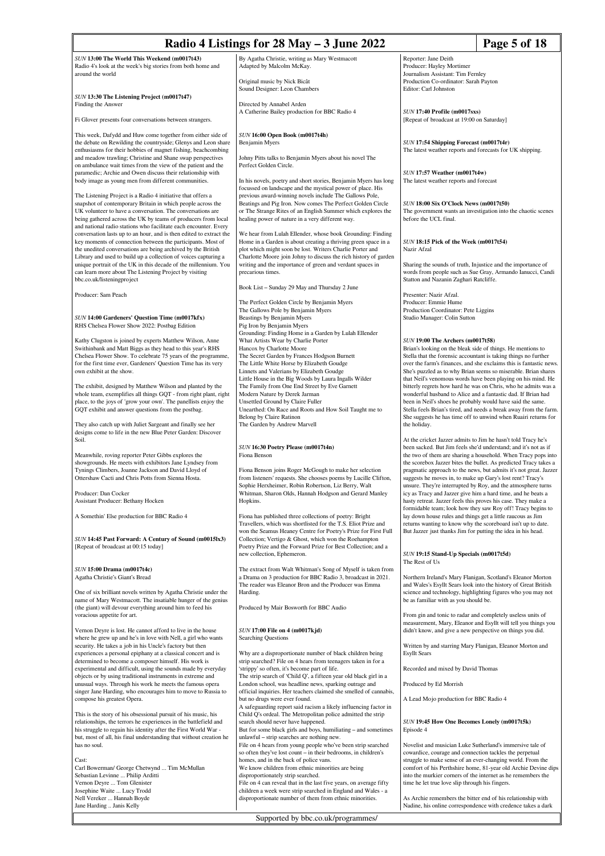| Radio 4 Listings for 28 May - 3 June 2022<br>Page 5 of 18                                                                                                                                                                                                                                                                                |                                                                                                                                                                                                                                                                                                                            |                                                                                                                                                                                                                                                                                                                                                                                                         |  |  |
|------------------------------------------------------------------------------------------------------------------------------------------------------------------------------------------------------------------------------------------------------------------------------------------------------------------------------------------|----------------------------------------------------------------------------------------------------------------------------------------------------------------------------------------------------------------------------------------------------------------------------------------------------------------------------|---------------------------------------------------------------------------------------------------------------------------------------------------------------------------------------------------------------------------------------------------------------------------------------------------------------------------------------------------------------------------------------------------------|--|--|
| SUN 13:00 The World This Weekend (m0017t43)<br>Radio 4's look at the week's big stories from both home and<br>around the world                                                                                                                                                                                                           | By Agatha Christie, writing as Mary Westmacott<br>Adapted by Malcolm McKay.                                                                                                                                                                                                                                                | Reporter: Jane Deith<br>Producer: Hayley Mortimer<br>Journalism Assistant: Tim Fernley                                                                                                                                                                                                                                                                                                                  |  |  |
| SUN 13:30 The Listening Project (m0017t47)<br>Finding the Answer                                                                                                                                                                                                                                                                         | Original music by Nick Bicât<br>Sound Designer: Leon Chambers<br>Directed by Annabel Arden                                                                                                                                                                                                                                 | Production Co-ordinator: Sarah Payton<br>Editor: Carl Johnston                                                                                                                                                                                                                                                                                                                                          |  |  |
| Fi Glover presents four conversations between strangers.                                                                                                                                                                                                                                                                                 | A Catherine Bailey production for BBC Radio 4                                                                                                                                                                                                                                                                              | <b>SUN 17:40 Profile (m0017sxs)</b><br>[Repeat of broadcast at 19:00 on Saturday]                                                                                                                                                                                                                                                                                                                       |  |  |
| This week, Dafydd and Huw come together from either side of<br>the debate on Rewilding the countryside; Glenys and Leon share<br>enthusiasms for their hobbies of magnet fishing, beachcombing<br>and meadow trawling; Christine and Shane swap perspectives<br>on ambulance wait times from the view of the patient and the             | SUN 16:00 Open Book (m0017t4h)<br>Benjamin Myers<br>Johny Pitts talks to Benjamin Myers about his novel The<br>Perfect Golden Circle.                                                                                                                                                                                      | SUN 17:54 Shipping Forecast (m0017t4r)<br>The latest weather reports and forecasts for UK shipping.                                                                                                                                                                                                                                                                                                     |  |  |
| paramedic; Archie and Owen discuss their relationship with<br>body image as young men from different communities.                                                                                                                                                                                                                        | In his novels, poetry and short stories, Benjamin Myers has long<br>focussed on landscape and the mystical power of place. His                                                                                                                                                                                             | SUN 17:57 Weather (m0017t4w)<br>The latest weather reports and forecast                                                                                                                                                                                                                                                                                                                                 |  |  |
| The Listening Project is a Radio 4 initiative that offers a<br>snapshot of contemporary Britain in which people across the<br>UK volunteer to have a conversation. The conversations are<br>being gathered across the UK by teams of producers from local<br>and national radio stations who facilitate each encounter. Every            | previous award-winning novels include The Gallows Pole,<br>Beatings and Pig Iron. Now comes The Perfect Golden Circle<br>or The Strange Rites of an English Summer which explores the<br>healing power of nature in a very different way.                                                                                  | SUN 18:00 Six O'Clock News (m0017t50)<br>The government wants an investigation into the chaotic scenes<br>before the UCL final.                                                                                                                                                                                                                                                                         |  |  |
| conversation lasts up to an hour, and is then edited to extract the<br>key moments of connection between the participants. Most of<br>the unedited conversations are being archived by the British<br>Library and used to build up a collection of voices capturing a<br>unique portrait of the UK in this decade of the millennium. You | We hear from Lulah Ellender, whose book Grounding: Finding<br>Home in a Garden is about creating a thriving green space in a<br>plot which might soon be lost. Writers Charlie Porter and<br>Charlotte Moore join Johny to discuss the rich history of garden<br>writing and the importance of green and verdant spaces in | SUN 18:15 Pick of the Week (m0017t54)<br>Nazir Afzal<br>Sharing the sounds of truth, Injustice and the importance of                                                                                                                                                                                                                                                                                    |  |  |
| can learn more about The Listening Project by visiting<br>bbc.co.uk/listeningproject                                                                                                                                                                                                                                                     | precarious times.<br>Book List – Sunday 29 May and Thursday 2 June                                                                                                                                                                                                                                                         | words from people such as Sue Gray, Armando Ianucci, Candi<br>Statton and Nazanin Zaghari Ratcliffe.                                                                                                                                                                                                                                                                                                    |  |  |
| Producer: Sam Peach<br><b>SUN 14:00 Gardeners' Question Time (m0017kfx)</b>                                                                                                                                                                                                                                                              | The Perfect Golden Circle by Benjamin Myers<br>The Gallows Pole by Benjamin Myers<br>Beastings by Benjamin Myers                                                                                                                                                                                                           | Presenter: Nazir Afzal.<br>Producer: Emmie Hume<br>Production Coordinator: Pete Liggins<br>Studio Manager: Colin Sutton                                                                                                                                                                                                                                                                                 |  |  |
| RHS Chelsea Flower Show 2022: Postbag Edition<br>Kathy Clugston is joined by experts Matthew Wilson, Anne                                                                                                                                                                                                                                | Pig Iron by Benjamin Myers<br>Grounding: Finding Home in a Garden by Lulah Ellender<br>What Artists Wear by Charlie Porter                                                                                                                                                                                                 | SUN 19:00 The Archers (m0017t58)                                                                                                                                                                                                                                                                                                                                                                        |  |  |
| Swithinbank and Matt Biggs as they head to this year's RHS<br>Chelsea Flower Show. To celebrate 75 years of the programme,<br>for the first time ever, Gardeners' Question Time has its very<br>own exhibit at the show.                                                                                                                 | Hancox by Charlotte Moore<br>The Secret Garden by Frances Hodgson Burnett<br>The Little White Horse by Elizabeth Goudge<br>Linnets and Valerians by Elizabeth Goudge<br>Little House in the Big Woods by Laura Ingalls Wilder                                                                                              | Brian's looking on the bleak side of things. He mentions to<br>Stella that the forensic accountant is taking things no further<br>over the farm's finances, and she exclaims this is fantastic news.<br>She's puzzled as to why Brian seems so miserable. Brian shares<br>that Neil's venomous words have been playing on his mind. He                                                                  |  |  |
| The exhibit, designed by Matthew Wilson and planted by the<br>whole team, exemplifies all things GQT - from right plant, right<br>place, to the joys of 'grow your own'. The panellists enjoy the<br>GQT exhibit and answer questions from the postbag.                                                                                  | The Family from One End Street by Eve Garnett<br>Modern Nature by Derek Jarman<br>Unsettled Ground by Claire Fuller<br>Unearthed: On Race and Roots and How Soil Taught me to<br>Belong by Claire Ratinon                                                                                                                  | bitterly regrets how hard he was on Chris, who he admits was a<br>wonderful husband to Alice and a fantastic dad. If Brian had<br>been in Neil's shoes he probably would have said the same.<br>Stella feels Brian's tired, and needs a break away from the farm.<br>She suggests he has time off to unwind when Ruairi returns for                                                                     |  |  |
| They also catch up with Juliet Sargeant and finally see her<br>designs come to life in the new Blue Peter Garden: Discover<br>Soil.                                                                                                                                                                                                      | The Garden by Andrew Marvell                                                                                                                                                                                                                                                                                               | the holiday.<br>At the cricket Jazzer admits to Jim he hasn't told Tracy he's                                                                                                                                                                                                                                                                                                                           |  |  |
| Meanwhile, roving reporter Peter Gibbs explores the<br>showgrounds. He meets with exhibitors Jane Lyndsey from<br>Tynings Climbers, Joanne Jackson and David Lloyd of<br>Ottershaw Cacti and Chris Potts from Sienna Hosta.                                                                                                              | SUN 16:30 Poetry Please (m0017t4n)<br>Fiona Benson<br>Fiona Benson joins Roger McGough to make her selection<br>from listeners' requests. She chooses poems by Lucille Clifton,<br>Sophie Herxheimer, Robin Robertson, Liz Berry, Walt                                                                                     | been sacked. But Jim feels she'd understand; and it's not as if<br>the two of them are sharing a household. When Tracy pops into<br>the scorebox Jazzer bites the bullet. As predicted Tracy takes a<br>pragmatic approach to the news, but admits it's not great. Jazzer<br>suggests he moves in, to make up Gary's lost rent? Tracy's<br>unsure. They're interrupted by Roy, and the atmosphere turns |  |  |
| Producer: Dan Cocker<br>Assistant Producer: Bethany Hocken<br>A Somethin' Else production for BBC Radio 4                                                                                                                                                                                                                                | Whitman, Sharon Olds, Hannah Hodgson and Gerard Manley<br>Hopkins.<br>Fiona has published three collections of poetry: Bright                                                                                                                                                                                              | icy as Tracy and Jazzer give him a hard time, and he beats a<br>hasty retreat. Jazzer feels this proves his case. They make a<br>formidable team; look how they saw Roy off! Tracy begins to<br>lay down house rules and things get a little raucous as Jim                                                                                                                                             |  |  |
| SUN 14:45 Past Forward: A Century of Sound (m0015lx3)<br>[Repeat of broadcast at 00:15 today]                                                                                                                                                                                                                                            | Travellers, which was shortlisted for the T.S. Eliot Prize and<br>won the Seamus Heaney Centre for Poetry's Prize for First Full<br>Collection; Vertigo & Ghost, which won the Roehampton<br>Poetry Prize and the Forward Prize for Best Collection; and a<br>new collection, Ephemeron.                                   | returns wanting to know why the scoreboard isn't up to date.<br>But Jazzer just thanks Jim for putting the idea in his head.<br>SUN 19:15 Stand-Up Specials (m0017t5d)                                                                                                                                                                                                                                  |  |  |
| SUN 15:00 Drama (m0017t4c)<br>Agatha Christie's Giant's Bread                                                                                                                                                                                                                                                                            | The extract from Walt Whitman's Song of Myself is taken from<br>a Drama on 3 production for BBC Radio 3, broadcast in 2021.                                                                                                                                                                                                | The Rest of Us<br>Northern Ireland's Mary Flanigan, Scotland's Eleanor Morton                                                                                                                                                                                                                                                                                                                           |  |  |
| One of six brilliant novels written by Agatha Christie under the<br>name of Mary Westmacott. The insatiable hunger of the genius<br>(the giant) will devour everything around him to feed his                                                                                                                                            | The reader was Eleanor Bron and the Producer was Emma<br>Harding.<br>Produced by Mair Bosworth for BBC Audio                                                                                                                                                                                                               | and Wales's Esyllt Sears look into the history of Great British<br>science and technology, highlighting figures who you may not<br>be as familiar with as you should be.                                                                                                                                                                                                                                |  |  |
| voracious appetite for art.<br>Vernon Deyre is lost. He cannot afford to live in the house<br>where he grew up and he's in love with Nell, a girl who wants                                                                                                                                                                              | SUN 17:00 File on 4 (m0017kjd)<br><b>Searching Questions</b>                                                                                                                                                                                                                                                               | From gin and tonic to radar and completely useless units of<br>measurement, Mary, Eleanor and Esyllt will tell you things you<br>didn't know, and give a new perspective on things you did.                                                                                                                                                                                                             |  |  |
| security. He takes a job in his Uncle's factory but then<br>experiences a personal epiphany at a classical concert and is<br>determined to become a composer himself. His work is                                                                                                                                                        | Why are a disproportionate number of black children being<br>strip searched? File on 4 hears from teenagers taken in for a                                                                                                                                                                                                 | Written by and starring Mary Flanigan, Eleanor Morton and<br><b>Esyllt Sears</b>                                                                                                                                                                                                                                                                                                                        |  |  |
| experimental and difficult, using the sounds made by everyday<br>objects or by using traditional instruments in extreme and<br>unusual ways. Through his work he meets the famous opera                                                                                                                                                  | 'strippy' so often, it's become part of life.<br>The strip search of 'Child Q', a fifteen year old black girl in a<br>London school, was headline news, sparking outrage and                                                                                                                                               | Recorded and mixed by David Thomas<br>Produced by Ed Morrish                                                                                                                                                                                                                                                                                                                                            |  |  |
| singer Jane Harding, who encourages him to move to Russia to<br>compose his greatest Opera.                                                                                                                                                                                                                                              | official inquiries. Her teachers claimed she smelled of cannabis,<br>but no drugs were ever found.<br>A safeguarding report said racism a likely influencing factor in                                                                                                                                                     | A Lead Mojo production for BBC Radio 4                                                                                                                                                                                                                                                                                                                                                                  |  |  |
| This is the story of his obsessional pursuit of his music, his<br>relationships, the terrors he experiences in the battlefield and<br>his struggle to regain his identity after the First World War -<br>but, most of all, his final understanding that without creation he                                                              | Child Q's ordeal. The Metropolitan police admitted the strip<br>search should never have happened.<br>But for some black girls and boys, humiliating – and sometimes<br>unlawful – strip searches are nothing new.                                                                                                         | SUN 19:45 How One Becomes Lonely (m0017t5k)<br>Episode 4                                                                                                                                                                                                                                                                                                                                                |  |  |
| has no soul.                                                                                                                                                                                                                                                                                                                             | File on 4 hears from young people who've been strip searched<br>so often they've lost count – in their bedrooms, in children's                                                                                                                                                                                             | Novelist and musician Luke Sutherland's immersive tale of<br>cowardice, courage and connection tackles the perpetual                                                                                                                                                                                                                                                                                    |  |  |
| Cast:<br>Carl Bowerman/ George Chetwynd  Tim McMullan<br>Sebastian Levinne  Philip Arditti<br>Vernon Deyre  Tom Glenister                                                                                                                                                                                                                | homes, and in the back of police vans.<br>We know children from ethnic minorities are being<br>disproportionately strip searched.<br>File on 4 can reveal that in the last five years, on average fifty                                                                                                                    | struggle to make sense of an ever-changing world. From the<br>comfort of his Perthshire home, 81-year old Archie Devine dips<br>into the murkier corners of the internet as he remembers the<br>time he let true love slip through his fingers.                                                                                                                                                         |  |  |
| Josephine Waite  Lucy Trodd<br>Nell Vereker  Hannah Boyde<br>Jane Harding  Janis Kelly                                                                                                                                                                                                                                                   | children a week were strip searched in England and Wales - a<br>disproportionate number of them from ethnic minorities.                                                                                                                                                                                                    | As Archie remembers the bitter end of his relationship with<br>Nadine, his online correspondence with credence takes a dark                                                                                                                                                                                                                                                                             |  |  |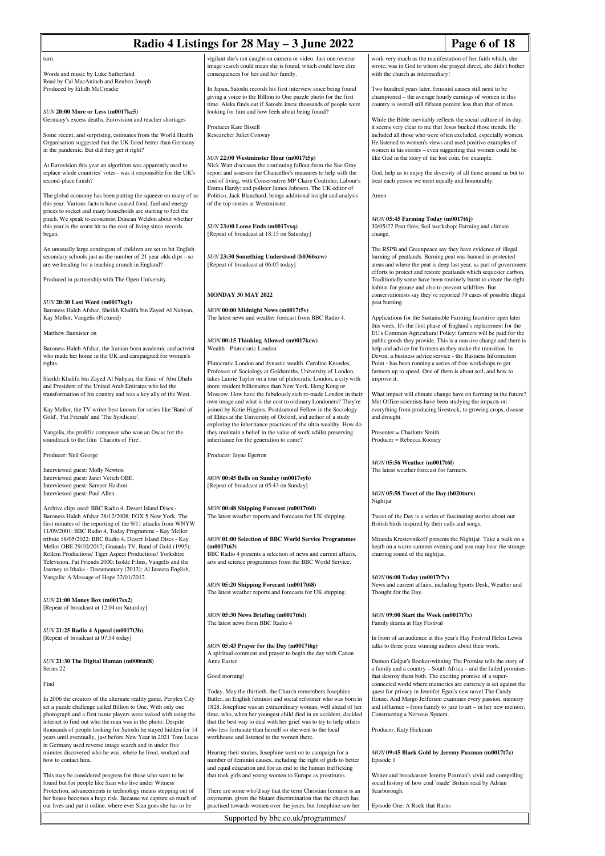| Radio 4 Listings for 28 May - 3 June 2022<br>Page 6 of 18                                                                          |                                                                                                                                  |                                                                                                                                      |  |
|------------------------------------------------------------------------------------------------------------------------------------|----------------------------------------------------------------------------------------------------------------------------------|--------------------------------------------------------------------------------------------------------------------------------------|--|
| turn.                                                                                                                              | vigilant she's not caught on camera or video. Just one reverse                                                                   | work very much as the manifestation of her faith which, she                                                                          |  |
| Words and music by Luke Sutherland                                                                                                 | image search could mean she is found, which could have dire<br>consequences for her and her family.                              | wrote, was in God to whom she prayed direct, she didn't bother<br>with the church as intermediary!                                   |  |
| Read by Cal MacAninch and Reuben Joseph<br>Produced by Eilidh McCreadie                                                            | In Japan, Satoshi records his first interview since being found                                                                  | Two hundred years later, feminist causes still need to be                                                                            |  |
|                                                                                                                                    | giving a voice to the Billion to One puzzle photo for the first                                                                  | championed - the average hourly earnings of women in this                                                                            |  |
| SUN 20:00 More or Less (m0017kc5)                                                                                                  | time. Aleks finds out if Satoshi knew thousands of people were<br>looking for him and how feels about being found?               | country is overall still fifteen percent less than that of men.                                                                      |  |
| Germany's excess deaths, Eurovision and teacher shortages                                                                          | Producer Kate Bissell                                                                                                            | While the Bible inevitably reflects the social culture of its day,<br>it seems very clear to me that Jesus bucked those trends. He   |  |
| Some recent, and surprising, estimates from the World Health                                                                       | Researcher Juliet Conway                                                                                                         | included all those who were often excluded, especially women.                                                                        |  |
| Organisation suggested that the UK fared better than Germany<br>in the pandemic. But did they get it right?                        |                                                                                                                                  | He listened to women's views and used positive examples of<br>women in his stories - even suggesting that women could be             |  |
| At Eurovision this year an algorithm was apparently used to                                                                        | SUN 22:00 Westminster Hour (m0017t5p)<br>Nick Watt discusses the continuing fallout from the Sue Gray                            | like God in the story of the lost coin, for example.                                                                                 |  |
| replace whole countries' votes - was it responsible for the UK's                                                                   | report and assesses the Chancellor's measures to help with the                                                                   | God, help us to enjoy the diversity of all those around us but to                                                                    |  |
| second-place finish?                                                                                                               | cost of living, with Conservative MP Claire Coutinho; Labour's<br>Emma Hardy; and pollster James Johnson. The UK editor of       | treat each person we meet equally and honourably.                                                                                    |  |
| The global economy has been putting the squeeze on many of us<br>this year. Various factors have caused food, fuel and energy      | Politico, Jack Blanchard, brings additional insight and analysis<br>of the top stories at Westminster.                           | Amen                                                                                                                                 |  |
| prices to rocket and many households are starting to feel the                                                                      |                                                                                                                                  |                                                                                                                                      |  |
| pinch. We speak to economist Duncan Weldon about whether<br>this year is the worst hit to the cost of living since records         | $SUN$ 23:00 Loose Ends (m0017sxq)                                                                                                | MON 05:45 Farming Today (m0017t6j)<br>30/05/22 Peat fires; Soil workshop; Farming and climate                                        |  |
| began.                                                                                                                             | [Repeat of broadcast at 18:15 on Saturday]                                                                                       | change.                                                                                                                              |  |
| An unusually large contingent of children are set to hit English<br>secondary schools just as the number of 21 year olds dips – so | SUN 23:30 Something Understood (b0366xrw)                                                                                        | The RSPB and Greenpeace say they have evidence of illegal<br>burning of peatlands. Burning peat was banned in protected              |  |
| are we heading for a teaching crunch in England?                                                                                   | [Repeat of broadcast at 06:05 today]                                                                                             | areas and where the peat is deep last year, as part of government                                                                    |  |
| Produced in partnership with The Open University.                                                                                  |                                                                                                                                  | efforts to protect and restore peatlands which sequester carbon.<br>Traditionally some have been routinely burnt to create the right |  |
|                                                                                                                                    | <b>MONDAY 30 MAY 2022</b>                                                                                                        | habitat for grouse and also to prevent wildfires. But<br>conservationists say they've reported 79 cases of possible illegal          |  |
| SUN 20:30 Last Word (m0017kg1)                                                                                                     |                                                                                                                                  | peat burning.                                                                                                                        |  |
| Baroness Haleh Afshar, Sheikh Khalifa bin Zayed Al Nahyan,<br>Kay Mellor, Vangelis (Pictured)                                      | MON 00:00 Midnight News (m0017t5v)<br>The latest news and weather forecast from BBC Radio 4.                                     | Applications for the Sustainable Farming Incentive open later                                                                        |  |
| Matthew Bannister on                                                                                                               |                                                                                                                                  | this week. It's the first phase of England's replacement for the<br>EU's Common Agricultural Policy: farmers will be paid for the    |  |
|                                                                                                                                    | MON 00:15 Thinking Allowed (m0017kcw)<br>Wealth - Plutocratic London                                                             | public goods they provide. This is a massive change and there is                                                                     |  |
| Baroness Haleh Afshar, the Iranian-born academic and activist<br>who made her home in the UK and campaigned for women's            |                                                                                                                                  | help and advice for farmers as they make the transition. In<br>Devon, a business advice service - the Business Information           |  |
| rights.                                                                                                                            | Plutocratic London and dynastic wealth. Caroline Knowles,<br>Professor of Sociology at Goldsmiths, University of London,         | Point - has been running a series of free workshops to get<br>farmers up to speed. One of them is about soil, and how to             |  |
| Sheikh Khalifa bin Zayed Al Nahyan, the Emir of Abu Dhabi                                                                          | takes Laurie Taylor on a tour of plutocratic London, a city with                                                                 | improve it.                                                                                                                          |  |
| and President of the United Arab Emirates who led the<br>transformation of his country and was a key ally of the West.             | more resident billionaires than New York, Hong Kong or<br>Moscow. How have the fabulously rich re-made London in their           | What impact will climate change have on farming in the future?                                                                       |  |
| Kay Mellor, the TV writer best known for series like 'Band of                                                                      | own image and what is the cost to ordinary Londoners? They're<br>joined by Katie Higgins, Postdoctoral Fellow in the Sociology   | Met Office scientists have been studying the impacts on<br>everything from producing livestock, to growing crops, disease            |  |
| Gold', 'Fat Friends' and 'The Syndicate'.                                                                                          | of Elites at the University of Oxford, and author of a study<br>exploring the inheritance practices of the ultra wealthy. How do | and drought.                                                                                                                         |  |
| Vangelis, the prolific composer who won an Oscar for the                                                                           | they maintain a belief in the value of work whilst preserving                                                                    | Presenter = Charlotte Smith                                                                                                          |  |
| soundtrack to the film 'Chariots of Fire'.                                                                                         | inheritance for the generation to come?                                                                                          | Producer = Rebecca Rooney                                                                                                            |  |
| Producer: Neil George                                                                                                              | Producer: Jayne Egerton                                                                                                          | MON 05:56 Weather (m0017t6l)                                                                                                         |  |
| Interviewed guest: Molly Newton<br>Interviewed guest: Janet Veitch OBE.                                                            | MON 00:45 Bells on Sunday (m0017syb)                                                                                             | The latest weather forecast for farmers.                                                                                             |  |
| Interviewed guest: Sameer Hashmi.                                                                                                  | [Repeat of broadcast at 05:43 on Sunday]                                                                                         |                                                                                                                                      |  |
| Interviewed guest: Paul Allen.                                                                                                     |                                                                                                                                  | MON 05:58 Tweet of the Day (b020tnrx)<br>Nightjar                                                                                    |  |
| Archive clips used: BBC Radio 4, Desert Island Discs -<br>Baroness Haleh Afshar 28/12/2008; FOX 5 New York, The                    | MON 00:48 Shipping Forecast (m0017t60)<br>The latest weather reports and forecasts for UK shipping.                              | Tweet of the Day is a series of fascinating stories about our                                                                        |  |
| first minutes of the reporting of the 9/11 attacks from WNYW<br>11/09/2001; BBC Radio 4, Today Programme - Kay Mellor              |                                                                                                                                  | British birds inspired by their calls and songs.                                                                                     |  |
| tribute 18/05/2022; BBC Radio 4, Desert Island Discs - Kay                                                                         | <b>MON 01:00 Selection of BBC World Service Programmes</b>                                                                       | Miranda Krestovnikoff presents the Nightjar. Take a walk on a                                                                        |  |
| Mellor OBE 29/10/2017; Granada TV, Band of Gold (1995);<br>Rollem Productions/ Tiger Aspect Productions/ Yorkshire                 | (m0017t63)<br>BBC Radio 4 presents a selection of news and current affairs,                                                      | heath on a warm summer evening and you may hear the strange<br>churring sound of the nightjar.                                       |  |
| Television, Fat Friends 2000; Isolde Films, Vangelis and the<br>Journey to Ithaka - Documentary (2013); Al Jazeera English,        | arts and science programmes from the BBC World Service.                                                                          |                                                                                                                                      |  |
| Vangelis: A Message of Hope 22/01/2012.                                                                                            |                                                                                                                                  | MON 06:00 Today (m0017t7v)                                                                                                           |  |
|                                                                                                                                    | MON 05:20 Shipping Forecast (m0017t68)<br>The latest weather reports and forecasts for UK shipping.                              | News and current affairs, including Sports Desk, Weather and<br>Thought for the Day.                                                 |  |
| SUN 21:00 Money Box (m0017sx2)<br>[Repeat of broadcast at 12:04 on Saturday]                                                       |                                                                                                                                  |                                                                                                                                      |  |
|                                                                                                                                    | MON 05:30 News Briefing (m0017t6d)<br>The latest news from BBC Radio 4                                                           | MON 09:00 Start the Week (m0017t7x)<br>Family drama at Hay Festival                                                                  |  |
| SUN 21:25 Radio 4 Appeal (m0017t3b)                                                                                                |                                                                                                                                  |                                                                                                                                      |  |
| [Repeat of broadcast at 07:54 today]                                                                                               | MON 05:43 Prayer for the Day (m0017t6g)                                                                                          | In front of an audience at this year's Hay Festival Helen Lewis<br>talks to three prize winning authors about their work.            |  |
| SUN 21:30 The Digital Human (m000tml8)                                                                                             | A spiritual comment and prayer to begin the day with Canon<br>Anne Easter                                                        | Damon Galgut's Booker-winning The Promise tells the story of                                                                         |  |
| Series <sub>22</sub>                                                                                                               | Good morning!                                                                                                                    | a family and a country - South Africa - and the failed promises<br>that destroy them both. The exciting promise of a super-          |  |
| Find                                                                                                                               |                                                                                                                                  | connected world where memories are currency is set against the                                                                       |  |
| In 2006 the creators of the alternate reality game, Perplex City                                                                   | Today, May the thirtieth, the Church remembers Josephine<br>Butler, an English feminist and social reformer who was born in      | quest for privacy in Jennifer Egan's new novel The Candy<br>House. And Margo Jefferson examines every passion, memory                |  |
| set a puzzle challenge called Billion to One. With only one<br>photograph and a first name players were tasked with using the      | 1828. Josephine was an extraordinary woman, well ahead of her<br>time, who, when her youngest child died in an accident, decided | and influence – from family to jazz to art – in her new memoir,<br>Constructing a Nervous System.                                    |  |
| internet to find out who the man was in the photo. Despite<br>thousands of people looking for Satoshi he stayed hidden for 14      | that the best way to deal with her grief was to try to help others<br>who less fortunate than herself so she went to the local   | Producer: Katy Hickman                                                                                                               |  |
| years until eventually, just before New Year in 2021 Tom Lucas                                                                     | workhouse and listened to the women there.                                                                                       |                                                                                                                                      |  |
| in Germany used reverse image search and in under five<br>minutes discovered who he was, where he lived, worked and                | Hearing their stories, Josephine went on to campaign for a                                                                       | MON 09:45 Black Gold by Jeremy Paxman (m0017t7z)                                                                                     |  |
| how to contact him.                                                                                                                | number of feminist causes, including the right of girls to better<br>and equal education and for an end to the human trafficking | Episode 1                                                                                                                            |  |
| This may be considered progress for those who want to be<br>found but for people like Sian who live under Witness                  | that took girls and young women to Europe as prostitutes.                                                                        | Writer and broadcaster Jeremy Paxman's vivid and compelling<br>social history of how coal 'made' Britain read by Adrian              |  |
| Protection, advancements in technology means stepping out of                                                                       | There are some who'd say that the term Christian feminist is an                                                                  | Scarborough.                                                                                                                         |  |
| her house becomes a huge risk. Because we capture so much of<br>our lives and put it online, where ever Sian goes she has to be    | oxymoron, given the blatant discrimination that the church has<br>practised towards women over the years, but Josephine saw her  | Episode One: A Rock that Burns                                                                                                       |  |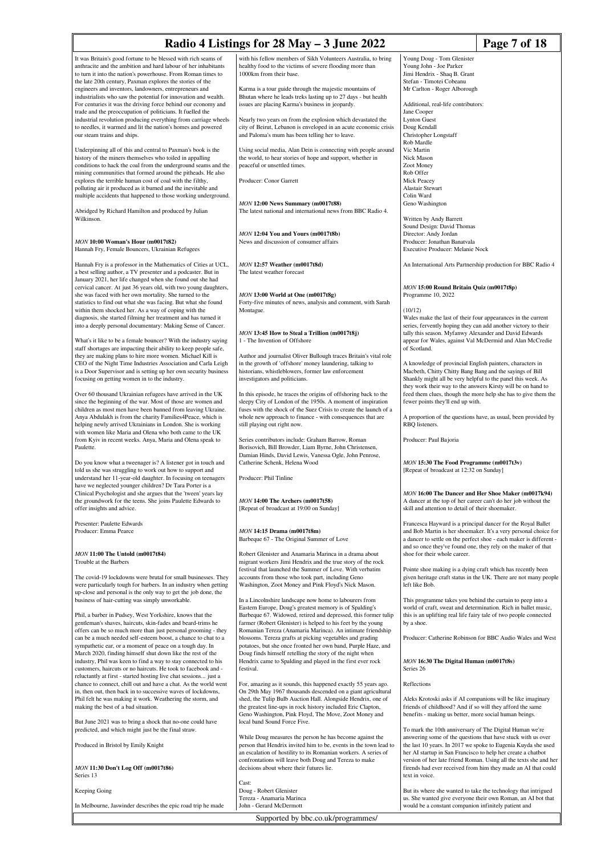|                                                                                                                                                                                                                                                                                                                                                                                                                                                                                                                                                                                                                                                                                             | Radio 4 Listings for 28 May - 3 June 2022                                                                                                                                                                                                                                                                                                                                                                                                                                                                                                                                              |                                                                                                                                                                                                                                                                         | Page 7 of 18                                                                                                                                                                                            |
|---------------------------------------------------------------------------------------------------------------------------------------------------------------------------------------------------------------------------------------------------------------------------------------------------------------------------------------------------------------------------------------------------------------------------------------------------------------------------------------------------------------------------------------------------------------------------------------------------------------------------------------------------------------------------------------------|----------------------------------------------------------------------------------------------------------------------------------------------------------------------------------------------------------------------------------------------------------------------------------------------------------------------------------------------------------------------------------------------------------------------------------------------------------------------------------------------------------------------------------------------------------------------------------------|-------------------------------------------------------------------------------------------------------------------------------------------------------------------------------------------------------------------------------------------------------------------------|---------------------------------------------------------------------------------------------------------------------------------------------------------------------------------------------------------|
| It was Britain's good fortune to be blessed with rich seams of<br>anthracite and the ambition and hard labour of her inhabitants<br>to turn it into the nation's powerhouse. From Roman times to<br>the late 20th century, Paxman explores the stories of the<br>engineers and inventors, landowners, entrepreneurs and<br>industrialists who saw the potential for innovation and wealth.<br>For centuries it was the driving force behind our economy and<br>trade and the preoccupation of politicians. It fuelled the<br>industrial revolution producing everything from carriage wheels<br>to needles, it warmed and lit the nation's homes and powered<br>our steam trains and ships. | with his fellow members of Sikh Volunteers Australia, to bring<br>healthy food to the victims of severe flooding more than<br>1000km from their base.<br>Karma is a tour guide through the majestic mountains of<br>Bhutan where he leads treks lasting up to 27 days - but health<br>issues are placing Karma's business in jeopardy.<br>Nearly two years on from the explosion which devastated the<br>city of Beirut, Lebanon is enveloped in an acute economic crisis<br>and Paloma's mum has been telling her to leave.                                                           | Young Doug - Tom Glenister<br>Young John - Joe Parker<br>Jimi Hendrix - Shaq B. Grant<br>Stefan - Timotei Cobeanu<br>Mr Carlton - Roger Alborough<br>Additional, real-life contributors:<br>Jane Cooper<br><b>Lynton Guest</b><br>Doug Kendall<br>Christopher Longstaff |                                                                                                                                                                                                         |
| Underpinning all of this and central to Paxman's book is the<br>history of the miners themselves who toiled in appalling<br>conditions to hack the coal from the underground seams and the<br>mining communities that formed around the pitheads. He also<br>explores the terrible human cost of coal with the filthy,<br>polluting air it produced as it burned and the inevitable and<br>multiple accidents that happened to those working underground.                                                                                                                                                                                                                                   | Using social media, Alan Dein is connecting with people around<br>the world, to hear stories of hope and support, whether in<br>peaceful or unsettled times.<br>Producer: Conor Garrett<br><b>MON 12:00 News Summary (m0017t88)</b><br>The latest national and international news from BBC Radio 4.                                                                                                                                                                                                                                                                                    | Rob Mardle<br>Vic Martin<br>Nick Mason<br>Zoot Money<br>Rob Offer<br>Mick Peacey<br>Alastair Stewart<br>Colin Ward<br>Geno Washington                                                                                                                                   |                                                                                                                                                                                                         |
| Abridged by Richard Hamilton and produced by Julian<br>Wilkinson.<br>MON 10:00 Woman's Hour (m0017t82)                                                                                                                                                                                                                                                                                                                                                                                                                                                                                                                                                                                      | MON 12:04 You and Yours (m0017t8b)<br>News and discussion of consumer affairs                                                                                                                                                                                                                                                                                                                                                                                                                                                                                                          | Written by Andy Barrett<br>Sound Design: David Thomas<br>Director: Andy Jordan<br>Producer: Jonathan Banatvala                                                                                                                                                          |                                                                                                                                                                                                         |
| Hannah Fry, Female Bouncers, Ukrainian Refugees<br>Hannah Fry is a professor in the Mathematics of Cities at UCL,<br>a best selling author, a TV presenter and a podcaster. But in<br>January 2021, her life changed when she found out she had                                                                                                                                                                                                                                                                                                                                                                                                                                             | MON 12:57 Weather (m0017t8d)<br>The latest weather forecast                                                                                                                                                                                                                                                                                                                                                                                                                                                                                                                            | Executive Producer: Melanie Nock                                                                                                                                                                                                                                        | An International Arts Partnership production for BBC Radio 4                                                                                                                                            |
| cervical cancer. At just 36 years old, with two young daughters,<br>she was faced with her own mortality. She turned to the<br>statistics to find out what she was facing. But what she found<br>within them shocked her. As a way of coping with the<br>diagnosis, she started filming her treatment and has turned it<br>into a deeply personal documentary: Making Sense of Cancer.                                                                                                                                                                                                                                                                                                      | <b>MON 13:00 World at One (m0017t8g)</b><br>Forty-five minutes of news, analysis and comment, with Sarah<br>Montague.<br>MON 13:45 How to Steal a Trillion (m0017t8j)                                                                                                                                                                                                                                                                                                                                                                                                                  | MON 15:00 Round Britain Quiz (m0017t8p)<br>Programme 10, 2022<br>(10/12)<br>Wales make the last of their four appearances in the current<br>series, fervently hoping they can add another victory to their<br>tally this season. Myfanwy Alexander and David Edwards    |                                                                                                                                                                                                         |
| What's it like to be a female bouncer? With the industry saying<br>staff shortages are impacting their ability to keep people safe,<br>they are making plans to hire more women. Michael Kill is<br>CEO of the Night Time Industries Association and Carla Leigh<br>is a Door Supervisor and is setting up her own security business<br>focusing on getting women in to the industry.                                                                                                                                                                                                                                                                                                       | 1 - The Invention of Offshore<br>Author and journalist Oliver Bullough traces Britain's vital role<br>in the growth of 'offshore' money laundering, talking to<br>historians, whistleblowers, former law enforcement<br>investigators and politicians.                                                                                                                                                                                                                                                                                                                                 | of Scotland.<br>A knowledge of provincial English painters, characters in<br>Macbeth, Chitty Chitty Bang Bang and the sayings of Bill<br>Shankly might all be very helpful to the panel this week. As<br>they work their way to the answers Kirsty will be on hand to   | appear for Wales, against Val McDermid and Alan McCredie                                                                                                                                                |
| Over 60 thousand Ukrainian refugees have arrived in the UK<br>since the beginning of the war. Most of those are women and<br>children as most men have been banned from leaving Ukraine.<br>Anya Abdulakh is from the charity Families4Peace, which is<br>helping newly arrived Ukrainians in London. She is working<br>with women like Maria and Olena who both came to the UK<br>from Kyiv in recent weeks. Anya, Maria and Olena speak to<br>Paulette.                                                                                                                                                                                                                                   | In this episode, he traces the origins of offshoring back to the<br>sleepy City of London of the 1950s. A moment of inspiration<br>fuses with the shock of the Suez Crisis to create the launch of a<br>whole new approach to finance - with consequences that are<br>still playing out right now.<br>Series contributors include: Graham Barrow, Roman<br>Borisovich, Bill Browder, Liam Byrne, John Christensen,                                                                                                                                                                     | fewer points they'll end up with.<br>RBQ listeners.<br>Producer: Paul Bajoria                                                                                                                                                                                           | feed them clues, though the more help she has to give them the<br>A proportion of the questions have, as usual, been provided by                                                                        |
| Do you know what a tweenager is? A listener got in touch and<br>told us she was struggling to work out how to support and<br>understand her 11-year-old daughter. In focusing on teenagers<br>have we neglected younger children? Dr Tara Porter is a<br>Clinical Psychologist and she argues that the 'tween' years lay<br>the groundwork for the teens. She joins Paulette Edwards to<br>offer insights and advice.                                                                                                                                                                                                                                                                       | Damian Hinds, David Lewis, Vanessa Ogle, John Penrose,<br>Catherine Schenk, Helena Wood<br>Producer: Phil Tinline<br><b>MON 14:00 The Archers (m0017t58)</b><br>[Repeat of broadcast at 19:00 on Sunday]                                                                                                                                                                                                                                                                                                                                                                               | MON 15:30 The Food Programme (m0017t3v)<br>[Repeat of broadcast at 12:32 on Sunday]<br>A dancer at the top of her career can't do her job without the<br>skill and attention to detail of their shoemaker.                                                              | MON 16:00 The Dancer and Her Shoe Maker (m0017k94)                                                                                                                                                      |
| Presenter: Paulette Edwards<br>Producer: Emma Pearce                                                                                                                                                                                                                                                                                                                                                                                                                                                                                                                                                                                                                                        | MON 14:15 Drama (m0017t8m)<br>Barbeque 67 - The Original Summer of Love                                                                                                                                                                                                                                                                                                                                                                                                                                                                                                                | Francesca Hayward is a principal dancer for the Royal Ballet                                                                                                                                                                                                            | and Bob Martin is her shoemaker. It's a very personal choice for<br>a dancer to settle on the perfect shoe - each maker is different -<br>and so once they've found one, they rely on the maker of that |
| MON 11:00 The Untold (m0017t84)<br>Trouble at the Barbers<br>The covid-19 lockdowns were brutal for small businesses. They<br>were particularly tough for barbers. In an industry when getting                                                                                                                                                                                                                                                                                                                                                                                                                                                                                              | Robert Glenister and Anamaria Marinca in a drama about<br>migrant workers Jimi Hendrix and the true story of the rock<br>festival that launched the Summer of Love. With verbatim<br>accounts from those who took part, including Geno<br>Washington, Zoot Money and Pink Floyd's Nick Mason.                                                                                                                                                                                                                                                                                          | shoe for their whole career.<br>Pointe shoe making is a dying craft which has recently been<br>left like Bob.                                                                                                                                                           | given heritage craft status in the UK. There are not many people                                                                                                                                        |
| up-close and personal is the only way to get the job done, the<br>business of hair-cutting was simply unworkable.<br>Phil, a barber in Pudsey, West Yorkshire, knows that the<br>gentleman's shaves, haircuts, skin-fades and beard-trims he<br>offers can be so much more than just personal grooming - they<br>can be a much needed self-esteem boost, a chance to chat to a<br>sympathetic ear, or a moment of peace on a tough day. In<br>March 2020, finding himself shut down like the rest of the<br>industry, Phil was keen to find a way to stay connected to his<br>customers, haircuts or no haircuts. He took to facebook and -                                                 | In a Lincolnshire landscape now home to labourers from<br>Eastern Europe, Doug's greatest memory is of Spalding's<br>Barbeque 67. Widowed, retired and depressed, this former tulip<br>farmer (Robert Glenister) is helped to his feet by the young<br>Romanian Tereza (Anamaria Marinca). An intimate friendship<br>blossoms. Tereza grafts at picking vegetables and grading<br>potatoes, but she once fronted her own band, Purple Haze, and<br>Doug finds himself retelling the story of the night when<br>Hendrix came to Spalding and played in the first ever rock<br>festival. | This programme takes you behind the curtain to peep into a<br>by a shoe.<br>MON 16:30 The Digital Human (m0017t8s)<br>Series 26                                                                                                                                         | world of craft, sweat and determination. Rich in ballet music,<br>this is an uplifting real life fairy tale of two people connected<br>Producer: Catherine Robinson for BBC Audio Wales and West        |
| reluctantly at first - started hosting live chat sessions just a<br>chance to connect, chill out and have a chat. As the world went<br>in, then out, then back in to successive waves of lockdowns,<br>Phil felt he was making it work. Weathering the storm, and<br>making the best of a bad situation.                                                                                                                                                                                                                                                                                                                                                                                    | For, amazing as it sounds, this happened exactly 55 years ago.<br>On 29th May 1967 thousands descended on a giant agricultural<br>shed, the Tulip Bulb Auction Hall. Alongside Hendrix, one of<br>the greatest line-ups in rock history included Eric Clapton,<br>Geno Washington, Pink Floyd, The Move, Zoot Money and                                                                                                                                                                                                                                                                | Reflections<br>Aleks Krotoski asks if AI companions will be like imaginary<br>friends of childhood? And if so will they afford the same<br>benefits - making us better, more social human beings.                                                                       |                                                                                                                                                                                                         |
| But June 2021 was to bring a shock that no-one could have<br>predicted, and which might just be the final straw.<br>Produced in Bristol by Emily Knight                                                                                                                                                                                                                                                                                                                                                                                                                                                                                                                                     | local band Sound Force Five.<br>While Doug measures the person he has become against the<br>person that Hendrix invited him to be, events in the town lead to                                                                                                                                                                                                                                                                                                                                                                                                                          | To mark the 10th anniversary of The Digital Human we're                                                                                                                                                                                                                 | answering some of the questions that have stuck with us over<br>the last 10 years. In 2017 we spoke to Eugenia Kuyda she used                                                                           |
| MON 11:30 Don't Log Off (m0017t86)<br>Series 13                                                                                                                                                                                                                                                                                                                                                                                                                                                                                                                                                                                                                                             | an escalation of hostility to its Romanian workers. A series of<br>confrontations will leave both Doug and Tereza to make<br>decisions about where their futures lie.                                                                                                                                                                                                                                                                                                                                                                                                                  | her AI startup in San Francisco to help her create a chatbot<br>text in voice.                                                                                                                                                                                          | version of her late friend Roman. Using all the texts she and her<br>firends had ever received from him they made an AI that could                                                                      |
| Keeping Going                                                                                                                                                                                                                                                                                                                                                                                                                                                                                                                                                                                                                                                                               | Cast:<br>Doug - Robert Glenister<br>Tereza - Anamaria Marinca<br>John - Gerard McDermott                                                                                                                                                                                                                                                                                                                                                                                                                                                                                               |                                                                                                                                                                                                                                                                         | But its where she wanted to take the technology that intrigued<br>us. She wanted give everyone their own Roman, an AI bot that                                                                          |
| would be a constant companion infinitely patient and<br>In Melbourne, Jaswinder describes the epic road trip he made<br>Supported by bbc.co.uk/programmes/                                                                                                                                                                                                                                                                                                                                                                                                                                                                                                                                  |                                                                                                                                                                                                                                                                                                                                                                                                                                                                                                                                                                                        |                                                                                                                                                                                                                                                                         |                                                                                                                                                                                                         |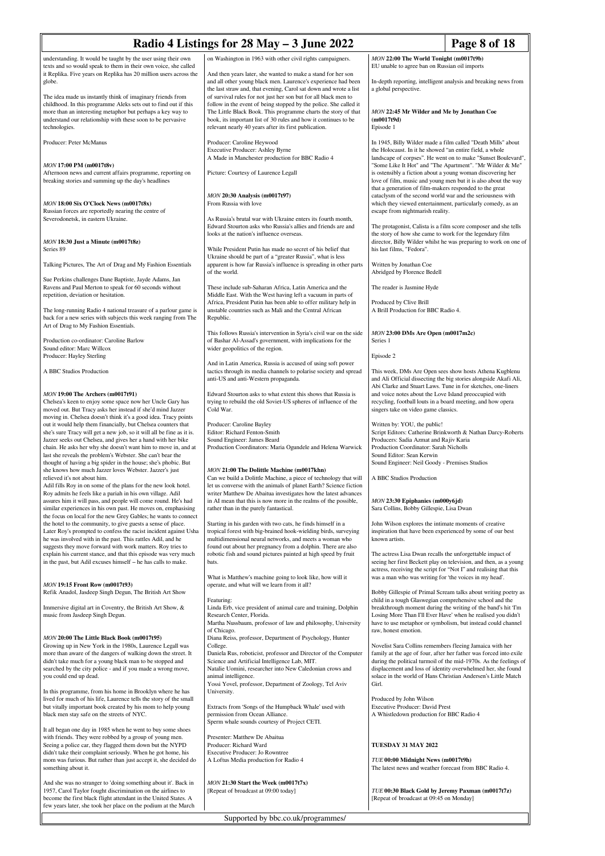| Radio 4 Listings for 28 May - 3 June 2022<br>Page 8 of 18                                                                                                                                                                                                                                                                    |                                                                                                                                                                                                                                                                                                                                    |                                                                                                                                                               |                                                                                                                                                                                                                                                                         |
|------------------------------------------------------------------------------------------------------------------------------------------------------------------------------------------------------------------------------------------------------------------------------------------------------------------------------|------------------------------------------------------------------------------------------------------------------------------------------------------------------------------------------------------------------------------------------------------------------------------------------------------------------------------------|---------------------------------------------------------------------------------------------------------------------------------------------------------------|-------------------------------------------------------------------------------------------------------------------------------------------------------------------------------------------------------------------------------------------------------------------------|
| understanding. It would be taught by the user using their own                                                                                                                                                                                                                                                                | on Washington in 1963 with other civil rights campaigners.                                                                                                                                                                                                                                                                         | MON 22:00 The World Tonight (m0017t9b)                                                                                                                        |                                                                                                                                                                                                                                                                         |
| texts and so would speak to them in their own voice, she called<br>it Replika. Five years on Replika has 20 million users across the<br>globe.                                                                                                                                                                               | And then years later, she wanted to make a stand for her son<br>and all other young black men. Laurence's experience had been<br>the last straw and, that evening, Carol sat down and wrote a list                                                                                                                                 | EU unable to agree ban on Russian oil imports<br>a global perspective.                                                                                        | In-depth reporting, intelligent analysis and breaking news from                                                                                                                                                                                                         |
| The idea made us instantly think of imaginary friends from<br>childhood. In this programme Aleks sets out to find out if this<br>more than an interesting metaphor but perhaps a key way to<br>understand our relationship with these soon to be pervasive<br>technologies.                                                  | of survival rules for not just her son but for all black men to<br>follow in the event of being stopped by the police. She called it<br>The Little Black Book. This programme charts the story of that<br>book, its important list of 30 rules and how it continues to be<br>relevant nearly 40 years after its first publication. | MON 22:45 Mr Wilder and Me by Jonathan Coe<br>(m0017t9d)<br>Episode 1                                                                                         |                                                                                                                                                                                                                                                                         |
| Producer: Peter McManus                                                                                                                                                                                                                                                                                                      | Producer: Caroline Heywood<br>Executive Producer: Ashley Byrne                                                                                                                                                                                                                                                                     | the Holocaust. In it he showed "an entire field, a whole                                                                                                      | In 1945, Billy Wilder made a film called "Death Mills" about                                                                                                                                                                                                            |
| MON 17:00 PM (m0017t8v)<br>Afternoon news and current affairs programme, reporting on                                                                                                                                                                                                                                        | A Made in Manchester production for BBC Radio 4<br>Picture: Courtesy of Laurence Legall                                                                                                                                                                                                                                            | is ostensibly a fiction about a young woman discovering her                                                                                                   | landscape of corpses". He went on to make "Sunset Boulevard",<br>"Some Like It Hot" and "The Apartment". "Mr Wilder & Me"                                                                                                                                               |
| breaking stories and summing up the day's headlines                                                                                                                                                                                                                                                                          | MON 20:30 Analysis (m0017t97)                                                                                                                                                                                                                                                                                                      | that a generation of film-makers responded to the great<br>cataclysm of the second world war and the seriousness with                                         | love of film, music and young men but it is also about the way                                                                                                                                                                                                          |
| MON 18:00 Six O'Clock News (m0017t8x)<br>Russian forces are reportedly nearing the centre of<br>Severodonetsk, in eastern Ukraine.                                                                                                                                                                                           | From Russia with love<br>As Russia's brutal war with Ukraine enters its fourth month,                                                                                                                                                                                                                                              | which they viewed entertainment, particularly comedy, as an<br>escape from nightmarish reality.                                                               |                                                                                                                                                                                                                                                                         |
| <i>MON</i> 18:30 Just a Minute (m0017t8z)                                                                                                                                                                                                                                                                                    | Edward Stourton asks who Russia's allies and friends are and<br>looks at the nation's influence overseas.                                                                                                                                                                                                                          | the story of how she came to work for the legendary film                                                                                                      | The protagonist, Calista is a film score composer and she tells<br>director, Billy Wilder whilst he was preparing to work on one of                                                                                                                                     |
| Series 89                                                                                                                                                                                                                                                                                                                    | While President Putin has made no secret of his belief that<br>Ukraine should be part of a "greater Russia", what is less                                                                                                                                                                                                          | his last films, "Fedora".                                                                                                                                     |                                                                                                                                                                                                                                                                         |
| Talking Pictures, The Art of Drag and My Fashion Essentials<br>Sue Perkins challenges Dane Baptiste, Jayde Adams, Jan                                                                                                                                                                                                        | apparent is how far Russia's influence is spreading in other parts<br>of the world.                                                                                                                                                                                                                                                | Written by Jonathan Coe<br>Abridged by Florence Bedell                                                                                                        |                                                                                                                                                                                                                                                                         |
| Ravens and Paul Merton to speak for 60 seconds without<br>repetition, deviation or hesitation.                                                                                                                                                                                                                               | These include sub-Saharan Africa, Latin America and the<br>Middle East. With the West having left a vacuum in parts of<br>Africa, President Putin has been able to offer military help in                                                                                                                                          | The reader is Jasmine Hyde<br>Produced by Clive Brill                                                                                                         |                                                                                                                                                                                                                                                                         |
| The long-running Radio 4 national treasure of a parlour game is<br>back for a new series with subjects this week ranging from The<br>Art of Drag to My Fashion Essentials.                                                                                                                                                   | unstable countries such as Mali and the Central African<br>Republic.                                                                                                                                                                                                                                                               | A Brill Production for BBC Radio 4.                                                                                                                           |                                                                                                                                                                                                                                                                         |
| Production co-ordinator: Caroline Barlow<br>Sound editor: Marc Willcox<br>Producer: Hayley Sterling                                                                                                                                                                                                                          | This follows Russia's intervention in Syria's civil war on the side<br>of Bashar Al-Assad's government, with implications for the<br>wider geopolitics of the region.                                                                                                                                                              | MON 23:00 DMs Are Open (m0017m2c)<br>Series 1<br>Episode 2                                                                                                    |                                                                                                                                                                                                                                                                         |
| A BBC Studios Production                                                                                                                                                                                                                                                                                                     | And in Latin America, Russia is accused of using soft power<br>tactics through its media channels to polarise society and spread<br>anti-US and anti-Western propaganda.                                                                                                                                                           |                                                                                                                                                               | This week, DMs Are Open sees show hosts Athena Kugblenu<br>and Ali Official dissecting the big stories alongside Akafi Ali,                                                                                                                                             |
| MON 19:00 The Archers (m0017t91)<br>Chelsea's keen to enjoy some space now her Uncle Gary has<br>moved out. But Tracy asks her instead if she'd mind Jazzer<br>moving in. Chelsea doesn't think it's a good idea. Tracy points                                                                                               | Edward Stourton asks to what extent this shows that Russia is<br>trying to rebuild the old Soviet-US spheres of influence of the<br>Cold War.                                                                                                                                                                                      | and voice notes about the Love Island preoccupied with<br>recycling, football louts in a board meeting, and how opera<br>singers take on video game classics. | Abi Clarke and Stuart Laws. Tune in for sketches, one-liners                                                                                                                                                                                                            |
| out it would help them financially, but Chelsea counters that<br>she's sure Tracy will get a new job, so it will all be fine as it is.                                                                                                                                                                                       | Producer: Caroline Bayley<br>Editor: Richard Fenton-Smith                                                                                                                                                                                                                                                                          | Written by: YOU, the public!<br>Producers: Sadia Azmat and Rajiv Karia                                                                                        | Script Editors: Catherine Brinkworth & Nathan Darcy-Roberts                                                                                                                                                                                                             |
| Jazzer seeks out Chelsea, and gives her a hand with her bike<br>chain. He asks her why she doesn't want him to move in, and at<br>last she reveals the problem's Webster. She can't bear the                                                                                                                                 | Sound Engineer: James Beard<br>Production Coordinators: Maria Ogundele and Helena Warwick                                                                                                                                                                                                                                          | Production Coordinator: Sarah Nicholls<br>Sound Editor: Sean Kerwin                                                                                           |                                                                                                                                                                                                                                                                         |
| thought of having a big spider in the house; she's phobic. But<br>she knows how much Jazzer loves Webster. Jazzer's just<br>relieved it's not about him.                                                                                                                                                                     | MON 21:00 The Dolittle Machine (m0017khn)<br>Can we build a Dolittle Machine, a piece of technology that will                                                                                                                                                                                                                      | Sound Engineer: Neil Goody - Premises Studios<br>A BBC Studios Production                                                                                     |                                                                                                                                                                                                                                                                         |
| Adil fills Roy in on some of the plans for the new look hotel.<br>Roy admits he feels like a pariah in his own village. Adil<br>assures him it will pass, and people will come round. He's had                                                                                                                               | let us converse with the animals of planet Earth? Science fiction<br>writer Matthew De Abaitua investigates how the latest advances<br>in AI mean that this is now more in the realms of the possible,                                                                                                                             | MON 23:30 Epiphanies (m000y6jd)                                                                                                                               |                                                                                                                                                                                                                                                                         |
| similar experiences in his own past. He moves on, emphasising<br>the focus on local for the new Grey Gables; he wants to connect<br>the hotel to the community, to give guests a sense of place.                                                                                                                             | rather than in the purely fantastical.<br>Starting in his garden with two cats, he finds himself in a                                                                                                                                                                                                                              | Sara Collins, Bobby Gillespie, Lisa Dwan<br>John Wilson explores the intimate moments of creative                                                             |                                                                                                                                                                                                                                                                         |
| Later Roy's prompted to confess the racist incident against Usha<br>he was involved with in the past. This rattles Adil, and he<br>suggests they move forward with work matters. Roy tries to                                                                                                                                | tropical forest with big-brained hook-wielding birds, surveying<br>multidimensional neural networks, and meets a woman who<br>found out about her pregnancy from a dolphin. There are also                                                                                                                                         | inspiration that have been experienced by some of our best<br>known artists.                                                                                  |                                                                                                                                                                                                                                                                         |
| explain his current stance, and that this episode was very much<br>in the past, but Adil excuses himself - he has calls to make.                                                                                                                                                                                             | robotic fish and sound pictures painted at high speed by fruit<br>bats.                                                                                                                                                                                                                                                            | The actress Lisa Dwan recalls the unforgettable impact of                                                                                                     | seeing her first Beckett play on television, and then, as a young<br>actress, receiving the script for "Not I" and realising that this                                                                                                                                  |
| MON 19:15 Front Row (m0017t93)<br>Refik Anadol, Jasdeep Singh Degun, The British Art Show                                                                                                                                                                                                                                    | What is Matthew's machine going to look like, how will it<br>operate, and what will we learn from it all?                                                                                                                                                                                                                          | was a man who was writing for 'the voices in my head'.                                                                                                        | Bobby Gillespie of Primal Scream talks about writing poetry as                                                                                                                                                                                                          |
| Immersive digital art in Coventry, the British Art Show, &<br>music from Jasdeep Singh Degun.                                                                                                                                                                                                                                | Featuring:<br>Linda Erb, vice president of animal care and training, Dolphin<br>Research Center, Florida.<br>Martha Nussbaum, professor of law and philosophy, University                                                                                                                                                          | child in a tough Glaswegian comprehensive school and the                                                                                                      | breakthrough moment during the writing of the band's hit 'I'm<br>Losing More Than I'll Ever Have' when he realised you didn't<br>have to use metaphor or symbolism, but instead could channel                                                                           |
| MON 20:00 The Little Black Book (m0017t95)<br>Growing up in New York in the 1980s, Laurence Legall was<br>more than aware of the dangers of walking down the street. It<br>didn't take much for a young black man to be stopped and<br>searched by the city police - and if you made a wrong move,<br>you could end up dead. | of Chicago.<br>Diana Reiss, professor, Department of Psychology, Hunter<br>College.<br>Daniela Rus, roboticist, professor and Director of the Computer<br>Science and Artificial Intelligence Lab, MIT.<br>Natalie Uomini, researcher into New Caledonian crows and<br>animal intelligence.                                        | raw, honest emotion.<br>Novelist Sara Collins remembers fleeing Jamaica with her                                                                              | family at the age of four, after her father was forced into exile<br>during the political turmoil of the mid-1970s. As the feelings of<br>displacement and loss of identity overwhelmed her, she found<br>solace in the world of Hans Christian Andersen's Little Match |
| In this programme, from his home in Brooklyn where he has<br>lived for much of his life, Laurence tells the story of the small<br>but vitally important book created by his mom to help young<br>black men stay safe on the streets of NYC.                                                                                  | Yossi Yovel, professor, Department of Zoology, Tel Aviv<br>University.<br>Extracts from 'Songs of the Humpback Whale' used with<br>permission from Ocean Alliance.                                                                                                                                                                 | Girl.<br>Produced by John Wilson<br>Executive Producer: David Prest<br>A Whistledown production for BBC Radio 4                                               |                                                                                                                                                                                                                                                                         |
| It all began one day in 1985 when he went to buy some shoes<br>with friends. They were robbed by a group of young men.                                                                                                                                                                                                       | Sperm whale sounds courtesy of Project CETI.<br>Presenter: Matthew De Abaitua                                                                                                                                                                                                                                                      |                                                                                                                                                               |                                                                                                                                                                                                                                                                         |
| Seeing a police car, they flagged them down but the NYPD<br>didn't take their complaint seriously. When he got home, his<br>mom was furious. But rather than just accept it, she decided do                                                                                                                                  | Producer: Richard Ward<br>Executive Producer: Jo Rowntree<br>A Loftus Media production for Radio 4                                                                                                                                                                                                                                 | TUESDAY 31 MAY 2022<br>TUE 00:00 Midnight News (m0017t9h)                                                                                                     |                                                                                                                                                                                                                                                                         |
| something about it.                                                                                                                                                                                                                                                                                                          |                                                                                                                                                                                                                                                                                                                                    | The latest news and weather forecast from BBC Radio 4.                                                                                                        |                                                                                                                                                                                                                                                                         |
| And she was no stranger to 'doing something about it'. Back in<br>1957, Carol Taylor fought discrimination on the airlines to<br>become the first black flight attendant in the United States. A<br>few years later, she took her place on the podium at the March                                                           | MON 21:30 Start the Week (m0017t7x)<br>[Repeat of broadcast at 09:00 today]                                                                                                                                                                                                                                                        | TUE 00:30 Black Gold by Jeremy Paxman (m0017t7z)<br>[Repeat of broadcast at 09:45 on Monday]                                                                  |                                                                                                                                                                                                                                                                         |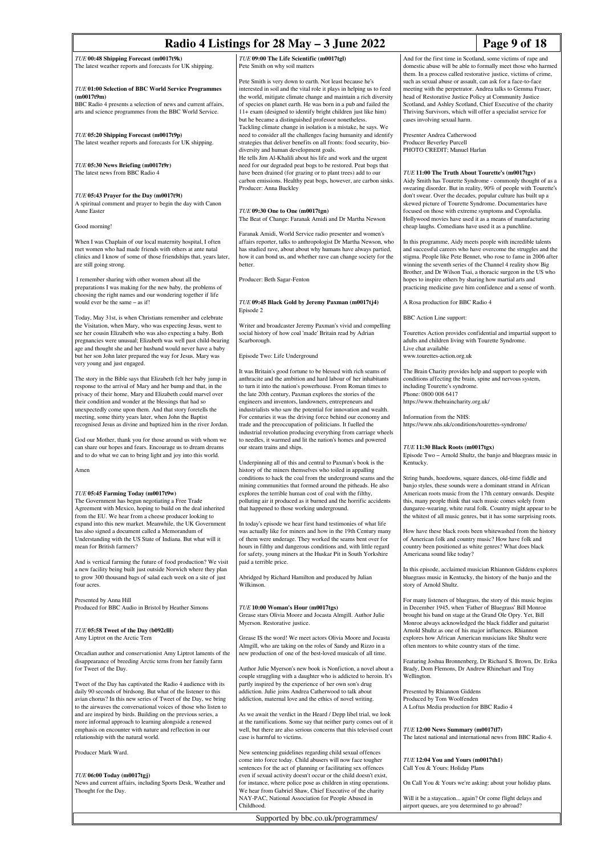# **Radio 4 Listings for 28 May – 3 June 2022 Page 9 of 18**

### *TUE* **00:48 Shipping Forecast (m0017t9k)** The latest weather reports and forecasts for UK shipping.

# *TUE* **01:00 Selection of BBC World Service Programmes (m0017t9m)**

BBC Radio 4 presents a selection of news and current affairs, arts and science programmes from the BBC World Service.

*TUE* **05:20 Shipping Forecast (m0017t9p)** The latest weather reports and forecasts for UK shipping.

# *TUE* **05:30 News Briefing (m0017t9r)** The latest news from BBC Radio 4

# *TUE* **05:43 Prayer for the Day (m0017t9t)**

A spiritual comment and prayer to begin the day with Canon Anne Easte

## Good morning!

When I was Chaplain of our local maternity hospital, I often met women who had made friends with others at ante natal clinics and I know of some of those friendships that, years later, are still going strong.

 I remember sharing with other women about all the preparations I was making for the new baby, the problems of choosing the right names and our wondering together if life would ever be the same  $=$  as if

Today, May 31st, is when Christians remember and celebrate the Visitation, when Mary, who was expecting Jesus, went to see her cousin Elizabeth who was also expecting a baby. Both pregnancies were unusual; Elizabeth was well past child-bearing age and thought she and her husband would never have a baby but her son John later prepared the way for Jesus. Mary was very young and just engaged.

The story in the Bible says that Elizabeth felt her baby jump in response to the arrival of Mary and her bump and that, in the privacy of their home, Mary and Elizabeth could marvel over their condition and wonder at the blessings that had so unexpectedly come upon them. And that story foretells the meeting, some thirty years later, when John the Baptist recognised Jesus as divine and baptized him in the river Jordan.

God our Mother, thank you for those around us with whom we can share our hopes and fears. Encourage us to dream dreams and to do what we can to bring light and joy into this world.

Amen

# *TUE* **05:45 Farming Today (m0017t9w)**

The Government has begun negotiating a Free Trade Agreement with Mexico, hoping to build on the deal inherited from the EU. We hear from a cheese producer looking to expand into this new market. Meanwhile, the UK Government has also signed a document called a Memorandum of Understanding with the US State of Indiana. But what will it mean for British farmers?

And is vertical farming the future of food production? We visit a new facility being built just outside Norwich where they plan to grow 300 thousand bags of salad each week on a site of just four acres.

Presented by Anna Hill Produced for BBC Audio in Bristol by Heather Simons

### *TUE* **05:58 Tweet of the Day (b092clll)** Amy Liptrot on the Arctic Tern

Orcadian author and conservationist Amy Liptrot laments of the disappearance of breeding Arctic terns from her family farm for Tweet of the Day.

Tweet of the Day has captivated the Radio 4 audience with its daily 90 seconds of birdsong. But what of the listener to this avian chorus? In this new series of Tweet of the Day, we bring to the airwaves the conversational voices of those who listen to and are inspired by birds. Building on the previous series, a more informal approach to learning alongside a renewed emphasis on encounter with nature and reflection in our relationship with the natural world.

Producer Mark Ward.

*TUE* **06:00 Today (m0017tgj)** News and current affairs, including Sports Desk, Weather and Thought for the Day.

*TUE* **09:00 The Life Scientific (m0017tgl)** Pete Smith on why soil matters

Pete Smith is very down to earth. Not least because he's interested in soil and the vital role it plays in helping us to feed the world, mitigate climate change and maintain a rich diversity of species on planet earth. He was born in a pub and failed the 11+ exam (designed to identify bright children just like him) but he became a distinguished professor nonetheless. Tackling climate change in isolation is a mistake, he says. We need to consider all the challenges facing humanity and identify strategies that deliver benefits on all fronts: food security, biodiversity and human development goals.

He tells Jim Al-Khalili about his life and work and the urgent need for our degraded peat bogs to be restored. Peat bogs that have been drained (for grazing or to plant trees) add to our carbon emissions. Healthy peat bogs, however, are carbon sinks. Producer: Anna Buckley

## *TUE* **09:30 One to One (m0017tgn)** The Beat of Change: Faranak Amidi and Dr Martha Newson

Faranak Amidi, World Service radio presenter and women's affairs reporter, talks to anthropologist Dr Martha Newson, who has studied rave, about about why humans have always partied, how it can bond us, and whether rave can change society for the better.

Producer: Beth Sagar-Fenton

# *TUE* **09:45 Black Gold by Jeremy Paxman (m0017tj4)** Episode 2

Writer and broadcaster Jeremy Paxman's vivid and compelling social history of how coal 'made' Britain read by Adrian **Scarborough** 

Episode Two: Life Underground

It was Britain's good fortune to be blessed with rich seams of anthracite and the ambition and hard labour of her inhabitants to turn it into the nation's powerhouse. From Roman times to the late 20th century, Paxman explores the stories of the engineers and inventors, landowners, entrepreneurs and industrialists who saw the potential for innovation and wealth. For centuries it was the driving force behind our economy and trade and the preoccupation of politicians. It fuelled the industrial revolution producing everything from carriage wheels to needles, it warmed and lit the nation's homes and powered our steam trains and ships.

Underpinning all of this and central to Paxman's book is the history of the miners themselves who toiled in appalling conditions to hack the coal from the underground seams and the mining communities that formed around the pitheads. He also explores the terrible human cost of coal with the filthy, polluting air it produced as it burned and the horrific accidents that happened to those working underground.

In today's episode we hear first hand testimonies of what life was actually like for miners and how in the 19th Century many of them were underage. They worked the seams bent over for hours in filthy and dangerous conditions and, with little regard for safety, young miners at the Huskar Pit in South Yorkshire paid a terrible price.

Abridged by Richard Hamilton and produced by Julian Wilkinson

# *TUE* **10:00 Woman's Hour (m0017tgs)**

Grease stars Olivia Moore and Jocasta Almgill. Author Julie Myerson. Restorative justice.

Grease IS the word! We meet actors Olivia Moore and Jocasta Almgill, who are taking on the roles of Sandy and Rizzo in a new production of one of the best-loved musical

Author Julie Myerson's new book is Nonfiction, a novel about a couple struggling with a daughter who is addicted to heroin. It's partly inspired by the experience of her own son's drug addiction. Julie joins Andrea Catherwood to talk about addiction, maternal love and the ethics of novel writing.

As we await the verdict in the Heard / Depp libel trial, we look at the ramifications. Some say that neither party comes out of it well, but there are also serious concerns that this televised court case is harmful to victims.

New sentencing guidelines regarding child sexual offences come into force today. Child abusers will now face tougher sentences for the act of planning or facilitating sex offences even if sexual activity doesn't occur or the child doesn't exist, for instance, where police pose as children in sting operations. We hear from Gabriel Shaw, Chief Executive of the charity NAY-PAC, National Association for People Abused in Childhood.

Supported by bbc.co.uk/programmes/

And for the first time in Scotland, some victims of rape and domestic abuse will be able to formally meet those who harme them. In a process called restorative justice, victims of crim such as sexual abuse or assault, can ask for a face-to-face meeting with the perpetrator. Andrea talks to Gemma Fraser head of Restorative Justice Policy at Community Justice Scotland, and Ashley Scotland, Chief Executive of the charity Thriving Survivors, which will offer a specialist service for cases involving sexual harm.

Presenter Andrea Catherwood Producer Beverley Purcell PHOTO CREDIT: Manuel Harlan

# *TUE* **11:00 The Truth About Tourette's (m0017tgv)**

Aidy Smith has Tourette Syndrome - commonly thought of as a swearing disorder. But in reality, 90% of people with Tourette's don't swear. Over the decades, popular culture has built up a skewed picture of Tourette Syndrome. Documentaries have focused on those with extreme symptoms and Coprolalia. Hollywood movies have used it as a means of manufacturing cheap laughs. Comedians have used it as a punchline.

In this programme, Aidy meets people with incredible talents and successful careers who have overcome the struggles and the stigma. People like Pete Bennet, who rose to fame in 2006 after winning the seventh series of the Channel 4 reality show Big Brother, and Dr Wilson Tsai, a thoracic surgeon in the US who hopes to inspire others by sharing how martial arts and practicing medicine gave him confidence and a sense of worth.

A Rosa production for BBC Radio 4

BBC Action Line support:

Tourettes Action provides confidential and impartial support to adults and children living with Tourette Syndrome. Live chat available www.tourettes-action.org.uk

The Brain Charity provides help and support to people with conditions affecting the brain, spine and nervous system, including Tourette's syndrome. Phone: 0800 008 6417 https://www.thebraincharity.org.uk/

Information from the NHS: https://www.nhs.uk/conditions/tourettes-syndrome/

# *TUE* **11:30 Black Roots (m0017tgx)**

Episode Two – Arnold Shultz, the banjo and bluegrass music in – r<br>Kentucky.

String bands, hoedowns, square dances, old-time fiddle and banjo styles, these sounds were a dominant strand in African American roots music from the 17th century onwards. Despite this, many people think that such music comes solely from dungaree-wearing, white rural folk. Country might appear to be the whitest of all music genres, but it has some surprising roots.

How have these black roots been whitewashed from the history of American folk and country music? How have folk and country been positioned as white genres? What does black Americana sound like today?

In this episode, acclaimed musician Rhiannon Giddens explores bluegrass music in Kentucky, the history of the banjo and the story of Arnold Shultz.

For many listeners of bluegrass, the story of this music begins in December 1945, when 'Father of Bluegrass' Bill Monroe brought his band on stage at the Grand Ole Opry. Yet, Bill Monroe always acknowledged the black fiddler and guitarist Arnold Shultz as one of his major influences. Rhiannon explores how African American musicians like Shultz were often mentors to white country stars of the time.

Featuring Joshua Bronnenberg, Dr Richard S. Brown, Dr. Erika Brady, Dom Flemons, Dr Andrew Rhinehart and Tray Wellington.

Presented by Rhiannon Giddens Produced by Tom Woolfenden A Loftus Media production for BBC Radio 4

*TUE* **12:00 News Summary (m0017tl7)** The latest national and international news from BBC Radio 4.

*TUE* **12:04 You and Yours (m0017th1)** Call You & Yours: Holiday Plans

On Call You & Yours we're asking: about your holiday plans.

Will it be a staycation... again? Or come flight delays and airport queues, are you determined to go abroad?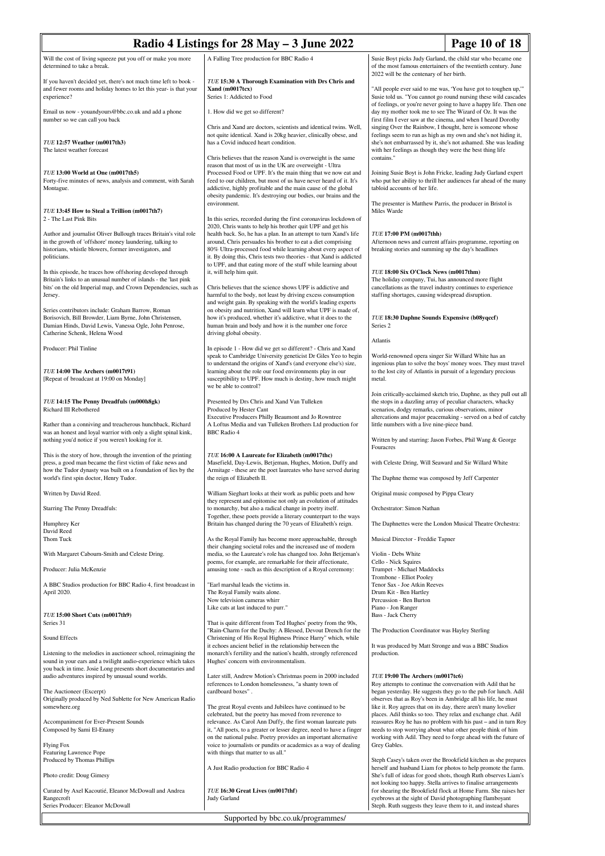| Will the cost of living squeeze put you off or make you more<br>A Falling Tree production for BBC Radio 4<br>Susie Boyt picks Judy Garland, the child star who became one<br>determined to take a break.<br>of the most famous entertainers of the twentieth century. June<br>2022 will be the centenary of her birth.<br>If you haven't decided yet, there's not much time left to book -<br>TUE 15:30 A Thorough Examination with Drs Chris and<br>and fewer rooms and holiday homes to let this year- is that your<br>Xand (m0017tcx)<br>"All people ever said to me was, 'You have got to toughen up,"<br>Series 1: Addicted to Food<br>Susie told us. "You cannot go round nursing these wild cascades<br>experience?<br>of feelings, or you're never going to have a happy life. Then one<br>Email us now - youandyours@bbc.co.uk and add a phone<br>day my mother took me to see The Wizard of Oz. It was the<br>1. How did we get so different?<br>number so we can call you back<br>first film I ever saw at the cinema, and when I heard Dorothy<br>Chris and Xand are doctors, scientists and identical twins. Well,<br>singing Over the Rainbow, I thought, here is someone whose<br>not quite identical. Xand is 20kg heavier, clinically obese, and<br>feelings seem to run as high as my own and she's not hiding it,<br>TUE 12:57 Weather (m0017th3)<br>has a Covid induced heart condition.<br>she's not embarrassed by it, she's not ashamed. She was leading<br>The latest weather forecast<br>with her feelings as though they were the best thing life<br>Chris believes that the reason Xand is overweight is the same<br>contains."<br>reason that most of us in the UK are overweight - Ultra<br>TUE 13:00 World at One (m0017th5)<br>Processed Food or UPF. It's the main thing that we now eat and<br>Joining Susie Boyt is John Fricke, leading Judy Garland expert<br>Forty-five minutes of news, analysis and comment, with Sarah<br>feed to our children, but most of us have never heard of it. It's<br>who put her ability to thrill her audiences far ahead of the many<br>addictive, highly profitable and the main cause of the global<br>tabloid accounts of her life.<br>Montague.<br>obesity pandemic. It's destroying our bodies, our brains and the<br>environment.<br>The presenter is Matthew Parris, the producer in Bristol is<br>TUE 13:45 How to Steal a Trillion (m0017th7)<br>Miles Warde<br>2 - The Last Pink Bits<br>In this series, recorded during the first coronavirus lockdown of<br>2020, Chris wants to help his brother quit UPF and get his<br>Author and journalist Oliver Bullough traces Britain's vital role<br>health back. So, he has a plan. In an attempt to turn Xand's life<br>TUE 17:00 PM (m0017thh)<br>in the growth of 'offshore' money laundering, talking to<br>around, Chris persuades his brother to eat a diet comprising<br>Afternoon news and current affairs programme, reporting on<br>historians, whistle blowers, former investigators, and<br>80% Ultra-processed food while learning about every aspect of<br>breaking stories and summing up the day's headlines<br>politicians.<br>it. By doing this, Chris tests two theories - that Xand is addicted<br>to UPF, and that eating more of the stuff while learning about<br>it, will help him quit.<br>TUE 18:00 Six O'Clock News (m0017thm)<br>In this episode, he traces how offshoring developed through<br>Britain's links to an unusual number of islands - the 'last pink<br>The holiday company, Tui, has announced more flight<br>Chris believes that the science shows UPF is addictive and<br>cancellations as the travel industry continues to experience<br>bits' on the old Imperial map, and Crown Dependencies, such as<br>harmful to the body, not least by driving excess consumption<br>staffing shortages, causing widespread disruption.<br>Jersey.<br>and weight gain. By speaking with the world's leading experts<br>on obesity and nutrition, Xand will learn what UPF is made of,<br>Series contributors include: Graham Barrow, Roman<br>how it's produced, whether it's addictive, what it does to the<br>TUE 18:30 Daphne Sounds Expensive (b08yqccf)<br>Borisovich, Bill Browder, Liam Byrne, John Christensen,<br>Damian Hinds, David Lewis, Vanessa Ogle, John Penrose,<br>human brain and body and how it is the number one force<br>Series <sub>2</sub><br>Catherine Schenk, Helena Wood<br>driving global obesity.<br>Atlantis<br>Producer: Phil Tinline<br>In episode 1 - How did we get so different? - Chris and Xand<br>World-renowned opera singer Sir Willard White has an<br>speak to Cambridge University geneticist Dr Giles Yeo to begin<br>to understand the origins of Xand's (and everyone else's) size,<br>ingenious plan to solve the boys' money woes. They must travel<br>TUE 14:00 The Archers (m0017t91)<br>learning about the role our food environments play in our<br>to the lost city of Atlantis in pursuit of a legendary precious<br>[Repeat of broadcast at 19:00 on Monday]<br>susceptibility to UPF. How much is destiny, how much might<br>metal.<br>we be able to control?<br>Join critically-acclaimed sketch trio, Daphne, as they pull out all<br>TUE 14:15 The Penny Dreadfuls (m000h8gk)<br>Presented by Drs Chris and Xand Van Tulleken<br>the stops in a dazzling array of peculiar characters, whacky<br>Richard III Rebothered<br>Produced by Hester Cant<br>scenarios, dodgy remarks, curious observations, minor<br>Executive Producers Philly Beaumont and Jo Rowntree<br>altercations and major peacemaking - served on a bed of catchy<br>Rather than a conniving and treacherous hunchback, Richard<br>A Loftus Media and van Tulleken Brothers Ltd production for<br>little numbers with a live nine-piece band.<br>was an honest and loyal warrior with only a slight spinal kink,<br><b>BBC</b> Radio 4<br>nothing you'd notice if you weren't looking for it.<br>Written by and starring: Jason Forbes, Phil Wang & George<br>Fouracres<br>TUE 16:00 A Laureate for Elizabeth (m0017thc)<br>This is the story of how, through the invention of the printing<br>press, a good man became the first victim of fake news and<br>Masefield, Day-Lewis, Betjeman, Hughes, Motion, Duffy and<br>with Celeste Dring, Will Seaward and Sir Willard White<br>how the Tudor dynasty was built on a foundation of lies by the<br>Armitage - these are the poet laureates who have served during<br>world's first spin doctor, Henry Tudor.<br>the reign of Elizabeth II.<br>The Daphne theme was composed by Jeff Carpenter<br>Written by David Reed.<br>William Sieghart looks at their work as public poets and how<br>Original music composed by Pippa Cleary<br>they represent and epitomise not only an evolution of attitudes<br>to monarchy, but also a radical change in poetry itself.<br>Orchestrator: Simon Nathan<br>Starring The Penny Dreadfuls:<br>Together, these poets provide a literary counterpart to the ways<br>Britain has changed during the 70 years of Elizabeth's reign.<br>Humphrey Ker<br>The Daphnettes were the London Musical Theatre Orchestra:<br>David Reed<br>Thom Tuck<br>As the Royal Family has become more approachable, through<br>Musical Director - Freddie Tapner<br>their changing societal roles and the increased use of modern<br>With Margaret Cabourn-Smith and Celeste Dring.<br>media, so the Laureate's role has changed too. John Betjeman's<br>Violin - Debs White<br>Cello - Nick Squires<br>poems, for example, are remarkable for their affectionate,<br>Producer: Julia McKenzie<br>Trumpet - Michael Maddocks<br>amusing tone - such as this description of a Royal ceremony:<br>Trombone - Elliot Pooley<br>A BBC Studios production for BBC Radio 4, first broadcast in<br>"Earl marshal leads the victims in.<br>Tenor Sax - Joe Atkin Reeves<br>April 2020.<br>The Royal Family waits alone.<br>Drum Kit - Ben Hartley<br>Now television cameras whirr<br>Percussion - Ben Burton<br>Like cats at last induced to purr."<br>Piano - Jon Ranger<br>TUE 15:00 Short Cuts (m0017th9)<br>Bass - Jack Cherry<br>Series 31<br>That is quite different from Ted Hughes' poetry from the 90s,<br>"Rain-Charm for the Duchy: A Blessed, Devout Drench for the<br>The Production Coordinator was Hayley Sterling<br>Sound Effects<br>Christening of His Royal Highness Prince Harry" which, while<br>it echoes ancient belief in the relationship between the<br>It was produced by Matt Stronge and was a BBC Studios<br>monarch's fertility and the nation's health, strongly referenced<br>Listening to the melodies in auctioneer school, reimagining the<br>production.<br>sound in your ears and a twilight audio-experience which takes<br>Hughes' concern with environmentalism.<br>you back in time. Josie Long presents short documentaries and<br>audio adventures inspired by unusual sound worlds.<br>TUE 19:00 The Archers (m0017tc6)<br>Later still, Andrew Motion's Christmas poem in 2000 included<br>references to London homelessness, "a shanty town of<br>Roy attempts to continue the conversation with Adil that he<br>began yesterday. He suggests they go to the pub for lunch. Adil<br>The Auctioneer (Excerpt)<br>cardboard boxes".<br>Originally produced by Ned Sublette for New American Radio<br>observes that as Roy's been in Ambridge all his life, he must<br>like it. Roy agrees that on its day, there aren't many lovelier<br>somewhere.org<br>The great Royal events and Jubilees have continued to be<br>celebrated, but the poetry has moved from reverence to<br>places. Adil thinks so too. They relax and exchange chat. Adil<br>relevance. As Carol Ann Duffy, the first woman laureate puts<br>reassures Roy he has no problem with his past – and in turn Roy<br>Accompaniment for Ever-Present Sounds<br>Composed by Sami El-Enany<br>it, "All poets, to a greater or lesser degree, need to have a finger<br>needs to stop worrying about what other people think of him<br>on the national pulse. Poetry provides an important alternative<br>working with Adil. They need to forge ahead with the future of<br>voice to journalists or pundits or academics as a way of dealing<br>Grey Gables.<br><b>Flying Fox</b><br>Featuring Lawrence Pope<br>with things that matter to us all."<br>Produced by Thomas Phillips<br>Steph Casey's taken over the Brookfield kitchen as she prepares<br>herself and husband Liam for photos to help promote the farm.<br>A Just Radio production for BBC Radio 4<br>She's full of ideas for good shots, though Ruth observes Liam's<br>Photo credit: Doug Gimesy<br>not looking too happy. Stella arrives to finalise arrangements<br>TUE 16:30 Great Lives (m0017thf)<br>for shearing the Brookfield flock at Home Farm. She raises her<br>Curated by Axel Kacoutié, Eleanor McDowall and Andrea<br>Rangecroft<br><b>Judy Garland</b><br>eyebrows at the sight of David photographing flamboyant<br>Series Producer: Eleanor McDowall<br>Steph. Ruth suggests they leave them to it, and instead shares | Radio 4 Listings for 28 May - 3 June 2022<br>Page 10 of 18 |                                    |  |  |
|------------------------------------------------------------------------------------------------------------------------------------------------------------------------------------------------------------------------------------------------------------------------------------------------------------------------------------------------------------------------------------------------------------------------------------------------------------------------------------------------------------------------------------------------------------------------------------------------------------------------------------------------------------------------------------------------------------------------------------------------------------------------------------------------------------------------------------------------------------------------------------------------------------------------------------------------------------------------------------------------------------------------------------------------------------------------------------------------------------------------------------------------------------------------------------------------------------------------------------------------------------------------------------------------------------------------------------------------------------------------------------------------------------------------------------------------------------------------------------------------------------------------------------------------------------------------------------------------------------------------------------------------------------------------------------------------------------------------------------------------------------------------------------------------------------------------------------------------------------------------------------------------------------------------------------------------------------------------------------------------------------------------------------------------------------------------------------------------------------------------------------------------------------------------------------------------------------------------------------------------------------------------------------------------------------------------------------------------------------------------------------------------------------------------------------------------------------------------------------------------------------------------------------------------------------------------------------------------------------------------------------------------------------------------------------------------------------------------------------------------------------------------------------------------------------------------------------------------------------------------------------------------------------------------------------------------------------------------------------------------------------------------------------------------------------------------------------------------------------------------------------------------------------------------------------------------------------------------------------------------------------------------------------------------------------------------------------------------------------------------------------------------------------------------------------------------------------------------------------------------------------------------------------------------------------------------------------------------------------------------------------------------------------------------------------------------------------------------------------------------------------------------------------------------------------------------------------------------------------------------------------------------------------------------------------------------------------------------------------------------------------------------------------------------------------------------------------------------------------------------------------------------------------------------------------------------------------------------------------------------------------------------------------------------------------------------------------------------------------------------------------------------------------------------------------------------------------------------------------------------------------------------------------------------------------------------------------------------------------------------------------------------------------------------------------------------------------------------------------------------------------------------------------------------------------------------------------------------------------------------------------------------------------------------------------------------------------------------------------------------------------------------------------------------------------------------------------------------------------------------------------------------------------------------------------------------------------------------------------------------------------------------------------------------------------------------------------------------------------------------------------------------------------------------------------------------------------------------------------------------------------------------------------------------------------------------------------------------------------------------------------------------------------------------------------------------------------------------------------------------------------------------------------------------------------------------------------------------------------------------------------------------------------------------------------------------------------------------------------------------------------------------------------------------------------------------------------------------------------------------------------------------------------------------------------------------------------------------------------------------------------------------------------------------------------------------------------------------------------------------------------------------------------------------------------------------------------------------------------------------------------------------------------------------------------------------------------------------------------------------------------------------------------------------------------------------------------------------------------------------------------------------------------------------------------------------------------------------------------------------------------------------------------------------------------------------------------------------------------------------------------------------------------------------------------------------------------------------------------------------------------------------------------------------------------------------------------------------------------------------------------------------------------------------------------------------------------------------------------------------------------------------------------------------------------------------------------------------------------------------------------------------------------------------------------------------------------------------------------------------------------------------------------------------------------------------------------------------------------------------------------------------------------------------------------------------------------------------------------------------------------------------------------------------------------------------------------------------------------------------------------------------------------------------------------------------------------------------------------------------------------------------------------------------------------------------------------------------------------------------------------------------------------------------------------------------------------------------------------------------------------------------------------------------------------------------------------------------------------------------------------------------------------------------------------------------------------------------------------------------------------------------------------------------------------------------------------------------------------------------------------------------------------------------------------------------------------------------------------------------------------------------------------------------------------------------------------------------------------------------------------------------------------------------------------------------------------------------------------------------------------------------------------------------------------------------------------------------------------------------------------------------------------------------------------------------------------------------------------------------------------------------------------------------------------------------------------------------------------------------------------------------------------------------------------------------------------------------------------------------------------------------------------------------------------------------------------------------------------------------------------------------------------------------------------------------------------------------------------------------------------------------------------------------------------------------------------------------------------------------------------------------------------------------------------------------------------------------------------------------------------------------------------------------------------------------------------------------------------------------------------------------------------------------------------------------------------------------------------------------------------------------------------------------------------------------------------------------------------------------------------------------------------------------------------------------------------------------------------------------------------------------------------------------------------------------------------------------------------------------------------------------------------------------------------------------------------------------------------------------------------------------------------------------------------------------------------------------------------------------------------------------------------------------------------------------------------------------------------------------------------------------------------------------|------------------------------------------------------------|------------------------------------|--|--|
|                                                                                                                                                                                                                                                                                                                                                                                                                                                                                                                                                                                                                                                                                                                                                                                                                                                                                                                                                                                                                                                                                                                                                                                                                                                                                                                                                                                                                                                                                                                                                                                                                                                                                                                                                                                                                                                                                                                                                                                                                                                                                                                                                                                                                                                                                                                                                                                                                                                                                                                                                                                                                                                                                                                                                                                                                                                                                                                                                                                                                                                                                                                                                                                                                                                                                                                                                                                                                                                                                                                                                                                                                                                                                                                                                                                                                                                                                                                                                                                                                                                                                                                                                                                                                                                                                                                                                                                                                                                                                                                                                                                                                                                                                                                                                                                                                                                                                                                                                                                                                                                                                                                                                                                                                                                                                                                                                                                                                                                                                                                                                                                                                                                                                                                                                                                                                                                                                                                                                                                                                                                                                                                                                                                                                                                                                                                                                                                                                                                                                                                                                                                                                                                                                                                                                                                                                                                                                                                                                                                                                                                                                                                                                                                                                                                                                                                                                                                                                                                                                                                                                                                                                                                                                                                                                                                                                                                                                                                                                                                                                                                                                                                                                                                                                                                                                                                                                                                                                                                                                                                                                                                                                                                                                                                                                                                                                                                                                                                                                                                                                                                                                                                                                                                                                                                                                                                                                                                                                                                                                                                                                                                                                                                                                                                                                                                                                                                                                                                                                                                                                                                                                                                                                                                                                                                                                                                                                                                                                                                                                                                                                                                                                                                                                                                                                                                                                                                                                                                                                                                                                                                                                                                                                                        |                                                            |                                    |  |  |
|                                                                                                                                                                                                                                                                                                                                                                                                                                                                                                                                                                                                                                                                                                                                                                                                                                                                                                                                                                                                                                                                                                                                                                                                                                                                                                                                                                                                                                                                                                                                                                                                                                                                                                                                                                                                                                                                                                                                                                                                                                                                                                                                                                                                                                                                                                                                                                                                                                                                                                                                                                                                                                                                                                                                                                                                                                                                                                                                                                                                                                                                                                                                                                                                                                                                                                                                                                                                                                                                                                                                                                                                                                                                                                                                                                                                                                                                                                                                                                                                                                                                                                                                                                                                                                                                                                                                                                                                                                                                                                                                                                                                                                                                                                                                                                                                                                                                                                                                                                                                                                                                                                                                                                                                                                                                                                                                                                                                                                                                                                                                                                                                                                                                                                                                                                                                                                                                                                                                                                                                                                                                                                                                                                                                                                                                                                                                                                                                                                                                                                                                                                                                                                                                                                                                                                                                                                                                                                                                                                                                                                                                                                                                                                                                                                                                                                                                                                                                                                                                                                                                                                                                                                                                                                                                                                                                                                                                                                                                                                                                                                                                                                                                                                                                                                                                                                                                                                                                                                                                                                                                                                                                                                                                                                                                                                                                                                                                                                                                                                                                                                                                                                                                                                                                                                                                                                                                                                                                                                                                                                                                                                                                                                                                                                                                                                                                                                                                                                                                                                                                                                                                                                                                                                                                                                                                                                                                                                                                                                                                                                                                                                                                                                                                                                                                                                                                                                                                                                                                                                                                                                                                                                                                                                        |                                                            |                                    |  |  |
|                                                                                                                                                                                                                                                                                                                                                                                                                                                                                                                                                                                                                                                                                                                                                                                                                                                                                                                                                                                                                                                                                                                                                                                                                                                                                                                                                                                                                                                                                                                                                                                                                                                                                                                                                                                                                                                                                                                                                                                                                                                                                                                                                                                                                                                                                                                                                                                                                                                                                                                                                                                                                                                                                                                                                                                                                                                                                                                                                                                                                                                                                                                                                                                                                                                                                                                                                                                                                                                                                                                                                                                                                                                                                                                                                                                                                                                                                                                                                                                                                                                                                                                                                                                                                                                                                                                                                                                                                                                                                                                                                                                                                                                                                                                                                                                                                                                                                                                                                                                                                                                                                                                                                                                                                                                                                                                                                                                                                                                                                                                                                                                                                                                                                                                                                                                                                                                                                                                                                                                                                                                                                                                                                                                                                                                                                                                                                                                                                                                                                                                                                                                                                                                                                                                                                                                                                                                                                                                                                                                                                                                                                                                                                                                                                                                                                                                                                                                                                                                                                                                                                                                                                                                                                                                                                                                                                                                                                                                                                                                                                                                                                                                                                                                                                                                                                                                                                                                                                                                                                                                                                                                                                                                                                                                                                                                                                                                                                                                                                                                                                                                                                                                                                                                                                                                                                                                                                                                                                                                                                                                                                                                                                                                                                                                                                                                                                                                                                                                                                                                                                                                                                                                                                                                                                                                                                                                                                                                                                                                                                                                                                                                                                                                                                                                                                                                                                                                                                                                                                                                                                                                                                                                                                                        |                                                            |                                    |  |  |
|                                                                                                                                                                                                                                                                                                                                                                                                                                                                                                                                                                                                                                                                                                                                                                                                                                                                                                                                                                                                                                                                                                                                                                                                                                                                                                                                                                                                                                                                                                                                                                                                                                                                                                                                                                                                                                                                                                                                                                                                                                                                                                                                                                                                                                                                                                                                                                                                                                                                                                                                                                                                                                                                                                                                                                                                                                                                                                                                                                                                                                                                                                                                                                                                                                                                                                                                                                                                                                                                                                                                                                                                                                                                                                                                                                                                                                                                                                                                                                                                                                                                                                                                                                                                                                                                                                                                                                                                                                                                                                                                                                                                                                                                                                                                                                                                                                                                                                                                                                                                                                                                                                                                                                                                                                                                                                                                                                                                                                                                                                                                                                                                                                                                                                                                                                                                                                                                                                                                                                                                                                                                                                                                                                                                                                                                                                                                                                                                                                                                                                                                                                                                                                                                                                                                                                                                                                                                                                                                                                                                                                                                                                                                                                                                                                                                                                                                                                                                                                                                                                                                                                                                                                                                                                                                                                                                                                                                                                                                                                                                                                                                                                                                                                                                                                                                                                                                                                                                                                                                                                                                                                                                                                                                                                                                                                                                                                                                                                                                                                                                                                                                                                                                                                                                                                                                                                                                                                                                                                                                                                                                                                                                                                                                                                                                                                                                                                                                                                                                                                                                                                                                                                                                                                                                                                                                                                                                                                                                                                                                                                                                                                                                                                                                                                                                                                                                                                                                                                                                                                                                                                                                                                                                                                        |                                                            |                                    |  |  |
|                                                                                                                                                                                                                                                                                                                                                                                                                                                                                                                                                                                                                                                                                                                                                                                                                                                                                                                                                                                                                                                                                                                                                                                                                                                                                                                                                                                                                                                                                                                                                                                                                                                                                                                                                                                                                                                                                                                                                                                                                                                                                                                                                                                                                                                                                                                                                                                                                                                                                                                                                                                                                                                                                                                                                                                                                                                                                                                                                                                                                                                                                                                                                                                                                                                                                                                                                                                                                                                                                                                                                                                                                                                                                                                                                                                                                                                                                                                                                                                                                                                                                                                                                                                                                                                                                                                                                                                                                                                                                                                                                                                                                                                                                                                                                                                                                                                                                                                                                                                                                                                                                                                                                                                                                                                                                                                                                                                                                                                                                                                                                                                                                                                                                                                                                                                                                                                                                                                                                                                                                                                                                                                                                                                                                                                                                                                                                                                                                                                                                                                                                                                                                                                                                                                                                                                                                                                                                                                                                                                                                                                                                                                                                                                                                                                                                                                                                                                                                                                                                                                                                                                                                                                                                                                                                                                                                                                                                                                                                                                                                                                                                                                                                                                                                                                                                                                                                                                                                                                                                                                                                                                                                                                                                                                                                                                                                                                                                                                                                                                                                                                                                                                                                                                                                                                                                                                                                                                                                                                                                                                                                                                                                                                                                                                                                                                                                                                                                                                                                                                                                                                                                                                                                                                                                                                                                                                                                                                                                                                                                                                                                                                                                                                                                                                                                                                                                                                                                                                                                                                                                                                                                                                                                                        |                                                            |                                    |  |  |
|                                                                                                                                                                                                                                                                                                                                                                                                                                                                                                                                                                                                                                                                                                                                                                                                                                                                                                                                                                                                                                                                                                                                                                                                                                                                                                                                                                                                                                                                                                                                                                                                                                                                                                                                                                                                                                                                                                                                                                                                                                                                                                                                                                                                                                                                                                                                                                                                                                                                                                                                                                                                                                                                                                                                                                                                                                                                                                                                                                                                                                                                                                                                                                                                                                                                                                                                                                                                                                                                                                                                                                                                                                                                                                                                                                                                                                                                                                                                                                                                                                                                                                                                                                                                                                                                                                                                                                                                                                                                                                                                                                                                                                                                                                                                                                                                                                                                                                                                                                                                                                                                                                                                                                                                                                                                                                                                                                                                                                                                                                                                                                                                                                                                                                                                                                                                                                                                                                                                                                                                                                                                                                                                                                                                                                                                                                                                                                                                                                                                                                                                                                                                                                                                                                                                                                                                                                                                                                                                                                                                                                                                                                                                                                                                                                                                                                                                                                                                                                                                                                                                                                                                                                                                                                                                                                                                                                                                                                                                                                                                                                                                                                                                                                                                                                                                                                                                                                                                                                                                                                                                                                                                                                                                                                                                                                                                                                                                                                                                                                                                                                                                                                                                                                                                                                                                                                                                                                                                                                                                                                                                                                                                                                                                                                                                                                                                                                                                                                                                                                                                                                                                                                                                                                                                                                                                                                                                                                                                                                                                                                                                                                                                                                                                                                                                                                                                                                                                                                                                                                                                                                                                                                                                                                        |                                                            |                                    |  |  |
|                                                                                                                                                                                                                                                                                                                                                                                                                                                                                                                                                                                                                                                                                                                                                                                                                                                                                                                                                                                                                                                                                                                                                                                                                                                                                                                                                                                                                                                                                                                                                                                                                                                                                                                                                                                                                                                                                                                                                                                                                                                                                                                                                                                                                                                                                                                                                                                                                                                                                                                                                                                                                                                                                                                                                                                                                                                                                                                                                                                                                                                                                                                                                                                                                                                                                                                                                                                                                                                                                                                                                                                                                                                                                                                                                                                                                                                                                                                                                                                                                                                                                                                                                                                                                                                                                                                                                                                                                                                                                                                                                                                                                                                                                                                                                                                                                                                                                                                                                                                                                                                                                                                                                                                                                                                                                                                                                                                                                                                                                                                                                                                                                                                                                                                                                                                                                                                                                                                                                                                                                                                                                                                                                                                                                                                                                                                                                                                                                                                                                                                                                                                                                                                                                                                                                                                                                                                                                                                                                                                                                                                                                                                                                                                                                                                                                                                                                                                                                                                                                                                                                                                                                                                                                                                                                                                                                                                                                                                                                                                                                                                                                                                                                                                                                                                                                                                                                                                                                                                                                                                                                                                                                                                                                                                                                                                                                                                                                                                                                                                                                                                                                                                                                                                                                                                                                                                                                                                                                                                                                                                                                                                                                                                                                                                                                                                                                                                                                                                                                                                                                                                                                                                                                                                                                                                                                                                                                                                                                                                                                                                                                                                                                                                                                                                                                                                                                                                                                                                                                                                                                                                                                                                                                                        |                                                            |                                    |  |  |
|                                                                                                                                                                                                                                                                                                                                                                                                                                                                                                                                                                                                                                                                                                                                                                                                                                                                                                                                                                                                                                                                                                                                                                                                                                                                                                                                                                                                                                                                                                                                                                                                                                                                                                                                                                                                                                                                                                                                                                                                                                                                                                                                                                                                                                                                                                                                                                                                                                                                                                                                                                                                                                                                                                                                                                                                                                                                                                                                                                                                                                                                                                                                                                                                                                                                                                                                                                                                                                                                                                                                                                                                                                                                                                                                                                                                                                                                                                                                                                                                                                                                                                                                                                                                                                                                                                                                                                                                                                                                                                                                                                                                                                                                                                                                                                                                                                                                                                                                                                                                                                                                                                                                                                                                                                                                                                                                                                                                                                                                                                                                                                                                                                                                                                                                                                                                                                                                                                                                                                                                                                                                                                                                                                                                                                                                                                                                                                                                                                                                                                                                                                                                                                                                                                                                                                                                                                                                                                                                                                                                                                                                                                                                                                                                                                                                                                                                                                                                                                                                                                                                                                                                                                                                                                                                                                                                                                                                                                                                                                                                                                                                                                                                                                                                                                                                                                                                                                                                                                                                                                                                                                                                                                                                                                                                                                                                                                                                                                                                                                                                                                                                                                                                                                                                                                                                                                                                                                                                                                                                                                                                                                                                                                                                                                                                                                                                                                                                                                                                                                                                                                                                                                                                                                                                                                                                                                                                                                                                                                                                                                                                                                                                                                                                                                                                                                                                                                                                                                                                                                                                                                                                                                                                                                        |                                                            |                                    |  |  |
|                                                                                                                                                                                                                                                                                                                                                                                                                                                                                                                                                                                                                                                                                                                                                                                                                                                                                                                                                                                                                                                                                                                                                                                                                                                                                                                                                                                                                                                                                                                                                                                                                                                                                                                                                                                                                                                                                                                                                                                                                                                                                                                                                                                                                                                                                                                                                                                                                                                                                                                                                                                                                                                                                                                                                                                                                                                                                                                                                                                                                                                                                                                                                                                                                                                                                                                                                                                                                                                                                                                                                                                                                                                                                                                                                                                                                                                                                                                                                                                                                                                                                                                                                                                                                                                                                                                                                                                                                                                                                                                                                                                                                                                                                                                                                                                                                                                                                                                                                                                                                                                                                                                                                                                                                                                                                                                                                                                                                                                                                                                                                                                                                                                                                                                                                                                                                                                                                                                                                                                                                                                                                                                                                                                                                                                                                                                                                                                                                                                                                                                                                                                                                                                                                                                                                                                                                                                                                                                                                                                                                                                                                                                                                                                                                                                                                                                                                                                                                                                                                                                                                                                                                                                                                                                                                                                                                                                                                                                                                                                                                                                                                                                                                                                                                                                                                                                                                                                                                                                                                                                                                                                                                                                                                                                                                                                                                                                                                                                                                                                                                                                                                                                                                                                                                                                                                                                                                                                                                                                                                                                                                                                                                                                                                                                                                                                                                                                                                                                                                                                                                                                                                                                                                                                                                                                                                                                                                                                                                                                                                                                                                                                                                                                                                                                                                                                                                                                                                                                                                                                                                                                                                                                                                                        |                                                            |                                    |  |  |
|                                                                                                                                                                                                                                                                                                                                                                                                                                                                                                                                                                                                                                                                                                                                                                                                                                                                                                                                                                                                                                                                                                                                                                                                                                                                                                                                                                                                                                                                                                                                                                                                                                                                                                                                                                                                                                                                                                                                                                                                                                                                                                                                                                                                                                                                                                                                                                                                                                                                                                                                                                                                                                                                                                                                                                                                                                                                                                                                                                                                                                                                                                                                                                                                                                                                                                                                                                                                                                                                                                                                                                                                                                                                                                                                                                                                                                                                                                                                                                                                                                                                                                                                                                                                                                                                                                                                                                                                                                                                                                                                                                                                                                                                                                                                                                                                                                                                                                                                                                                                                                                                                                                                                                                                                                                                                                                                                                                                                                                                                                                                                                                                                                                                                                                                                                                                                                                                                                                                                                                                                                                                                                                                                                                                                                                                                                                                                                                                                                                                                                                                                                                                                                                                                                                                                                                                                                                                                                                                                                                                                                                                                                                                                                                                                                                                                                                                                                                                                                                                                                                                                                                                                                                                                                                                                                                                                                                                                                                                                                                                                                                                                                                                                                                                                                                                                                                                                                                                                                                                                                                                                                                                                                                                                                                                                                                                                                                                                                                                                                                                                                                                                                                                                                                                                                                                                                                                                                                                                                                                                                                                                                                                                                                                                                                                                                                                                                                                                                                                                                                                                                                                                                                                                                                                                                                                                                                                                                                                                                                                                                                                                                                                                                                                                                                                                                                                                                                                                                                                                                                                                                                                                                                                                                        |                                                            |                                    |  |  |
|                                                                                                                                                                                                                                                                                                                                                                                                                                                                                                                                                                                                                                                                                                                                                                                                                                                                                                                                                                                                                                                                                                                                                                                                                                                                                                                                                                                                                                                                                                                                                                                                                                                                                                                                                                                                                                                                                                                                                                                                                                                                                                                                                                                                                                                                                                                                                                                                                                                                                                                                                                                                                                                                                                                                                                                                                                                                                                                                                                                                                                                                                                                                                                                                                                                                                                                                                                                                                                                                                                                                                                                                                                                                                                                                                                                                                                                                                                                                                                                                                                                                                                                                                                                                                                                                                                                                                                                                                                                                                                                                                                                                                                                                                                                                                                                                                                                                                                                                                                                                                                                                                                                                                                                                                                                                                                                                                                                                                                                                                                                                                                                                                                                                                                                                                                                                                                                                                                                                                                                                                                                                                                                                                                                                                                                                                                                                                                                                                                                                                                                                                                                                                                                                                                                                                                                                                                                                                                                                                                                                                                                                                                                                                                                                                                                                                                                                                                                                                                                                                                                                                                                                                                                                                                                                                                                                                                                                                                                                                                                                                                                                                                                                                                                                                                                                                                                                                                                                                                                                                                                                                                                                                                                                                                                                                                                                                                                                                                                                                                                                                                                                                                                                                                                                                                                                                                                                                                                                                                                                                                                                                                                                                                                                                                                                                                                                                                                                                                                                                                                                                                                                                                                                                                                                                                                                                                                                                                                                                                                                                                                                                                                                                                                                                                                                                                                                                                                                                                                                                                                                                                                                                                                                                                        |                                                            |                                    |  |  |
|                                                                                                                                                                                                                                                                                                                                                                                                                                                                                                                                                                                                                                                                                                                                                                                                                                                                                                                                                                                                                                                                                                                                                                                                                                                                                                                                                                                                                                                                                                                                                                                                                                                                                                                                                                                                                                                                                                                                                                                                                                                                                                                                                                                                                                                                                                                                                                                                                                                                                                                                                                                                                                                                                                                                                                                                                                                                                                                                                                                                                                                                                                                                                                                                                                                                                                                                                                                                                                                                                                                                                                                                                                                                                                                                                                                                                                                                                                                                                                                                                                                                                                                                                                                                                                                                                                                                                                                                                                                                                                                                                                                                                                                                                                                                                                                                                                                                                                                                                                                                                                                                                                                                                                                                                                                                                                                                                                                                                                                                                                                                                                                                                                                                                                                                                                                                                                                                                                                                                                                                                                                                                                                                                                                                                                                                                                                                                                                                                                                                                                                                                                                                                                                                                                                                                                                                                                                                                                                                                                                                                                                                                                                                                                                                                                                                                                                                                                                                                                                                                                                                                                                                                                                                                                                                                                                                                                                                                                                                                                                                                                                                                                                                                                                                                                                                                                                                                                                                                                                                                                                                                                                                                                                                                                                                                                                                                                                                                                                                                                                                                                                                                                                                                                                                                                                                                                                                                                                                                                                                                                                                                                                                                                                                                                                                                                                                                                                                                                                                                                                                                                                                                                                                                                                                                                                                                                                                                                                                                                                                                                                                                                                                                                                                                                                                                                                                                                                                                                                                                                                                                                                                                                                                                                        |                                                            |                                    |  |  |
|                                                                                                                                                                                                                                                                                                                                                                                                                                                                                                                                                                                                                                                                                                                                                                                                                                                                                                                                                                                                                                                                                                                                                                                                                                                                                                                                                                                                                                                                                                                                                                                                                                                                                                                                                                                                                                                                                                                                                                                                                                                                                                                                                                                                                                                                                                                                                                                                                                                                                                                                                                                                                                                                                                                                                                                                                                                                                                                                                                                                                                                                                                                                                                                                                                                                                                                                                                                                                                                                                                                                                                                                                                                                                                                                                                                                                                                                                                                                                                                                                                                                                                                                                                                                                                                                                                                                                                                                                                                                                                                                                                                                                                                                                                                                                                                                                                                                                                                                                                                                                                                                                                                                                                                                                                                                                                                                                                                                                                                                                                                                                                                                                                                                                                                                                                                                                                                                                                                                                                                                                                                                                                                                                                                                                                                                                                                                                                                                                                                                                                                                                                                                                                                                                                                                                                                                                                                                                                                                                                                                                                                                                                                                                                                                                                                                                                                                                                                                                                                                                                                                                                                                                                                                                                                                                                                                                                                                                                                                                                                                                                                                                                                                                                                                                                                                                                                                                                                                                                                                                                                                                                                                                                                                                                                                                                                                                                                                                                                                                                                                                                                                                                                                                                                                                                                                                                                                                                                                                                                                                                                                                                                                                                                                                                                                                                                                                                                                                                                                                                                                                                                                                                                                                                                                                                                                                                                                                                                                                                                                                                                                                                                                                                                                                                                                                                                                                                                                                                                                                                                                                                                                                                                                                                        |                                                            |                                    |  |  |
|                                                                                                                                                                                                                                                                                                                                                                                                                                                                                                                                                                                                                                                                                                                                                                                                                                                                                                                                                                                                                                                                                                                                                                                                                                                                                                                                                                                                                                                                                                                                                                                                                                                                                                                                                                                                                                                                                                                                                                                                                                                                                                                                                                                                                                                                                                                                                                                                                                                                                                                                                                                                                                                                                                                                                                                                                                                                                                                                                                                                                                                                                                                                                                                                                                                                                                                                                                                                                                                                                                                                                                                                                                                                                                                                                                                                                                                                                                                                                                                                                                                                                                                                                                                                                                                                                                                                                                                                                                                                                                                                                                                                                                                                                                                                                                                                                                                                                                                                                                                                                                                                                                                                                                                                                                                                                                                                                                                                                                                                                                                                                                                                                                                                                                                                                                                                                                                                                                                                                                                                                                                                                                                                                                                                                                                                                                                                                                                                                                                                                                                                                                                                                                                                                                                                                                                                                                                                                                                                                                                                                                                                                                                                                                                                                                                                                                                                                                                                                                                                                                                                                                                                                                                                                                                                                                                                                                                                                                                                                                                                                                                                                                                                                                                                                                                                                                                                                                                                                                                                                                                                                                                                                                                                                                                                                                                                                                                                                                                                                                                                                                                                                                                                                                                                                                                                                                                                                                                                                                                                                                                                                                                                                                                                                                                                                                                                                                                                                                                                                                                                                                                                                                                                                                                                                                                                                                                                                                                                                                                                                                                                                                                                                                                                                                                                                                                                                                                                                                                                                                                                                                                                                                                                                                        |                                                            |                                    |  |  |
|                                                                                                                                                                                                                                                                                                                                                                                                                                                                                                                                                                                                                                                                                                                                                                                                                                                                                                                                                                                                                                                                                                                                                                                                                                                                                                                                                                                                                                                                                                                                                                                                                                                                                                                                                                                                                                                                                                                                                                                                                                                                                                                                                                                                                                                                                                                                                                                                                                                                                                                                                                                                                                                                                                                                                                                                                                                                                                                                                                                                                                                                                                                                                                                                                                                                                                                                                                                                                                                                                                                                                                                                                                                                                                                                                                                                                                                                                                                                                                                                                                                                                                                                                                                                                                                                                                                                                                                                                                                                                                                                                                                                                                                                                                                                                                                                                                                                                                                                                                                                                                                                                                                                                                                                                                                                                                                                                                                                                                                                                                                                                                                                                                                                                                                                                                                                                                                                                                                                                                                                                                                                                                                                                                                                                                                                                                                                                                                                                                                                                                                                                                                                                                                                                                                                                                                                                                                                                                                                                                                                                                                                                                                                                                                                                                                                                                                                                                                                                                                                                                                                                                                                                                                                                                                                                                                                                                                                                                                                                                                                                                                                                                                                                                                                                                                                                                                                                                                                                                                                                                                                                                                                                                                                                                                                                                                                                                                                                                                                                                                                                                                                                                                                                                                                                                                                                                                                                                                                                                                                                                                                                                                                                                                                                                                                                                                                                                                                                                                                                                                                                                                                                                                                                                                                                                                                                                                                                                                                                                                                                                                                                                                                                                                                                                                                                                                                                                                                                                                                                                                                                                                                                                                                                                        |                                                            |                                    |  |  |
|                                                                                                                                                                                                                                                                                                                                                                                                                                                                                                                                                                                                                                                                                                                                                                                                                                                                                                                                                                                                                                                                                                                                                                                                                                                                                                                                                                                                                                                                                                                                                                                                                                                                                                                                                                                                                                                                                                                                                                                                                                                                                                                                                                                                                                                                                                                                                                                                                                                                                                                                                                                                                                                                                                                                                                                                                                                                                                                                                                                                                                                                                                                                                                                                                                                                                                                                                                                                                                                                                                                                                                                                                                                                                                                                                                                                                                                                                                                                                                                                                                                                                                                                                                                                                                                                                                                                                                                                                                                                                                                                                                                                                                                                                                                                                                                                                                                                                                                                                                                                                                                                                                                                                                                                                                                                                                                                                                                                                                                                                                                                                                                                                                                                                                                                                                                                                                                                                                                                                                                                                                                                                                                                                                                                                                                                                                                                                                                                                                                                                                                                                                                                                                                                                                                                                                                                                                                                                                                                                                                                                                                                                                                                                                                                                                                                                                                                                                                                                                                                                                                                                                                                                                                                                                                                                                                                                                                                                                                                                                                                                                                                                                                                                                                                                                                                                                                                                                                                                                                                                                                                                                                                                                                                                                                                                                                                                                                                                                                                                                                                                                                                                                                                                                                                                                                                                                                                                                                                                                                                                                                                                                                                                                                                                                                                                                                                                                                                                                                                                                                                                                                                                                                                                                                                                                                                                                                                                                                                                                                                                                                                                                                                                                                                                                                                                                                                                                                                                                                                                                                                                                                                                                                                                                        |                                                            |                                    |  |  |
|                                                                                                                                                                                                                                                                                                                                                                                                                                                                                                                                                                                                                                                                                                                                                                                                                                                                                                                                                                                                                                                                                                                                                                                                                                                                                                                                                                                                                                                                                                                                                                                                                                                                                                                                                                                                                                                                                                                                                                                                                                                                                                                                                                                                                                                                                                                                                                                                                                                                                                                                                                                                                                                                                                                                                                                                                                                                                                                                                                                                                                                                                                                                                                                                                                                                                                                                                                                                                                                                                                                                                                                                                                                                                                                                                                                                                                                                                                                                                                                                                                                                                                                                                                                                                                                                                                                                                                                                                                                                                                                                                                                                                                                                                                                                                                                                                                                                                                                                                                                                                                                                                                                                                                                                                                                                                                                                                                                                                                                                                                                                                                                                                                                                                                                                                                                                                                                                                                                                                                                                                                                                                                                                                                                                                                                                                                                                                                                                                                                                                                                                                                                                                                                                                                                                                                                                                                                                                                                                                                                                                                                                                                                                                                                                                                                                                                                                                                                                                                                                                                                                                                                                                                                                                                                                                                                                                                                                                                                                                                                                                                                                                                                                                                                                                                                                                                                                                                                                                                                                                                                                                                                                                                                                                                                                                                                                                                                                                                                                                                                                                                                                                                                                                                                                                                                                                                                                                                                                                                                                                                                                                                                                                                                                                                                                                                                                                                                                                                                                                                                                                                                                                                                                                                                                                                                                                                                                                                                                                                                                                                                                                                                                                                                                                                                                                                                                                                                                                                                                                                                                                                                                                                                                                                        |                                                            |                                    |  |  |
|                                                                                                                                                                                                                                                                                                                                                                                                                                                                                                                                                                                                                                                                                                                                                                                                                                                                                                                                                                                                                                                                                                                                                                                                                                                                                                                                                                                                                                                                                                                                                                                                                                                                                                                                                                                                                                                                                                                                                                                                                                                                                                                                                                                                                                                                                                                                                                                                                                                                                                                                                                                                                                                                                                                                                                                                                                                                                                                                                                                                                                                                                                                                                                                                                                                                                                                                                                                                                                                                                                                                                                                                                                                                                                                                                                                                                                                                                                                                                                                                                                                                                                                                                                                                                                                                                                                                                                                                                                                                                                                                                                                                                                                                                                                                                                                                                                                                                                                                                                                                                                                                                                                                                                                                                                                                                                                                                                                                                                                                                                                                                                                                                                                                                                                                                                                                                                                                                                                                                                                                                                                                                                                                                                                                                                                                                                                                                                                                                                                                                                                                                                                                                                                                                                                                                                                                                                                                                                                                                                                                                                                                                                                                                                                                                                                                                                                                                                                                                                                                                                                                                                                                                                                                                                                                                                                                                                                                                                                                                                                                                                                                                                                                                                                                                                                                                                                                                                                                                                                                                                                                                                                                                                                                                                                                                                                                                                                                                                                                                                                                                                                                                                                                                                                                                                                                                                                                                                                                                                                                                                                                                                                                                                                                                                                                                                                                                                                                                                                                                                                                                                                                                                                                                                                                                                                                                                                                                                                                                                                                                                                                                                                                                                                                                                                                                                                                                                                                                                                                                                                                                                                                                                                                                                        |                                                            |                                    |  |  |
|                                                                                                                                                                                                                                                                                                                                                                                                                                                                                                                                                                                                                                                                                                                                                                                                                                                                                                                                                                                                                                                                                                                                                                                                                                                                                                                                                                                                                                                                                                                                                                                                                                                                                                                                                                                                                                                                                                                                                                                                                                                                                                                                                                                                                                                                                                                                                                                                                                                                                                                                                                                                                                                                                                                                                                                                                                                                                                                                                                                                                                                                                                                                                                                                                                                                                                                                                                                                                                                                                                                                                                                                                                                                                                                                                                                                                                                                                                                                                                                                                                                                                                                                                                                                                                                                                                                                                                                                                                                                                                                                                                                                                                                                                                                                                                                                                                                                                                                                                                                                                                                                                                                                                                                                                                                                                                                                                                                                                                                                                                                                                                                                                                                                                                                                                                                                                                                                                                                                                                                                                                                                                                                                                                                                                                                                                                                                                                                                                                                                                                                                                                                                                                                                                                                                                                                                                                                                                                                                                                                                                                                                                                                                                                                                                                                                                                                                                                                                                                                                                                                                                                                                                                                                                                                                                                                                                                                                                                                                                                                                                                                                                                                                                                                                                                                                                                                                                                                                                                                                                                                                                                                                                                                                                                                                                                                                                                                                                                                                                                                                                                                                                                                                                                                                                                                                                                                                                                                                                                                                                                                                                                                                                                                                                                                                                                                                                                                                                                                                                                                                                                                                                                                                                                                                                                                                                                                                                                                                                                                                                                                                                                                                                                                                                                                                                                                                                                                                                                                                                                                                                                                                                                                                                                        |                                                            |                                    |  |  |
|                                                                                                                                                                                                                                                                                                                                                                                                                                                                                                                                                                                                                                                                                                                                                                                                                                                                                                                                                                                                                                                                                                                                                                                                                                                                                                                                                                                                                                                                                                                                                                                                                                                                                                                                                                                                                                                                                                                                                                                                                                                                                                                                                                                                                                                                                                                                                                                                                                                                                                                                                                                                                                                                                                                                                                                                                                                                                                                                                                                                                                                                                                                                                                                                                                                                                                                                                                                                                                                                                                                                                                                                                                                                                                                                                                                                                                                                                                                                                                                                                                                                                                                                                                                                                                                                                                                                                                                                                                                                                                                                                                                                                                                                                                                                                                                                                                                                                                                                                                                                                                                                                                                                                                                                                                                                                                                                                                                                                                                                                                                                                                                                                                                                                                                                                                                                                                                                                                                                                                                                                                                                                                                                                                                                                                                                                                                                                                                                                                                                                                                                                                                                                                                                                                                                                                                                                                                                                                                                                                                                                                                                                                                                                                                                                                                                                                                                                                                                                                                                                                                                                                                                                                                                                                                                                                                                                                                                                                                                                                                                                                                                                                                                                                                                                                                                                                                                                                                                                                                                                                                                                                                                                                                                                                                                                                                                                                                                                                                                                                                                                                                                                                                                                                                                                                                                                                                                                                                                                                                                                                                                                                                                                                                                                                                                                                                                                                                                                                                                                                                                                                                                                                                                                                                                                                                                                                                                                                                                                                                                                                                                                                                                                                                                                                                                                                                                                                                                                                                                                                                                                                                                                                                                                                        |                                                            |                                    |  |  |
|                                                                                                                                                                                                                                                                                                                                                                                                                                                                                                                                                                                                                                                                                                                                                                                                                                                                                                                                                                                                                                                                                                                                                                                                                                                                                                                                                                                                                                                                                                                                                                                                                                                                                                                                                                                                                                                                                                                                                                                                                                                                                                                                                                                                                                                                                                                                                                                                                                                                                                                                                                                                                                                                                                                                                                                                                                                                                                                                                                                                                                                                                                                                                                                                                                                                                                                                                                                                                                                                                                                                                                                                                                                                                                                                                                                                                                                                                                                                                                                                                                                                                                                                                                                                                                                                                                                                                                                                                                                                                                                                                                                                                                                                                                                                                                                                                                                                                                                                                                                                                                                                                                                                                                                                                                                                                                                                                                                                                                                                                                                                                                                                                                                                                                                                                                                                                                                                                                                                                                                                                                                                                                                                                                                                                                                                                                                                                                                                                                                                                                                                                                                                                                                                                                                                                                                                                                                                                                                                                                                                                                                                                                                                                                                                                                                                                                                                                                                                                                                                                                                                                                                                                                                                                                                                                                                                                                                                                                                                                                                                                                                                                                                                                                                                                                                                                                                                                                                                                                                                                                                                                                                                                                                                                                                                                                                                                                                                                                                                                                                                                                                                                                                                                                                                                                                                                                                                                                                                                                                                                                                                                                                                                                                                                                                                                                                                                                                                                                                                                                                                                                                                                                                                                                                                                                                                                                                                                                                                                                                                                                                                                                                                                                                                                                                                                                                                                                                                                                                                                                                                                                                                                                                                                                        |                                                            |                                    |  |  |
|                                                                                                                                                                                                                                                                                                                                                                                                                                                                                                                                                                                                                                                                                                                                                                                                                                                                                                                                                                                                                                                                                                                                                                                                                                                                                                                                                                                                                                                                                                                                                                                                                                                                                                                                                                                                                                                                                                                                                                                                                                                                                                                                                                                                                                                                                                                                                                                                                                                                                                                                                                                                                                                                                                                                                                                                                                                                                                                                                                                                                                                                                                                                                                                                                                                                                                                                                                                                                                                                                                                                                                                                                                                                                                                                                                                                                                                                                                                                                                                                                                                                                                                                                                                                                                                                                                                                                                                                                                                                                                                                                                                                                                                                                                                                                                                                                                                                                                                                                                                                                                                                                                                                                                                                                                                                                                                                                                                                                                                                                                                                                                                                                                                                                                                                                                                                                                                                                                                                                                                                                                                                                                                                                                                                                                                                                                                                                                                                                                                                                                                                                                                                                                                                                                                                                                                                                                                                                                                                                                                                                                                                                                                                                                                                                                                                                                                                                                                                                                                                                                                                                                                                                                                                                                                                                                                                                                                                                                                                                                                                                                                                                                                                                                                                                                                                                                                                                                                                                                                                                                                                                                                                                                                                                                                                                                                                                                                                                                                                                                                                                                                                                                                                                                                                                                                                                                                                                                                                                                                                                                                                                                                                                                                                                                                                                                                                                                                                                                                                                                                                                                                                                                                                                                                                                                                                                                                                                                                                                                                                                                                                                                                                                                                                                                                                                                                                                                                                                                                                                                                                                                                                                                                                                                        |                                                            |                                    |  |  |
|                                                                                                                                                                                                                                                                                                                                                                                                                                                                                                                                                                                                                                                                                                                                                                                                                                                                                                                                                                                                                                                                                                                                                                                                                                                                                                                                                                                                                                                                                                                                                                                                                                                                                                                                                                                                                                                                                                                                                                                                                                                                                                                                                                                                                                                                                                                                                                                                                                                                                                                                                                                                                                                                                                                                                                                                                                                                                                                                                                                                                                                                                                                                                                                                                                                                                                                                                                                                                                                                                                                                                                                                                                                                                                                                                                                                                                                                                                                                                                                                                                                                                                                                                                                                                                                                                                                                                                                                                                                                                                                                                                                                                                                                                                                                                                                                                                                                                                                                                                                                                                                                                                                                                                                                                                                                                                                                                                                                                                                                                                                                                                                                                                                                                                                                                                                                                                                                                                                                                                                                                                                                                                                                                                                                                                                                                                                                                                                                                                                                                                                                                                                                                                                                                                                                                                                                                                                                                                                                                                                                                                                                                                                                                                                                                                                                                                                                                                                                                                                                                                                                                                                                                                                                                                                                                                                                                                                                                                                                                                                                                                                                                                                                                                                                                                                                                                                                                                                                                                                                                                                                                                                                                                                                                                                                                                                                                                                                                                                                                                                                                                                                                                                                                                                                                                                                                                                                                                                                                                                                                                                                                                                                                                                                                                                                                                                                                                                                                                                                                                                                                                                                                                                                                                                                                                                                                                                                                                                                                                                                                                                                                                                                                                                                                                                                                                                                                                                                                                                                                                                                                                                                                                                                                                        |                                                            |                                    |  |  |
|                                                                                                                                                                                                                                                                                                                                                                                                                                                                                                                                                                                                                                                                                                                                                                                                                                                                                                                                                                                                                                                                                                                                                                                                                                                                                                                                                                                                                                                                                                                                                                                                                                                                                                                                                                                                                                                                                                                                                                                                                                                                                                                                                                                                                                                                                                                                                                                                                                                                                                                                                                                                                                                                                                                                                                                                                                                                                                                                                                                                                                                                                                                                                                                                                                                                                                                                                                                                                                                                                                                                                                                                                                                                                                                                                                                                                                                                                                                                                                                                                                                                                                                                                                                                                                                                                                                                                                                                                                                                                                                                                                                                                                                                                                                                                                                                                                                                                                                                                                                                                                                                                                                                                                                                                                                                                                                                                                                                                                                                                                                                                                                                                                                                                                                                                                                                                                                                                                                                                                                                                                                                                                                                                                                                                                                                                                                                                                                                                                                                                                                                                                                                                                                                                                                                                                                                                                                                                                                                                                                                                                                                                                                                                                                                                                                                                                                                                                                                                                                                                                                                                                                                                                                                                                                                                                                                                                                                                                                                                                                                                                                                                                                                                                                                                                                                                                                                                                                                                                                                                                                                                                                                                                                                                                                                                                                                                                                                                                                                                                                                                                                                                                                                                                                                                                                                                                                                                                                                                                                                                                                                                                                                                                                                                                                                                                                                                                                                                                                                                                                                                                                                                                                                                                                                                                                                                                                                                                                                                                                                                                                                                                                                                                                                                                                                                                                                                                                                                                                                                                                                                                                                                                                                                                        |                                                            |                                    |  |  |
|                                                                                                                                                                                                                                                                                                                                                                                                                                                                                                                                                                                                                                                                                                                                                                                                                                                                                                                                                                                                                                                                                                                                                                                                                                                                                                                                                                                                                                                                                                                                                                                                                                                                                                                                                                                                                                                                                                                                                                                                                                                                                                                                                                                                                                                                                                                                                                                                                                                                                                                                                                                                                                                                                                                                                                                                                                                                                                                                                                                                                                                                                                                                                                                                                                                                                                                                                                                                                                                                                                                                                                                                                                                                                                                                                                                                                                                                                                                                                                                                                                                                                                                                                                                                                                                                                                                                                                                                                                                                                                                                                                                                                                                                                                                                                                                                                                                                                                                                                                                                                                                                                                                                                                                                                                                                                                                                                                                                                                                                                                                                                                                                                                                                                                                                                                                                                                                                                                                                                                                                                                                                                                                                                                                                                                                                                                                                                                                                                                                                                                                                                                                                                                                                                                                                                                                                                                                                                                                                                                                                                                                                                                                                                                                                                                                                                                                                                                                                                                                                                                                                                                                                                                                                                                                                                                                                                                                                                                                                                                                                                                                                                                                                                                                                                                                                                                                                                                                                                                                                                                                                                                                                                                                                                                                                                                                                                                                                                                                                                                                                                                                                                                                                                                                                                                                                                                                                                                                                                                                                                                                                                                                                                                                                                                                                                                                                                                                                                                                                                                                                                                                                                                                                                                                                                                                                                                                                                                                                                                                                                                                                                                                                                                                                                                                                                                                                                                                                                                                                                                                                                                                                                                                                                                        |                                                            |                                    |  |  |
|                                                                                                                                                                                                                                                                                                                                                                                                                                                                                                                                                                                                                                                                                                                                                                                                                                                                                                                                                                                                                                                                                                                                                                                                                                                                                                                                                                                                                                                                                                                                                                                                                                                                                                                                                                                                                                                                                                                                                                                                                                                                                                                                                                                                                                                                                                                                                                                                                                                                                                                                                                                                                                                                                                                                                                                                                                                                                                                                                                                                                                                                                                                                                                                                                                                                                                                                                                                                                                                                                                                                                                                                                                                                                                                                                                                                                                                                                                                                                                                                                                                                                                                                                                                                                                                                                                                                                                                                                                                                                                                                                                                                                                                                                                                                                                                                                                                                                                                                                                                                                                                                                                                                                                                                                                                                                                                                                                                                                                                                                                                                                                                                                                                                                                                                                                                                                                                                                                                                                                                                                                                                                                                                                                                                                                                                                                                                                                                                                                                                                                                                                                                                                                                                                                                                                                                                                                                                                                                                                                                                                                                                                                                                                                                                                                                                                                                                                                                                                                                                                                                                                                                                                                                                                                                                                                                                                                                                                                                                                                                                                                                                                                                                                                                                                                                                                                                                                                                                                                                                                                                                                                                                                                                                                                                                                                                                                                                                                                                                                                                                                                                                                                                                                                                                                                                                                                                                                                                                                                                                                                                                                                                                                                                                                                                                                                                                                                                                                                                                                                                                                                                                                                                                                                                                                                                                                                                                                                                                                                                                                                                                                                                                                                                                                                                                                                                                                                                                                                                                                                                                                                                                                                                                                                        |                                                            |                                    |  |  |
|                                                                                                                                                                                                                                                                                                                                                                                                                                                                                                                                                                                                                                                                                                                                                                                                                                                                                                                                                                                                                                                                                                                                                                                                                                                                                                                                                                                                                                                                                                                                                                                                                                                                                                                                                                                                                                                                                                                                                                                                                                                                                                                                                                                                                                                                                                                                                                                                                                                                                                                                                                                                                                                                                                                                                                                                                                                                                                                                                                                                                                                                                                                                                                                                                                                                                                                                                                                                                                                                                                                                                                                                                                                                                                                                                                                                                                                                                                                                                                                                                                                                                                                                                                                                                                                                                                                                                                                                                                                                                                                                                                                                                                                                                                                                                                                                                                                                                                                                                                                                                                                                                                                                                                                                                                                                                                                                                                                                                                                                                                                                                                                                                                                                                                                                                                                                                                                                                                                                                                                                                                                                                                                                                                                                                                                                                                                                                                                                                                                                                                                                                                                                                                                                                                                                                                                                                                                                                                                                                                                                                                                                                                                                                                                                                                                                                                                                                                                                                                                                                                                                                                                                                                                                                                                                                                                                                                                                                                                                                                                                                                                                                                                                                                                                                                                                                                                                                                                                                                                                                                                                                                                                                                                                                                                                                                                                                                                                                                                                                                                                                                                                                                                                                                                                                                                                                                                                                                                                                                                                                                                                                                                                                                                                                                                                                                                                                                                                                                                                                                                                                                                                                                                                                                                                                                                                                                                                                                                                                                                                                                                                                                                                                                                                                                                                                                                                                                                                                                                                                                                                                                                                                                                                                                        |                                                            |                                    |  |  |
|                                                                                                                                                                                                                                                                                                                                                                                                                                                                                                                                                                                                                                                                                                                                                                                                                                                                                                                                                                                                                                                                                                                                                                                                                                                                                                                                                                                                                                                                                                                                                                                                                                                                                                                                                                                                                                                                                                                                                                                                                                                                                                                                                                                                                                                                                                                                                                                                                                                                                                                                                                                                                                                                                                                                                                                                                                                                                                                                                                                                                                                                                                                                                                                                                                                                                                                                                                                                                                                                                                                                                                                                                                                                                                                                                                                                                                                                                                                                                                                                                                                                                                                                                                                                                                                                                                                                                                                                                                                                                                                                                                                                                                                                                                                                                                                                                                                                                                                                                                                                                                                                                                                                                                                                                                                                                                                                                                                                                                                                                                                                                                                                                                                                                                                                                                                                                                                                                                                                                                                                                                                                                                                                                                                                                                                                                                                                                                                                                                                                                                                                                                                                                                                                                                                                                                                                                                                                                                                                                                                                                                                                                                                                                                                                                                                                                                                                                                                                                                                                                                                                                                                                                                                                                                                                                                                                                                                                                                                                                                                                                                                                                                                                                                                                                                                                                                                                                                                                                                                                                                                                                                                                                                                                                                                                                                                                                                                                                                                                                                                                                                                                                                                                                                                                                                                                                                                                                                                                                                                                                                                                                                                                                                                                                                                                                                                                                                                                                                                                                                                                                                                                                                                                                                                                                                                                                                                                                                                                                                                                                                                                                                                                                                                                                                                                                                                                                                                                                                                                                                                                                                                                                                                                                                        |                                                            |                                    |  |  |
|                                                                                                                                                                                                                                                                                                                                                                                                                                                                                                                                                                                                                                                                                                                                                                                                                                                                                                                                                                                                                                                                                                                                                                                                                                                                                                                                                                                                                                                                                                                                                                                                                                                                                                                                                                                                                                                                                                                                                                                                                                                                                                                                                                                                                                                                                                                                                                                                                                                                                                                                                                                                                                                                                                                                                                                                                                                                                                                                                                                                                                                                                                                                                                                                                                                                                                                                                                                                                                                                                                                                                                                                                                                                                                                                                                                                                                                                                                                                                                                                                                                                                                                                                                                                                                                                                                                                                                                                                                                                                                                                                                                                                                                                                                                                                                                                                                                                                                                                                                                                                                                                                                                                                                                                                                                                                                                                                                                                                                                                                                                                                                                                                                                                                                                                                                                                                                                                                                                                                                                                                                                                                                                                                                                                                                                                                                                                                                                                                                                                                                                                                                                                                                                                                                                                                                                                                                                                                                                                                                                                                                                                                                                                                                                                                                                                                                                                                                                                                                                                                                                                                                                                                                                                                                                                                                                                                                                                                                                                                                                                                                                                                                                                                                                                                                                                                                                                                                                                                                                                                                                                                                                                                                                                                                                                                                                                                                                                                                                                                                                                                                                                                                                                                                                                                                                                                                                                                                                                                                                                                                                                                                                                                                                                                                                                                                                                                                                                                                                                                                                                                                                                                                                                                                                                                                                                                                                                                                                                                                                                                                                                                                                                                                                                                                                                                                                                                                                                                                                                                                                                                                                                                                                                                                        |                                                            |                                    |  |  |
|                                                                                                                                                                                                                                                                                                                                                                                                                                                                                                                                                                                                                                                                                                                                                                                                                                                                                                                                                                                                                                                                                                                                                                                                                                                                                                                                                                                                                                                                                                                                                                                                                                                                                                                                                                                                                                                                                                                                                                                                                                                                                                                                                                                                                                                                                                                                                                                                                                                                                                                                                                                                                                                                                                                                                                                                                                                                                                                                                                                                                                                                                                                                                                                                                                                                                                                                                                                                                                                                                                                                                                                                                                                                                                                                                                                                                                                                                                                                                                                                                                                                                                                                                                                                                                                                                                                                                                                                                                                                                                                                                                                                                                                                                                                                                                                                                                                                                                                                                                                                                                                                                                                                                                                                                                                                                                                                                                                                                                                                                                                                                                                                                                                                                                                                                                                                                                                                                                                                                                                                                                                                                                                                                                                                                                                                                                                                                                                                                                                                                                                                                                                                                                                                                                                                                                                                                                                                                                                                                                                                                                                                                                                                                                                                                                                                                                                                                                                                                                                                                                                                                                                                                                                                                                                                                                                                                                                                                                                                                                                                                                                                                                                                                                                                                                                                                                                                                                                                                                                                                                                                                                                                                                                                                                                                                                                                                                                                                                                                                                                                                                                                                                                                                                                                                                                                                                                                                                                                                                                                                                                                                                                                                                                                                                                                                                                                                                                                                                                                                                                                                                                                                                                                                                                                                                                                                                                                                                                                                                                                                                                                                                                                                                                                                                                                                                                                                                                                                                                                                                                                                                                                                                                                                                        |                                                            |                                    |  |  |
|                                                                                                                                                                                                                                                                                                                                                                                                                                                                                                                                                                                                                                                                                                                                                                                                                                                                                                                                                                                                                                                                                                                                                                                                                                                                                                                                                                                                                                                                                                                                                                                                                                                                                                                                                                                                                                                                                                                                                                                                                                                                                                                                                                                                                                                                                                                                                                                                                                                                                                                                                                                                                                                                                                                                                                                                                                                                                                                                                                                                                                                                                                                                                                                                                                                                                                                                                                                                                                                                                                                                                                                                                                                                                                                                                                                                                                                                                                                                                                                                                                                                                                                                                                                                                                                                                                                                                                                                                                                                                                                                                                                                                                                                                                                                                                                                                                                                                                                                                                                                                                                                                                                                                                                                                                                                                                                                                                                                                                                                                                                                                                                                                                                                                                                                                                                                                                                                                                                                                                                                                                                                                                                                                                                                                                                                                                                                                                                                                                                                                                                                                                                                                                                                                                                                                                                                                                                                                                                                                                                                                                                                                                                                                                                                                                                                                                                                                                                                                                                                                                                                                                                                                                                                                                                                                                                                                                                                                                                                                                                                                                                                                                                                                                                                                                                                                                                                                                                                                                                                                                                                                                                                                                                                                                                                                                                                                                                                                                                                                                                                                                                                                                                                                                                                                                                                                                                                                                                                                                                                                                                                                                                                                                                                                                                                                                                                                                                                                                                                                                                                                                                                                                                                                                                                                                                                                                                                                                                                                                                                                                                                                                                                                                                                                                                                                                                                                                                                                                                                                                                                                                                                                                                                                                        |                                                            |                                    |  |  |
|                                                                                                                                                                                                                                                                                                                                                                                                                                                                                                                                                                                                                                                                                                                                                                                                                                                                                                                                                                                                                                                                                                                                                                                                                                                                                                                                                                                                                                                                                                                                                                                                                                                                                                                                                                                                                                                                                                                                                                                                                                                                                                                                                                                                                                                                                                                                                                                                                                                                                                                                                                                                                                                                                                                                                                                                                                                                                                                                                                                                                                                                                                                                                                                                                                                                                                                                                                                                                                                                                                                                                                                                                                                                                                                                                                                                                                                                                                                                                                                                                                                                                                                                                                                                                                                                                                                                                                                                                                                                                                                                                                                                                                                                                                                                                                                                                                                                                                                                                                                                                                                                                                                                                                                                                                                                                                                                                                                                                                                                                                                                                                                                                                                                                                                                                                                                                                                                                                                                                                                                                                                                                                                                                                                                                                                                                                                                                                                                                                                                                                                                                                                                                                                                                                                                                                                                                                                                                                                                                                                                                                                                                                                                                                                                                                                                                                                                                                                                                                                                                                                                                                                                                                                                                                                                                                                                                                                                                                                                                                                                                                                                                                                                                                                                                                                                                                                                                                                                                                                                                                                                                                                                                                                                                                                                                                                                                                                                                                                                                                                                                                                                                                                                                                                                                                                                                                                                                                                                                                                                                                                                                                                                                                                                                                                                                                                                                                                                                                                                                                                                                                                                                                                                                                                                                                                                                                                                                                                                                                                                                                                                                                                                                                                                                                                                                                                                                                                                                                                                                                                                                                                                                                                                                                        |                                                            | Supported by bbc.co.uk/programmes/ |  |  |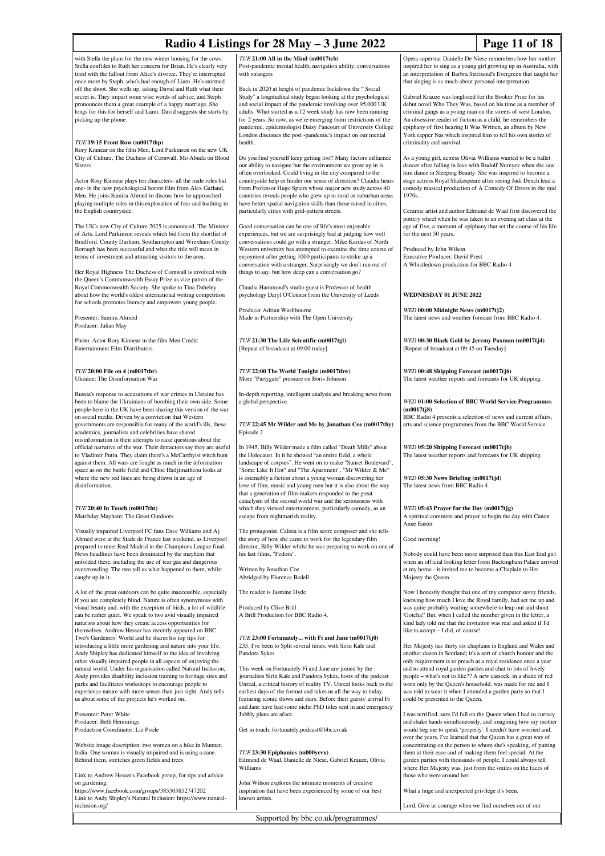# **Radio 4 Listings for 28 May – 3 June 2022 Page 11 of 18**

#### with Stella the plans for the new winter housing for the cows. Stella confides to Ruth her concern for Brian. He's clearly very tired with the fallout from Alice's divorce. They're interrupted once more by Steph, who's had enough of Liam. He's stormed off the shoot. She wells up, asking David and Ruth what their secret is. They impart some wise words of advice, and Steph pronounces them a great example of a happy marriage. She longs for this for herself and Liam. David suggests she starts by picking up the phone.

# *TUE* **19:15 Front Row (m0017thp)**

Rory Kinnear on the film Men, Lord Parkinson on the new UK City of Culture, The Duchess of Cornwall, Mo Abudu on Blood Sisters

Actor Rory Kinnear plays ten characters- all the male roles but one- in the new psychological horror film from Alex Garland, Men. He joins Samira Ahmed to discuss how he approached playing multiple roles in this exploration of fear and loathing in the English countryside.

The UK's new City of Culture 2025 is announced. The Minister of Arts, Lord Parkinson reveals which bid from the shortlist of Bradford, County Durham, Southampton and Wrexham County Borough has been successful and what the title will mean in terms of investment and attracting visitors to the area.

Her Royal Highness The Duchess of Cornwall is involved with the Queen's Commonwealth Essay Prize as vice patron of the Royal Commonwealth Society. She spoke to Tina Daheley about how the world's oldest international writing competition for schools promotes literacy and empowers young people.

Presenter: Samira Ahmed Producer: Julian May

Photo: Actor Rory Kinnear in the film Men Credit: Entertainment Film Distributors

### *TUE* **20:00 File on 4 (m0017thr)** Ukraine: The Disinformation War

Russia's response to accusations of war crimes in Ukraine has been to blame the Ukrainians of bombing their own side. Some people here in the UK have been sharing this version of the war on social media. Driven by a conviction that Western governments are responsible for many of the world's ills, these academics, journalists and celebrities have shared misinformation in their attempts to raise questions about the official narrative of the war. Their detractors say they are useful to Vladimir Putin. They claim there's a McCarthyist witch hunt against them. All wars are fought as much in the information space as on the battle field and Chloe Hadjimatheou looks at where the new red lines are being drawn in an age of disinformation.

*TUE* **20:40 In Touch (m0017tht)** Matchday Mayhem; The Great Outdoors

Visually impaired Liverpool FC fans Dave Williams and Aj Ahmed were at the Stade de France last weekend, as Liverpool prepared to meet Real Madrid in the Champions League final. News headlines have been dominated by the mayhem that unfolded there, including the use of tear gas and dangerous overcrowding. The two tell us what happened to them, whilst caught up in it.

A lot of the great outdoors can be quite inaccessible, especially if you are completely blind. Nature is often synonymous with visual beauty and, with the exception of birds, a lot of wildlife can be rather quiet. We speak to two avid visually impaired naturists about how they create access opportunities for themselves. Andrew Hesser has recently appeared on BBC Two's Gardeners' World and he shares his top tips for introducing a little more gardening and nature into your life. Andy Shipley has dedicated himself to the idea of involving other visually impaired people in all aspects of enjoying the natural world. Under his organisation called Natural Inclusion, Andy provides disability inclusion training to heritage sites and parks and facilitates workshops to encourage people to experience nature with more senses than just sight. Andy tells us about some of the projects he's worked on.

Presenter: Peter White Producer: Beth Hemmings Production Coordinator: Liz Poole

Website image description: two women on a hike in Munnar, India. One woman is visually impaired and is using a cane. Behind them, stretches green fields and trees.

Link to Andrew Hesser's Facebook group, for tips and advice on gardening: https://www.facebook.com/groups/385503852747202 Link to Andy Shipley's Natural Inclusion: https://www.naturalinclusion.org/

*TUE* **21:00 All in the Mind (m0017tcb)**

Post-pandemic mental health; navigation ability; conversations with strangers

Back in 2020 at height of pandemic lockdown the " Social Study" a longitudinal study began looking at the psychological and social impact of the pandemic involving over 95,000 UK adults. What started as a 12 week study has now been running for 2 years. So now, as we're emerging from restrictions of the pandemic, epidemiologist Daisy Fancourt of University College London discusses the post -pandemic's impact on our mental health.

Do you find yourself keep getting lost? Many factors influence our ability to navigate but the environment we grow up in is often overlooked. Could living in the city compared to the countryside help or hinder our sense of direction? Claudia hears from Professor Hugo Spiers whose major new study across 40 countries reveals people who grew up in rural or suburban areas have better spatial navigation skills than those raised in cities, particularly cities with grid-pattern streets.

Good conversation can be one of life's most enjoyable experiences, but we are surprisingly bad at judging how well conversations could go with a stranger. Mike Kardas of North Western university has attempted to examine the time course of enjoyment after getting 1000 participants to strike up a conversation with a stranger. Surprisingly we don't run out of things to say. but how deep can a conversation go?

Claudia Hammond's studio guest is Professor of health psychology Daryl O'Connor from the University of Leeds

Producer Adrian Washbourne Made in Partnership with The Open University

*TUE* **21:30 The Life Scientific (m0017tgl)** [Repeat of broadcast at 09:00 today]

*TUE* **22:00 The World Tonight (m0017thw)** More "Partygate" pressure on Boris Johnson

In-depth reporting, intelligent analysis and breaking news from a global perspective.

# *TUE* **22:45 Mr Wilder and Me by Jonathan Coe (m0017thy)** Episode 2

In 1945, Billy Wilder made a film called "Death Mills" about the Holocaust. In it he showed "an entire field, a whole landscape of corpses". He went on to make "Sunset Boulevard", "Some Like It Hot" and "The Apartment". "Mr Wilder & Me" is ostensibly a fiction about a young woman discovering her love of film, music and young men but it is also about the way that a generation of film-makers responded to the great cataclysm of the second world war and the seriousness with which they viewed entertainment, particularly comedy, as an escape from nightmarish reality.

The protagonist, Calista is a film score composer and she tells the story of how she came to work for the legendary film director, Billy Wilder whilst he was preparing to work on one of his last films, "Fedora".

Written by Jonathan Coe Abridged by Florence Bedell

The reader is Jasmine Hyde

Produced by Clive Brill A Brill Production for BBC Radio 4.

*TUE* **23:00 Fortunately... with Fi and Jane (m0017tj0)** 235. I've been to Split several times, with Sirin Kale and Pandora Sykes

This week on Fortunately Fi and Jane are joined by the journalists Sirin Kale and Pandora Sykes, hosts of the podcast Unreal, a critical history of reality TV. Unreal looks back to the earliest days of the format and takes us all the way to today, featuring iconic shows and stars. Before their guests' arrival Fi and Jane have had some niche PhD titles sent in and emergency Jubbly plans are afoot.

Get in touch: fortunately.podcast@bbc.co.uk

*TUE* **23:30 Epiphanies (m000ycvx)**

Edmund de Waal, Danielle de Niese, Gabriel Krauze, Olivia Williams

John Wilson explores the intimate moments of creative inspiration that have been experienced by some of our best known artists.

## Opera superstar Danielle De Niese remembers how her mother inspired her to sing as a young girl growing up in Australia, with an interpretation of Barbra Streisand's Evergreen that taught her that singing is as much about personal interpretation.

Gabriel Krauze was longlisted for the Booker Prize for his debut novel Who They Was, based on his time as a member of criminal gangs as a young man on the streets of west London. An obsessive reader of fiction as a child, he remembers the epiphany of first hearing It Was Written, an album by New York rapper Nas which inspired him to tell his own stories of criminality and survival.

As a young girl, actress Olivia Williams wanted to be a ballet dancer after falling in love with Rudolf Nureyev when she saw him dance in Sleeping Beauty. She was inspired to become a stage actress Royal Shakespeare after seeing Judi Dench lead a comedy musical production of A Comedy Of Errors in the mid 1970s.

Ceramic artist and author Edmund de Waal first discovered the pottery wheel when he was taken to an evening art class at the age of five, a moment of epiphany that set the course of his life for the next 50 years.

Produced by John Wilson Executive Producer: David Prest A Whistledown production for BBC Radio 4

# **WEDNESDAY 01 JUNE 2022**

*WED* **00:00 Midnight News (m0017tj2)** The latest news and weather forecast from BBC Radio 4.

*WED* **00:30 Black Gold by Jeremy Paxman (m0017tj4)** [Repeat of broadcast at 09:45 on Tuesday]

*WED* **00:48 Shipping Forecast (m0017tj6)** The latest weather reports and forecasts for UK shipping.

*WED* **01:00 Selection of BBC World Service Programmes (m0017tj8)**

BBC Radio 4 presents a selection of news and current affairs, arts and science programmes from the BBC World Service.

*WED* **05:20 Shipping Forecast (m0017tjb)** The latest weather reports and forecasts for UK shipping.

*WED* **05:30 News Briefing (m0017tjd)** The latest news from BBC Radio 4

*WED* **05:43 Prayer for the Day (m0017tjg)** A spiritual comment and prayer to begin the day with Canon Anne Easter

Good morning!

Nobody could have been more surprised than this East End girl when an official looking letter from Buckingham Palace arrived at my home - it invited me to become a Chaplain to Her Majesty the Queen.

Now I honestly thought that one of my computer savvy friends, knowing how much I love the Royal family, had set me up and was quite probably waiting somewhere to leap out and shout 'Gotcha!' But, when I called the number given in the letter, a kind lady told me that the invitation was real and asked if I'd like to accept – I did, of course!

Her Majesty has thirty six chaplains in England and Wales and another dozen in Scotland; it's a sort of church honour and the only requirement is to preach at a royal residence once a year and to attend royal garden parties and chat to lots of lovely people – what's not to like?? A new cassock, in a shade of red worn only by the Queen's household, was made for me and I was told to wear it when I attended a garden party so that I could be presented to the Queen.

I was terrified, sure I'd fall on the Queen when I had to curtsey and shake hands simultaneously, and imagining how my mother would beg me to speak 'properly'. I needn't have worried and, over the years, I've learned that the Queen has a great way of concentrating on the person to whom she's speaking, of putting them at their ease and of making them feel special. At the garden parties with thousands of people, I could always tell where Her Majesty was, just from the smiles on the faces of those who were around her

What a huge and unexpected privilege it's been.

Lord, Give us courage when we find ourselves out of our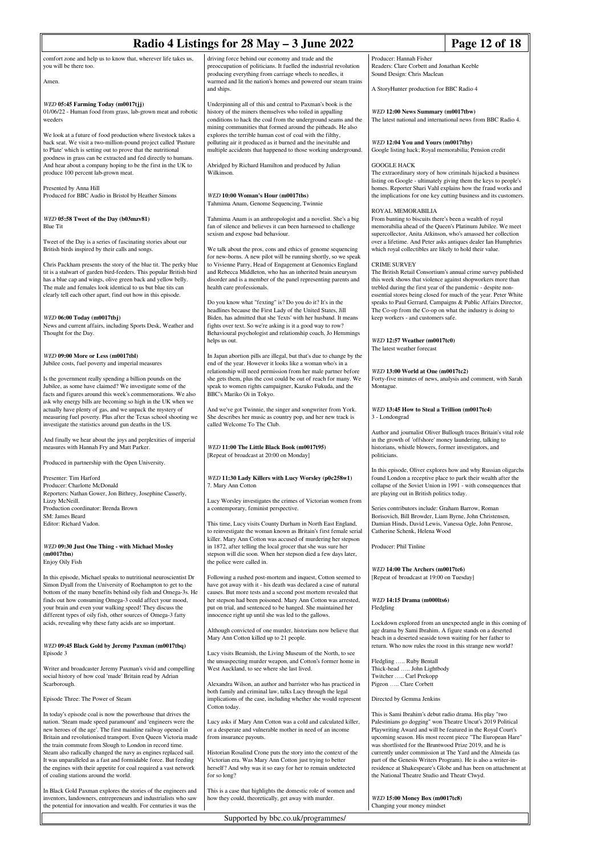| Radio 4 Listings for 28 May - 3 June 2022<br>Page 12 of 18                                                                                                                                                                                                                                                                             |                                                                                                                                                                                                                                                                        |                                                                                                                                                                                      |                                                                                                                                                                                                  |
|----------------------------------------------------------------------------------------------------------------------------------------------------------------------------------------------------------------------------------------------------------------------------------------------------------------------------------------|------------------------------------------------------------------------------------------------------------------------------------------------------------------------------------------------------------------------------------------------------------------------|--------------------------------------------------------------------------------------------------------------------------------------------------------------------------------------|--------------------------------------------------------------------------------------------------------------------------------------------------------------------------------------------------|
| comfort zone and help us to know that, wherever life takes us,<br>you will be there too.                                                                                                                                                                                                                                               | driving force behind our economy and trade and the<br>preoccupation of politicians. It fuelled the industrial revolution<br>producing everything from carriage wheels to needles, it                                                                                   | Producer: Hannah Fisher<br>Readers: Clare Corbett and Jonathan Keeble<br>Sound Design: Chris Maclean                                                                                 |                                                                                                                                                                                                  |
| Amen.                                                                                                                                                                                                                                                                                                                                  | warmed and lit the nation's homes and powered our steam trains<br>and ships.                                                                                                                                                                                           | A StoryHunter production for BBC Radio 4                                                                                                                                             |                                                                                                                                                                                                  |
| WED 05:45 Farming Today (m0017tjj)<br>01/06/22 - Human food from grass, lab-grown meat and robotic<br>weeders                                                                                                                                                                                                                          | Underpinning all of this and central to Paxman's book is the<br>history of the miners themselves who toiled in appalling<br>conditions to hack the coal from the underground seams and the<br>mining communities that formed around the pitheads. He also              | WED 12:00 News Summary (m0017tbw)                                                                                                                                                    | The latest national and international news from BBC Radio 4.                                                                                                                                     |
| We look at a future of food production where livestock takes a<br>back seat. We visit a two-million-pound project called 'Pasture<br>to Plate' which is setting out to prove that the nutritional<br>goodness in grass can be extracted and fed directly to humans.                                                                    | explores the terrible human cost of coal with the filthy,<br>polluting air it produced as it burned and the inevitable and<br>multiple accidents that happened to those working underground.                                                                           | WED 12:04 You and Yours (m0017tby)<br>Google listing hack; Royal memorabilia; Pension credit                                                                                         |                                                                                                                                                                                                  |
| And hear about a company hoping to be the first in the UK to<br>produce 100 percent lab-grown meat.                                                                                                                                                                                                                                    | Abridged by Richard Hamilton and produced by Julian<br>Wilkinson.                                                                                                                                                                                                      | <b>GOOGLE HACK</b>                                                                                                                                                                   | The extraordinary story of how criminals hijacked a business<br>listing on Google - ultimately giving them the keys to people's                                                                  |
| Presented by Anna Hill<br>Produced for BBC Audio in Bristol by Heather Simons                                                                                                                                                                                                                                                          | WED 10:00 Woman's Hour (m0017tbs)<br>Tahmima Anam, Genome Sequencing, Twinnie                                                                                                                                                                                          | ROYAL MEMORABILIA                                                                                                                                                                    | homes. Reporter Shari Vahl explains how the fraud works and<br>the implications for one key cutting business and its customers.                                                                  |
| WED 05:58 Tweet of the Day (b03mzv81)<br>Blue Tit                                                                                                                                                                                                                                                                                      | Tahmima Anam is an anthropologist and a novelist. She's a big<br>fan of silence and believes it can been harnessed to challenge<br>sexism and expose bad behaviour.                                                                                                    | From bunting to biscuits there's been a wealth of royal                                                                                                                              | memorabilia ahead of the Queen's Platinum Jubilee. We meet<br>supercollector, Anita Atkinson, who's amassed her collection                                                                       |
| Tweet of the Day is a series of fascinating stories about our<br>British birds inspired by their calls and songs.                                                                                                                                                                                                                      | We talk about the pros, cons and ethics of genome sequencing<br>for new-borns. A new pilot will be running shortly, so we speak                                                                                                                                        | which royal collectibles are likely to hold their value.                                                                                                                             | over a lifetime. And Peter asks antiques dealer Ian Humphries                                                                                                                                    |
| Chris Packham presents the story of the blue tit. The perky blue<br>tit is a stalwart of garden bird-feeders. This popular British bird<br>has a blue cap and wings, olive green back and yellow belly.<br>The male and females look identical to us but blue tits can<br>clearly tell each other apart, find out how in this episode. | to Vivienne Parry, Head of Engagement at Genomics England<br>and Rebecca Middleton, who has an inherited brain aneurysm<br>disorder and is a member of the panel representing parents and<br>health care professionals.                                                | <b>CRIME SURVEY</b><br>trebled during the first year of the pandemic - despite non-                                                                                                  | The British Retail Consortium's annual crime survey published<br>this week shows that violence against shopworkers more than<br>essential stores being closed for much of the year. Peter White  |
| WED 06:00 Today (m0017tbj)<br>News and current affairs, including Sports Desk, Weather and                                                                                                                                                                                                                                             | Do you know what "fexting" is? Do you do it? It's in the<br>headlines because the First Lady of the United States, Jill<br>Biden, has admitted that she 'fexts' with her husband. It means<br>fights over text. So we're asking is it a good way to row?               | The Co-op from the Co-op on what the industry is doing to<br>keep workers - and customers safe.                                                                                      | speaks to Paul Gerrard, Campaigns & Public Affairs Director,                                                                                                                                     |
| Thought for the Day.                                                                                                                                                                                                                                                                                                                   | Behavioural psychologist and relationship coach, Jo Hemmings<br>helps us out.                                                                                                                                                                                          | WED 12:57 Weather (m0017tc0)<br>The latest weather forecast                                                                                                                          |                                                                                                                                                                                                  |
| WED 09:00 More or Less (m0017tbl)<br>Jubilee costs, fuel poverty and imperial measures<br>Is the government really spending a billion pounds on the                                                                                                                                                                                    | In Japan abortion pills are illegal, but that's due to change by the<br>end of the year. However it looks like a woman who's in a<br>relationship will need permission from her male partner before<br>she gets them, plus the cost could be out of reach for many. We | WED 13:00 World at One (m0017tc2)                                                                                                                                                    | Forty-five minutes of news, analysis and comment, with Sarah                                                                                                                                     |
| Jubilee, as some have claimed? We investigate some of the<br>facts and figures around this week's commemorations. We also<br>ask why energy bills are becoming so high in the UK when we<br>actually have plenty of gas, and we unpack the mystery of<br>measuring fuel poverty. Plus after the Texas school shooting we               | speak to women rights campaigner, Kazuko Fukuda, and the<br>BBC's Mariko Oi in Tokyo.<br>And we've got Twinnie, the singer and songwriter from York.<br>She describes her music as country pop, and her new track is                                                   | Montague.<br>WED 13:45 How to Steal a Trillion (m0017tc4)<br>3 - Londongrad                                                                                                          |                                                                                                                                                                                                  |
| investigate the statistics around gun deaths in the US.<br>And finally we hear about the joys and perplexities of imperial<br>measures with Hannah Fry and Matt Parker.                                                                                                                                                                | called Welcome To The Club.<br>WED 11:00 The Little Black Book (m0017t95)                                                                                                                                                                                              | in the growth of 'offshore' money laundering, talking to<br>historians, whistle blowers, former investigators, and                                                                   | Author and journalist Oliver Bullough traces Britain's vital role                                                                                                                                |
| Produced in partnership with the Open University.                                                                                                                                                                                                                                                                                      | [Repeat of broadcast at 20:00 on Monday]                                                                                                                                                                                                                               | politicians.                                                                                                                                                                         |                                                                                                                                                                                                  |
| Presenter: Tim Harford<br>Producer: Charlotte McDonald<br>Reporters: Nathan Gower, Jon Bithrey, Josephine Casserly,<br>Lizzy McNeill.                                                                                                                                                                                                  | WED 11:30 Lady Killers with Lucy Worsley (p0c258w1)<br>7. Mary Ann Cotton<br>Lucy Worsley investigates the crimes of Victorian women from                                                                                                                              | are playing out in British politics today.                                                                                                                                           | In this episode, Oliver explores how and why Russian oligarchs<br>found London a receptive place to park their wealth after the<br>collapse of the Soviet Union in 1991 - with consequences that |
| Production coordinator: Brenda Brown<br>SM: James Beard<br>Editor: Richard Vadon.                                                                                                                                                                                                                                                      | a contemporary, feminist perspective.<br>This time, Lucy visits County Durham in North East England,                                                                                                                                                                   | Series contributors include: Graham Barrow, Roman<br>Borisovich, Bill Browder, Liam Byrne, John Christensen,<br>Damian Hinds, David Lewis, Vanessa Ogle, John Penrose,               |                                                                                                                                                                                                  |
| WED 09:30 Just One Thing - with Michael Mosley<br>(m0017tbn)                                                                                                                                                                                                                                                                           | to reinvestigate the woman known as Britain's first female serial<br>killer. Mary Ann Cotton was accused of murdering her stepson<br>in 1872, after telling the local grocer that she was sure her<br>stepson will die soon. When her stepson died a few days later,   | Catherine Schenk, Helena Wood<br>Producer: Phil Tinline                                                                                                                              |                                                                                                                                                                                                  |
| Enjoy Oily Fish                                                                                                                                                                                                                                                                                                                        | the police were called in.                                                                                                                                                                                                                                             | WED 14:00 The Archers (m0017tc6)                                                                                                                                                     |                                                                                                                                                                                                  |
| In this episode, Michael speaks to nutritional neuroscientist Dr<br>Simon Dyall from the University of Roehampton to get to the<br>bottom of the many benefits behind oily fish and Omega-3s. He<br>finds out how consuming Omega-3 could affect your mood,                                                                            | Following a rushed post-mortem and inquest, Cotton seemed to<br>have got away with it - his death was declared a case of natural<br>causes. But more tests and a second post mortem revealed that<br>her stepson had been poisoned. Mary Ann Cotton was arrested,      | [Repeat of broadcast at 19:00 on Tuesday]<br>WED 14:15 Drama (m000lts6)                                                                                                              |                                                                                                                                                                                                  |
| your brain and even your walking speed! They discuss the<br>different types of oily fish, other sources of Omega-3 fatty<br>acids, revealing why these fatty acids are so important.                                                                                                                                                   | put on trial, and sentenced to be hanged. She maintained her<br>innocence right up until she was led to the gallows.                                                                                                                                                   | Fledgling                                                                                                                                                                            | Lockdown explored from an unexpected angle in this coming of                                                                                                                                     |
| WED 09:45 Black Gold by Jeremy Paxman (m0017tbq)<br>Episode 3                                                                                                                                                                                                                                                                          | Although convicted of one murder, historians now believe that<br>Mary Ann Cotton killed up to 21 people.<br>Lucy visits Beamish, the Living Museum of the North, to see                                                                                                | age drama by Sami Ibrahim. A figure stands on a deserted<br>beach in a deserted seaside town waiting for her father to<br>return. Who now rules the roost in this strange new world? |                                                                                                                                                                                                  |
| Writer and broadcaster Jeremy Paxman's vivid and compelling<br>social history of how coal 'made' Britain read by Adrian<br>Scarborough.                                                                                                                                                                                                | the unsuspecting murder weapon, and Cotton's former home in<br>West Auckland, to see where she last lived.<br>Alexandra Wilson, an author and barrister who has practiced in                                                                                           | Fledgling  Ruby Bentall<br>Thick-head  John Lightbody<br>Twitcher  Carl Prekopp<br>Pigeon  Clare Corbett                                                                             |                                                                                                                                                                                                  |
| Episode Three: The Power of Steam                                                                                                                                                                                                                                                                                                      | both family and criminal law, talks Lucy through the legal<br>implications of the case, including whether she would represent                                                                                                                                          | Directed by Gemma Jenkins                                                                                                                                                            |                                                                                                                                                                                                  |
| In today's episode coal is now the powerhouse that drives the<br>nation. 'Steam made speed paramount' and 'engineers were the<br>new heroes of the age'. The first mainline railway opened in<br>Britain and revolutionised transport. Even Queen Victoria made<br>the train commute from Slough to London in record time.             | Cotton today.<br>Lucy asks if Mary Ann Cotton was a cold and calculated killer,<br>or a desperate and vulnerable mother in need of an income<br>from insurance payouts.                                                                                                | This is Sami Ibrahim's debut radio drama. His play "two<br>was shortlisted for the Bruntwood Prize 2019, and he is                                                                   | Palestinians go dogging" won Theatre Uncut's 2019 Political<br>Playwriting Award and will be featured in the Royal Court's<br>upcoming season. His most recent piece "The European Hare"         |
| Steam also radically changed the navy as engines replaced sail.<br>It was unparalleled as a fast and formidable force. But feeding<br>the engines with their appetite for coal required a vast network<br>of coaling stations around the world.                                                                                        | Historian Rosalind Crone puts the story into the context of the<br>Victorian era. Was Mary Ann Cotton just trying to better<br>herself? And why was it so easy for her to remain undetected<br>for so long?                                                            | the National Theatre Studio and Theatr Clwyd.                                                                                                                                        | currently under commission at The Yard and the Almeida (as<br>part of the Genesis Writers Program). He is also a writer-in-<br>residence at Shakespeare's Globe and has been on attachment at    |
| In Black Gold Paxman explores the stories of the engineers and<br>inventors, landowners, entrepreneurs and industrialists who saw<br>the potential for innovation and wealth. For centuries it was the                                                                                                                                 | This is a case that highlights the domestic role of women and<br>how they could, theoretically, get away with murder.                                                                                                                                                  | WED 15:00 Money Box (m0017tc8)<br>Changing your money mindset                                                                                                                        |                                                                                                                                                                                                  |
|                                                                                                                                                                                                                                                                                                                                        | Supported by bbc.co.uk/programmes/                                                                                                                                                                                                                                     |                                                                                                                                                                                      |                                                                                                                                                                                                  |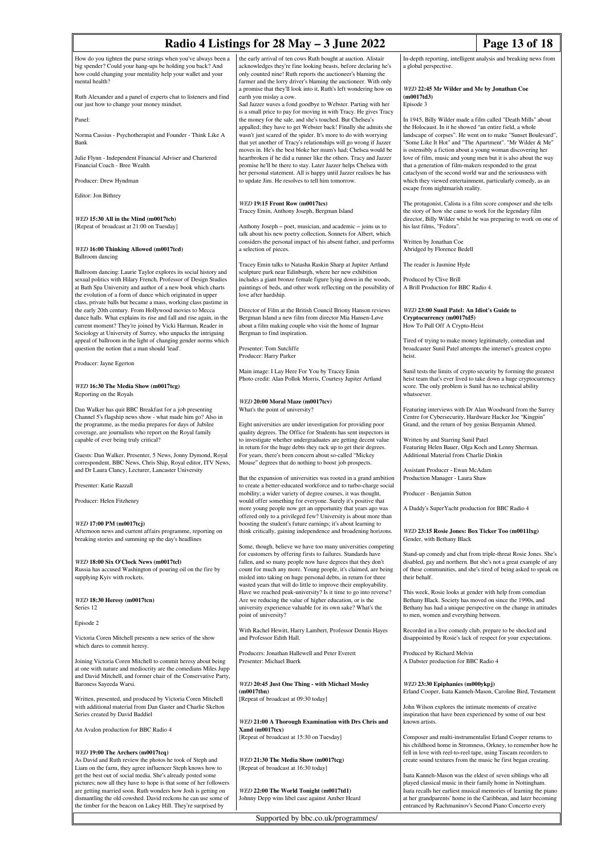# **Radio 4 Listings for 28 May – 3 June 2022 Page 13 of 18**

How do you tighten the purse strings when you've always been a big spender? Could your hang-ups be holding you back? And how could changing your mentality help your wallet and your mental health?

Ruth Alexander and a panel of experts chat to listeners and find our just how to change your money mindset.

Panel:

Norma Cassius - Psychotherapist and Founder - Think Like A Bank

Julie Flynn - Independent Financial Adviser and Chartered Financial Coach - Bree Wealth

Producer: Drew Hyndman

Editor: Jon Bithrey

*WED* **15:30 All in the Mind (m0017tcb)** [Repeat of broadcast at 21:00 on Tuesday]

*WED* **16:00 Thinking Allowed (m0017tcd)** Ballroom dancing

Ballroom dancing: Laurie Taylor explores its social history and sexual politics with Hilary French, Professor of Design Studies at Bath Spa University and author of a new book which charts the evolution of a form of dance which originated in upper class, private balls but became a mass, working class pastime in the early 20th century. From Hollywood movies to Mecca dance halls. What explains its rise and fall and rise again, in the current moment? They're joined by Vicki Harman, Reader in Sociology at University of Surrey, who unpacks the intriguing appeal of ballroom in the light of changing gender norms which question the notion that a man should 'lead'.

Producer: Jayne Egerton

### *WED* **16:30 The Media Show (m0017tcg)** Reporting on the Royals

Dan Walker has quit BBC Breakfast for a job presenting Channel 5's flagship news show - what made him go? Also in the programme, as the media prepares for days of Jubilee rage, are journalists who report on the Royal family capable of ever being truly critical?

Guests: Dan Walker, Presenter, 5 News, Jonny Dymond, Royal correspondent, BBC News, Chris Ship, Royal editor, ITV News, and Dr Laura Clancy, Lecturer, Lancaster University

Presenter: Katie Razzall

Producer: Helen Fitzhenry

# *WED* **17:00 PM (m0017tcj)**

Afternoon news and current affairs programme, reporting on breaking stories and summing up the day's headlines

# *WED* **18:00 Six O'Clock News (m0017tcl)**

Russia has accused Washington of pouring oil on the fire by supplying Kyiv with rockets.

### *WED* **18:30 Heresy (m0017tcn)** Series 12

Episode 2

Victoria Coren Mitchell presents a new series of the show which dares to commit heresy.

Joining Victoria Coren Mitchell to commit heresy about being at one with nature and mediocrity are the comedians Miles Jupp and David Mitchell, and former chair of the Conservative Party, Baroness Sayeeda Warsi.

Written, presented, and produced by Victoria Coren Mitchell with additional material from Dan Gaster and Charlie Skelton Series created by David Baddiel

An Avalon production for BBC Radio 4

# *WED* **19:00 The Archers (m0017tcq)**

As David and Ruth review the photos he took of Steph and Liam on the farm, they agree influencer Steph knows how to get the best out of social media. She's already posted some pictures; now all they have to hope is that some of her followers are getting married soon. Ruth wonders how Josh is getting on dismantling the old cowshed. David reckons he can use some of the timber for the beacon on Lakey Hill. They're surprised by

the early arrival of ten cows Ruth bought at auction. Alistair acknowledges they're fine looking beasts, before declaring he's only counted nine! Ruth reports the auctioneer's blaming the farmer and the lorry driver's blaming the auctioneer. With only a promise that they'll look into it, Ruth's left wondering how on earth you mislay a cow.

Sad Jazzer waves a fond goodbye to Webster. Parting with her is a small price to pay for moving in with Tracy. He gives Tracy the money for the sale, and she's touched. But Chelsea's

appalled; they have to get Webster back! Finally she admits she wasn't just scared of the spider. It's more to do with worrying that yet another of Tracy's relationships will go wrong if Jazzer moves in. He's the best bloke her mum's had; Chelsea would be heartbroken if he did a runner like the others. Tracy and Jazzer promise he'll be there to stay. Later Jazzer helps Chelsea with her personal statement. All is happy until Jazzer realises he has to update Jim. He resolves to tell him tomorrow.

*WED* **19:15 Front Row (m0017tcs)** Tracey Emin, Anthony Joseph, Bergman Island

Anthony Joseph – poet, musician, and academic – joins us to talk about his new poetry collection, Sonnets for Albert, which considers the personal impact of his absent father, and performs a selection of pieces.

Tracey Emin talks to Natasha Raskin Sharp at Jupiter Artland sculpture park near Edinburgh, where her new exhibition includes a giant bronze female figure lying down in the woods, paintings of beds, and other work reflecting on the possibility of love after hardship.

Director of Film at the British Council Briony Hanson reviews Bergman Island a new film from director Mia Hansen-Løve about a film making couple who visit the home of Ingmar Bergman to find inspiration.

Presenter: Tom Sutcliffe Producer: Harry Parker

Main image: I Lay Here For You by Tracey Emin Photo credit: Alan Pollok Morris, Courtesy Jupiter Artland

*WED* **20:00 Moral Maze (m0017tcv)** What's the point of university?

Eight universities are under investigation for providing poor quality degrees. The Office for Students has sent inspectors in to investigate whether undergraduates are getting decent value in return for the huge debts they rack up to get their degrees. For years, there's been concern about so-called "Mickey Mouse" degrees that do nothing to boost job prospects.

But the expansion of universities was rooted in a grand ambition to create a better-educated workforce and to turbo-charge social mobility; a wider variety of degree courses, it was thought, would offer something for everyone. Surely it's positive that more young people now get an opportunity that years ago was offered only to a privileged few? University is about more than boosting the student's future earnings; it's about learning to think critically, gaining independence and broadening horizons.

Some, though, believe we have too many universities competing for customers by offering firsts to failures. Standards have fallen, and so many people now have degrees that they don't count for much any more. Young people, it's claimed, are being misled into taking on huge personal debts, in return for three wasted years that will do little to improve their employability. Have we reached peak-university? Is it time to go into reverse? Are we reducing the value of higher education, or is the university experience valuable for its own sake? What's the point of university?

With Rachel Hewitt, Harry Lambert, Professor Dennis Hayes and Professor Edith Hall.

Producers: Jonathan Hallewell and Peter Everett Presenter: Michael Buerk

*WED* **20:45 Just One Thing - with Michael Mosley (m0017tbn)** [Repeat of broadcast at 09:30 today]

*WED* **21:00 A Thorough Examination with Drs Chris and Xand (m0017tcx)** [Repeat of broadcast at 15:30 on Tuesday]

*WED* **21:30 The Media Show (m0017tcg)** [Repeat of broadcast at 16:30 today]

*WED* **22:00 The World Tonight (m0017td1)** Johnny Depp wins libel case against Amber Heard

Supported by bbc.co.uk/programmes/

In-depth reporting, intelligent analysis and breaking news from a global perspective.

*WED* **22:45 Mr Wilder and Me by Jonathan Coe (m0017td3)** Episode 3

In 1945, Billy Wilder made a film called "Death Mills" about the Holocaust. In it he showed "an entire field, a whole landscape of corpses". He went on to make "Sunset Boulevard", "Some Like It Hot" and "The Apartment". "Mr Wilder & Me" is ostensibly a fiction about a young woman discovering her love of film, music and young men but it is also about the way that a generation of film-makers responded to the great cataclysm of the second world war and the seriousness with which they viewed entertainment, particularly comedy, as an escape from nightmarish reality.

The protagonist, Calista is a film score composer and she tells the story of how she came to work for the legendary film director, Billy Wilder whilst he was preparing to work on one of his last films, "Fedora".

Written by Jonathan Coe Abridged by Florence Bedell

The reader is Jasmine Hyde

Produced by Clive Brill

A Brill Production for BBC Radio 4.

*WED* **23:00 Sunil Patel: An Idiot's Guide to Cryptocurrency (m0017td5)** How To Pull Off A Crypto-Heist

Tired of trying to make money legitimately, comedian and broadcaster Sunil Patel attempts the internet's greatest crypto heist.

Sunil tests the limits of crypto security by forming the greatest heist team that's ever lived to take down a huge cryptocurrency score. The only problem is Sunil has no technical ability whatsoever.

Featuring interviews with Dr Alan Woodward from the Surrey Centre for Cybersecurity, Hardware Hacker Joe "Kingpin" Grand, and the return of boy genius Benyamin Ahmed.

Written by and Starring Sunil Patel Featuring Helen Bauer, Olga Koch and Lenny Sherman. Additional Material from Charlie Dinkin

Assistant Producer - Ewan McAdam Production Manager - Laura Shaw

Producer - Benjamin Sutton

A Daddy's SuperYacht production for BBC Radio 4

*WED* **23:15 Rosie Jones: Box Ticker Too (m0011lxg)** Gender, with Bethany Black

Stand-up comedy and chat from triple-threat Rosie Jones. She's disabled, gay and northern. But she's not a great example of any of these communities, and she's tired of being asked to speak on their behalf.

This week, Rosie looks at gender with help from comedian Bethany Black. Society has moved on since the 1990s, and Bethany has had a unique perspective on the change in attitudes to men, women and everything between.

Recorded in a live comedy club, prepare to be shocked and disappointed by Rosie's lack of respect for your expectations.

Produced by Richard Melvin A Dabster production for BBC Radio 4

*WED* **23:30 Epiphanies (m000ykpj)** Erland Cooper, Isata Kanneh-Mason, Caroline Bird, Testament

John Wilson explores the intimate moments of creative inspiration that have been experienced by some of our best .<br>own artists.

Composer and multi-instrumentalist Erland Cooper returns to his childhood home in Stromness, Orkney, to remember how h fell in love with reel-to-reel tape, using Tascam recorders to create sound textures from the music he first began creating.

Isata Kanneh-Mason was the eldest of seven siblings who all played classical music in their family home in Nottingham. Isata recalls her earliest musical memories of learning the piano at her grandparents' home in the Caribbean, and later becoming entranced by Rachmaninov's Second Piano Concerto every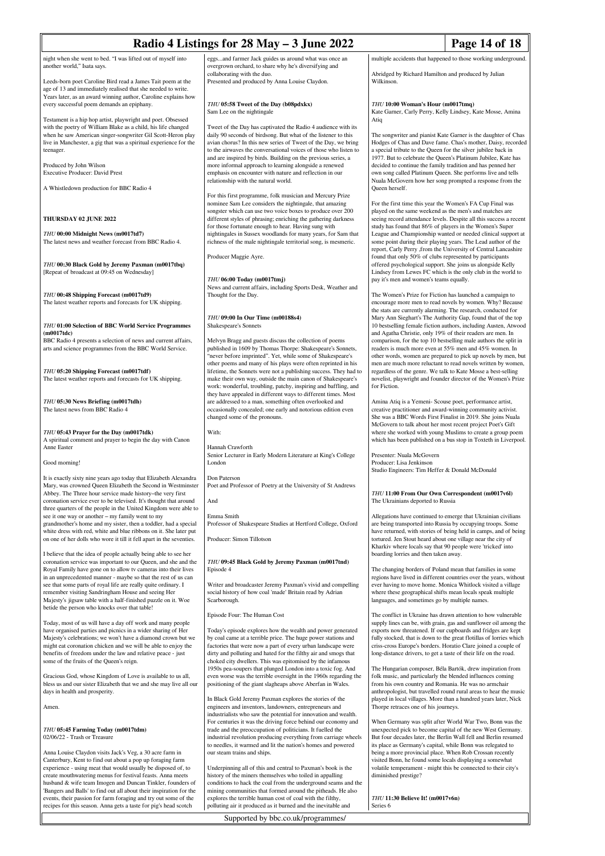| Radio 4 Listings for 28 May - 3 June 2022<br>Page 14 of 18                                                                                                                                                                                                        |                                                                                                                                                                                                                                                                     |                                                                                                                                        |                                                                                                                                                                                                        |
|-------------------------------------------------------------------------------------------------------------------------------------------------------------------------------------------------------------------------------------------------------------------|---------------------------------------------------------------------------------------------------------------------------------------------------------------------------------------------------------------------------------------------------------------------|----------------------------------------------------------------------------------------------------------------------------------------|--------------------------------------------------------------------------------------------------------------------------------------------------------------------------------------------------------|
| night when she went to bed. "I was lifted out of myself into                                                                                                                                                                                                      | eggsand farmer Jack guides us around what was once an                                                                                                                                                                                                               |                                                                                                                                        | multiple accidents that happened to those working underground.                                                                                                                                         |
| another world," Isata says.<br>Leeds-born poet Caroline Bird read a James Tait poem at the                                                                                                                                                                        | overgrown orchard, to share why he's diversifying and<br>collaborating with the duo.<br>Presented and produced by Anna Louise Claydon.                                                                                                                              | Abridged by Richard Hamilton and produced by Julian<br>Wilkinson.                                                                      |                                                                                                                                                                                                        |
| age of 13 and immediately realised that she needed to write.<br>Years later, as an award winning author, Caroline explains how<br>every successful poem demands an epiphany.                                                                                      | THU 05:58 Tweet of the Day (b08pdxkx)<br>Sam Lee on the nightingale                                                                                                                                                                                                 | THU 10:00 Woman's Hour (m0017tmq)<br>Kate Garner, Carly Perry, Kelly Lindsey, Kate Mosse, Amina                                        |                                                                                                                                                                                                        |
| Testament is a hip hop artist, playwright and poet. Obsessed<br>with the poetry of William Blake as a child, his life changed<br>when he saw American singer-songwriter Gil Scott-Heron play<br>live in Manchester, a gig that was a spiritual experience for the | Tweet of the Day has captivated the Radio 4 audience with its<br>daily 90 seconds of birdsong. But what of the listener to this<br>avian chorus? In this new series of Tweet of the Day, we bring                                                                   | Atiq<br>The songwriter and pianist Kate Garner is the daughter of Chas<br>Hodges of Chas and Dave fame. Chas's mother, Daisy, recorded |                                                                                                                                                                                                        |
| teenager.<br>Produced by John Wilson                                                                                                                                                                                                                              | to the airwaves the conversational voices of those who listen to<br>and are inspired by birds. Building on the previous series, a<br>more informal approach to learning alongside a renewed                                                                         | a special tribute to the Queen for the silver jubilee back in<br>decided to continue the family tradition and has penned her           | 1977. But to celebrate the Queen's Platinum Jubilee, Kate has                                                                                                                                          |
| Executive Producer: David Prest<br>A Whistledown production for BBC Radio 4                                                                                                                                                                                       | emphasis on encounter with nature and reflection in our<br>relationship with the natural world.                                                                                                                                                                     | Queen herself.                                                                                                                         | own song called Platinum Queen. She performs live and tells<br>Nuala McGovern how her song prompted a response from the                                                                                |
|                                                                                                                                                                                                                                                                   | For this first programme, folk musician and Mercury Prize<br>nominee Sam Lee considers the nightingale, that amazing                                                                                                                                                | For the first time this year the Women's FA Cup Final was                                                                              |                                                                                                                                                                                                        |
| THURSDAY 02 JUNE 2022                                                                                                                                                                                                                                             | songster which can use two voice boxes to produce over 200<br>different styles of phrasing; enriching the gathering darkness<br>for those fortunate enough to hear. Having sung with                                                                                | played on the same weekend as the men's and matches are<br>study has found that 86% of players in the Women's Super                    | seeing record attendance levels. Despite all this success a recent                                                                                                                                     |
| THU 00:00 Midnight News (m0017td7)<br>The latest news and weather forecast from BBC Radio 4.                                                                                                                                                                      | nightingales in Sussex woodlands for many years, for Sam that<br>richness of the male nightingale territorial song, is mesmeric.                                                                                                                                    |                                                                                                                                        | League and Championship wanted or needed clinical support at<br>some point during their playing years. The Lead author of the<br>report, Carly Perry ,from the University of Central Lancashire        |
| THU 00:30 Black Gold by Jeremy Paxman (m0017tbq)<br>[Repeat of broadcast at 09:45 on Wednesday]                                                                                                                                                                   | Producer Maggie Ayre.                                                                                                                                                                                                                                               | found that only 50% of clubs represented by participants<br>offered psychological support. She joins us alongside Kelly                | Lindsey from Lewes FC which is the only club in the world to                                                                                                                                           |
|                                                                                                                                                                                                                                                                   | THU 06:00 Today (m0017tmj)                                                                                                                                                                                                                                          | pay it's men and women's teams equally.                                                                                                |                                                                                                                                                                                                        |
| THU 00:48 Shipping Forecast (m0017td9)<br>The latest weather reports and forecasts for UK shipping.                                                                                                                                                               | News and current affairs, including Sports Desk, Weather and<br>Thought for the Day.                                                                                                                                                                                | The Women's Prize for Fiction has launched a campaign to                                                                               | encourage more men to read novels by women. Why? Because                                                                                                                                               |
| THU 01:00 Selection of BBC World Service Programmes<br>(m0017tdc)                                                                                                                                                                                                 | THU 09:00 In Our Time (m00188s4)<br>Shakespeare's Sonnets                                                                                                                                                                                                           | the stats are currently alarming. The research, conducted for<br>and Agatha Christie, only 19% of their readers are men. In            | Mary Ann Sieghart's The Authority Gap, found that of the top<br>10 bestselling female fiction authors, including Austen, Atwood                                                                        |
| BBC Radio 4 presents a selection of news and current affairs,<br>arts and science programmes from the BBC World Service.                                                                                                                                          | Melvyn Bragg and guests discuss the collection of poems<br>published in 1609 by Thomas Thorpe: Shakespeare's Sonnets,<br>"never before imprinted". Yet, while some of Shakespeare's                                                                                 | readers is much more even at 55% men and 45% women. In                                                                                 | comparison, for the top 10 bestselling male authors the split in<br>other words, women are prepared to pick up novels by men, but                                                                      |
| THU 05:20 Shipping Forecast (m0017tdf)<br>The latest weather reports and forecasts for UK shipping.                                                                                                                                                               | other poems and many of his plays were often reprinted in his<br>lifetime, the Sonnets were not a publishing success. They had to<br>make their own way, outside the main canon of Shakespeare's<br>work: wonderful, troubling, patchy, inspiring and baffling, and | for Fiction.                                                                                                                           | men are much more reluctant to read novels written by women,<br>regardless of the genre. We talk to Kate Mosse a best-selling<br>novelist, playwright and founder director of the Women's Prize        |
| THU 05:30 News Briefing (m0017tdh)<br>The latest news from BBC Radio 4                                                                                                                                                                                            | they have appealed in different ways to different times. Most<br>are addressed to a man, something often overlooked and<br>occasionally concealed; one early and notorious edition even<br>changed some of the pronouns.                                            | Amina Atiq is a Yemeni- Scouse poet, performance artist,<br>creative practitioner and award-winning community activist.                | She was a BBC Words First Finalist in 2019. She joins Nuala                                                                                                                                            |
| THU 05:43 Prayer for the Day (m0017tdk)<br>A spiritual comment and prayer to begin the day with Canon<br>Anne Easter                                                                                                                                              | With:<br>Hannah Crawforth                                                                                                                                                                                                                                           | McGovern to talk about her most recent project Poet's Gift                                                                             | where she worked with young Muslims to create a group poem<br>which has been published on a bus stop in Toxteth in Liverpool.                                                                          |
| Good morning!                                                                                                                                                                                                                                                     | Senior Lecturer in Early Modern Literature at King's College<br>London                                                                                                                                                                                              | Presenter: Nuala McGovern<br>Producer: Lisa Jenkinson<br>Studio Engineers: Tim Heffer & Donald McDonald                                |                                                                                                                                                                                                        |
| It is exactly sixty nine years ago today that Elizabeth Alexandra<br>Mary, was crowned Queen Elizabeth the Second in Westminster                                                                                                                                  | Don Paterson<br>Poet and Professor of Poetry at the University of St Andrews                                                                                                                                                                                        |                                                                                                                                        |                                                                                                                                                                                                        |
| Abbey. The Three hour service made history-the very first<br>coronation service ever to be televised. It's thought that around                                                                                                                                    | And                                                                                                                                                                                                                                                                 | THU 11:00 From Our Own Correspondent (m0017v6l)<br>The Ukrainians deported to Russia                                                   |                                                                                                                                                                                                        |
| three quarters of the people in the United Kingdom were able to<br>see it one way or another – my family went to my<br>grandmother's home and my sister, then a toddler, had a special                                                                            | Emma Smith<br>Professor of Shakespeare Studies at Hertford College, Oxford                                                                                                                                                                                          |                                                                                                                                        | Allegations have continued to emerge that Ukrainian civilians<br>are being transported into Russia by occupying troops. Some                                                                           |
| white dress with red, white and blue ribbons on it. She later put<br>on one of her dolls who wore it till it fell apart in the seventies.                                                                                                                         | Producer: Simon Tillotson                                                                                                                                                                                                                                           | tortured. Jen Stout heard about one village near the city of<br>Kharkiv where locals say that 90 people were 'tricked' into            | have returned, with stories of being held in camps, and of being                                                                                                                                       |
| I believe that the idea of people actually being able to see her<br>coronation service was important to our Queen, and she and the<br>Royal Family have gone on to allow tv cameras into their lives                                                              | THU 09:45 Black Gold by Jeremy Paxman (m0017tnd)<br>Episode 4                                                                                                                                                                                                       | boarding lorries and then taken away.<br>The changing borders of Poland mean that families in some                                     |                                                                                                                                                                                                        |
| in an unprecedented manner - maybe so that the rest of us can<br>see that some parts of royal life are really quite ordinary. I<br>remember visiting Sandringham House and seeing Her<br>Majesty's jigsaw table with a half-finished puzzle on it. Woe            | Writer and broadcaster Jeremy Paxman's vivid and compelling<br>social history of how coal 'made' Britain read by Adrian<br>Scarborough.                                                                                                                             | where these geographical shifts mean locals speak multiple<br>languages, and sometimes go by multiple names.                           | regions have lived in different countries over the years, without<br>ever having to move home. Monica Whitlock visited a village                                                                       |
| betide the person who knocks over that table!<br>Today, most of us will have a day off work and many people                                                                                                                                                       | Episode Four: The Human Cost                                                                                                                                                                                                                                        |                                                                                                                                        | The conflict in Ukraine has drawn attention to how vulnerable<br>supply lines can be, with grain, gas and sunflower oil among the                                                                      |
| have organised parties and picnics in a wider sharing of Her<br>Majesty's celebrations; we won't have a diamond crown but we<br>might eat coronation chicken and we will be able to enjoy the<br>benefits of freedom under the law and relative peace - just      | Today's episode explores how the wealth and power generated<br>by coal came at a terrible price. The huge power stations and<br>factories that were now a part of every urban landscape were<br>dirty and polluting and hated for the filthy air and smogs that     | long-distance drivers, to get a taste of their life on the road.                                                                       | exports now threatened. If our cupboards and fridges are kept<br>fully stocked, that is down to the great flotillas of lorries which<br>criss-cross Europe's borders. Horatio Clare joined a couple of |
| some of the fruits of the Queen's reign.<br>Gracious God, whose Kingdom of Love is available to us all,<br>bless us and our sister Elizabeth that we and she may live all our                                                                                     | choked city dwellers. This was epitomised by the infamous<br>1950s pea-soupers that plunged London into a toxic fog. And<br>even worse was the terrible oversight in the 1960s regarding the<br>positioning of the giant slagheaps above Aberfan in Wales.          | folk music, and particularly the blended influences coming<br>from his own country and Romania. He was no armchair                     | The Hungarian composer, Béla Bartók, drew inspiration from                                                                                                                                             |
| days in health and prosperity.                                                                                                                                                                                                                                    | In Black Gold Jeremy Paxman explores the stories of the                                                                                                                                                                                                             |                                                                                                                                        | anthropologist, but travelled round rural areas to hear the music<br>played in local villages. More than a hundred years later, Nick                                                                   |
| Amen.                                                                                                                                                                                                                                                             | engineers and inventors, landowners, entrepreneurs and<br>industrialists who saw the potential for innovation and wealth.                                                                                                                                           | Thorpe retraces one of his journeys.                                                                                                   |                                                                                                                                                                                                        |
| THU 05:45 Farming Today (m0017tdm)<br>02/06/22 - Trash or Treasure                                                                                                                                                                                                | For centuries it was the driving force behind our economy and<br>trade and the preoccupation of politicians. It fuelled the<br>industrial revolution producing everything from carriage wheels<br>to needles, it warmed and lit the nation's homes and powered      | its place as Germany's capital, while Bonn was relegated to                                                                            | When Germany was split after World War Two, Bonn was the<br>unexpected pick to become capital of the new West Germany.<br>But four decades later, the Berlin Wall fell and Berlin resumed              |

Anna Louise Claydon visits Jack's Veg, a 30 acre farm in Canterbury, Kent to find out about a pop up foraging farm experience - using meat that would usually be disposed of, to create mouthwatering menus for festival feasts. Anna meets husband & wife team Imogen and Duncan Tinkler, founders of 'Bangers and Balls' to find out all about their inspiration for the events, their passion for farm foraging and try out some of the recipes for this season. Anna gets a taste for pig's head scotch

history of the miners themselves who toiled in appalling conditions to hack the coal from the underground seams and the mining communities that formed around the pitheads. He also explores the terrible human cost of coal with the filthy, polluting air it produced as it burned and the inevitable and

being a more provincial place. When Rob Crossan recently visited Bonn, he found some locals displaying a somewhat volatile temperament - might this be connected to their city's

diminished prestige?

Series 6

*THU* **11:30 Believe It! (m0017v6n)**

Supported by bbc.co.uk/programmes/

Underpinning all of this and central to Paxman's book is the

our steam trains and ships.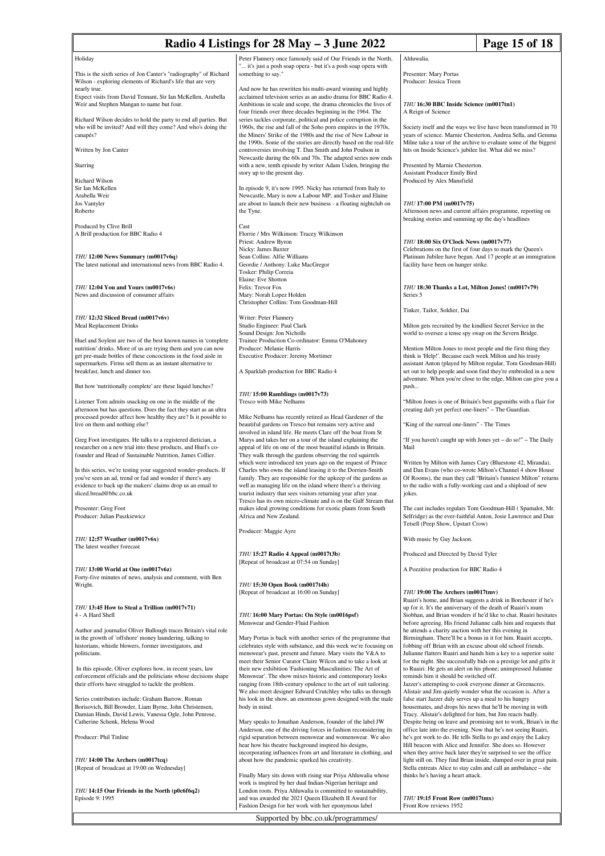# **Radio 4 Listings for 28 May – 3 June 2022 Page 15 of 18**

# Holiday

This is the sixth series of Jon Canter's "radiography" of Richard Wilson - exploring elements of Richard's life that are very nearly true.

Expect visits from David Tennant, Sir Ian McKellen, Arabella Weir and Stephen Mangan to name but four.

Richard Wilson decides to hold the party to end all parties. But who will be invited? And will they come? And who's doing the canapés?

Written by Jon Canter

Starring

Richard Wilson Sir Ian McKellen Arabella Weir Jos Vantyler Roberto

Produced by Clive Brill A Brill production for BBC Radio 4

*THU* **12:00 News Summary (m0017v6q)** The latest national and international news from BBC Radio 4.

*THU* **12:04 You and Yours (m0017v6s)** News and discussion of consumer affairs

*THU* **12:32 Sliced Bread (m0017v6v)** Meal Replacement Drinks

Huel and Soylent are two of the best known names in 'complete nutrition' drinks. More of us are trying them and you can now get pre-made bottles of these concoctions in the food aisle in supermarkets. Firms sell them as an instant alternative to breakfast, lunch and dinner too.

But how 'nutritionally complete' are these liquid lunches?

Listener Tom admits snacking on one in the middle of the afternoon but has questions. Does the fact they start as an ultra processed powder affect how healthy they are? Is it possible to live on them and nothing else?

Greg Foot investigates. He talks to a registered dietician, a researcher on a new trial into these products, and Huel's cofounder and Head of Sustainable Nutrition, James Collier.

In this series, we're testing your suggested wonder-products. If you've seen an ad, trend or fad and wonder if there's any evidence to back up the makers' claims drop us an email to sliced.bread@bbc.co.uk

Presenter: Greg Foot Producer: Julian Paszkiewicz

*THU* **12:57 Weather (m0017v6x)** The latest weather forecast

*THU* **13:00 World at One (m0017v6z)** Forty-five minutes of news, analysis and comment, with Ben Wright.

*THU* **13:45 How to Steal a Trillion (m0017v71)** 4 - A Hard Shell

Author and journalist Oliver Bullough traces Britain's vital role in the growth of 'offshore' money laundering, talking to historians, whistle blowers, former investigators, and politicians

 In this episode, Oliver explores how, in recent years, law enforcement officials and the politicians whose decisions shape their efforts have struggled to tackle the problem.

Series contributors include: Graham Barrow, Roman Borisovich, Bill Browder, Liam Byrne, John Christensen, Damian Hinds, David Lewis, Vanessa Ogle, John Penrose, Catherine Schenk, Helena Wood

Producer: Phil Tinline

*THU* **14:00 The Archers (m0017tcq)** [Repeat of broadcast at 19:00 on Wednesday]

*THU* **14:15 Our Friends in the North (p0c6f6q2)** Episode 9: 1995

Peter Flannery once famously said of Our Friends in the North, ... it's just a posh soap opera - but it's a posh soap opera with something to say.

And now he has rewritten his multi-award winning and highly acclaimed television series as an audio drama for BBC Radio 4. Ambitious in scale and scope, the drama chronicles the lives of four friends over three decades beginning in the 1964. The series tackles corporate, political and police corruption in the 1960s, the rise and fall of the Soho porn empires in the 1970s, the Miners' Strike of the 1980s and the rise of New Labour in the 1990s. Some of the stories are directly based on the real-life controversies involving T. Dan Smith and John Poulson in Newcastle during the 60s and 70s. The adapted series now ends with a new, tenth episode by writer Adam Usden, bringing the story up to the present day.

In episode 9, it's now 1995. Nicky has returned from Italy to Newcastle, Mary is now a Labour MP, and Tosker and Elaine are about to launch their new business - a floating nightclub on the Tyne.

Cast Florrie / Mrs Wilkinson: Tracey Wilkinson Priest: Andrew Byron Nicky: James Baxter Sean Collins: Alfie Williams Geordie / Anthony: Luke MacGregor Tosker: Philip Correia Elaine: Eve Shotton Felix: Trevor Fox Mary: Norah Lopez Holden Christopher Collins: Tom Goodman-Hill

Writer: Peter Flannery Studio Engineer: Paul Clark Sound Design: Jon Nicholls Trainee Production Co-ordinator: Emma O'Mahoney Producer: Melanie Harris Executive Producer: Jeremy Mortimer

A Sparklab production for BBC Radio 4

*THU* **15:00 Ramblings (m0017v73)** Tresco with Mike Nelhams

Mike Nelhams has recently retired as Head Gardener of the beautiful gardens on Tresco but remains very active and involved in island life. He meets Clare off the boat from St Marys and takes her on a tour of the island explaining the appeal of life on one of the most beautiful islands in Britain. They walk through the gardens observing the red squirrels which were introduced ten years ago on the request of Prince Charles who owns the island leasing it to the Dorrien-Smith family. They are responsible for the upkeep of the gardens as well as managing life on the island where there's a thriving tourist industry that sees visitors returning year after year. Tresco has its own micro-climate and is on the Gulf Stream that makes ideal growing conditions for exotic plants from South Africa and New Zealand.

Producer: Maggie Ayre

*THU* **15:27 Radio 4 Appeal (m0017t3b)** [Repeat of broadcast at 07:54 on Sunday]

*THU* **15:30 Open Book (m0017t4h)** [Repeat of broadcast at 16:00 on Sunday]

*THU* **16:00 Mary Portas: On Style (m0016psf)** Menswear and Gender-Fluid Fashion

Mary Portas is back with another series of the programme that celebrates style with substance, and this week we're focusing on menswear's past, present and future. Mary visits the V&A to meet their Senior Curator Claire Wilcox and to take a look at their new exhibition 'Fashioning Masculinities: The Art of Menswear'. The show mixes historic and contemporary looks ranging from 18th-century opulence to the art of suit tailoring. We also meet designer Edward Crutchley who talks us through his look in the show, an enormous gown designed with the male body in mind.

Mary speaks to Jonathan Anderson, founder of the label JW Anderson, one of the driving forces in fashion reconsidering its rigid separation between menswear and womenswear. We also hear how his theatre background inspired his designs, incorporating influences from art and literature in clothing, and about how the pandemic sparked his creativity.

Finally Mary sits down with rising star Priya Ahluwalia whose work is inspired by her dual Indian-Nigerian heritage and London roots. Priya Ahluwalia is committed to sustainability, and was awarded the 2021 Queen Elizabeth II Award for Fashion Design for her work with her eponymous label

Supported by bbc.co.uk/programmes/

Ahluwalia.

Presenter: Mary Portas Producer: Jessica Treen

*THU* **16:30 BBC Inside Science (m0017tn1)** A Reign of Science

Society itself and the ways we live have been transformed in 70 years of science. Marnie Chesterton, Andrea Sella, and Gemma Milne take a tour of the archive to evaluate some of the biggest hits on Inside Science's jubilee list. What did we miss?

Presented by Marnie Chesterton. Assistant Producer Emily Bird Produced by Alex Mansfield

### *THU* **17:00 PM (m0017v75)**

Afternoon news and current affairs programme, reporting on breaking stories and summing up the day's headlines

# *THU* **18:00 Six O'Clock News (m0017v77)**

Celebrations on the first of four days to mark the Queen's Platinum Jubilee have begun. And 17 people at an immigration facility have been on hunger strike.

*THU* **18:30 Thanks a Lot, Milton Jones! (m0017v79)** Series 5

Tinker, Tailor, Soldier, Dai

Milton gets recruited by the kindliest Secret Service in the world to oversee a tense spy swap on the Severn Bridge.

Mention Milton Jones to most people and the first thing they think is 'Help!'. Because each week Milton and his trusty assistant Anton (played by Milton regular, Tom Goodman-Hill) set out to help people and soon find they're embroiled in a new adventure. When you're close to the edge, Milton can give you a push...

"Milton Jones is one of Britain's best gagsmiths with a flair for creating daft yet perfect one-liners" – The Guardian.

"King of the surreal one-liners" - The Times

"If you haven't caught up with Jones yet – do so!" – The Daily Mail

Written by Milton with James Cary (Bluestone 42, Miranda), and Dan Evans (who co-wrote Milton's Channel 4 show House Of Rooms), the man they call "Britain's funniest Milton" returns to the radio with a fully-working cast and a shipload of new iokes

The cast includes regulars Tom Goodman-Hill ( Spamalot, Mr. Selfridge) as the ever-faithful Anton, Josie Lawrence and Dan Tetsell (Peep Show, Upstart Crow)

With music by Guy Jackson.

Produced and Directed by David Tyler

A Pozzitive production for BBC Radio 4

## *THU* **19:00 The Archers (m0017tmv)**

Ruairi's home, and Brian suggests a drink in Borchester if he's up for it. It's the anniversary of the death of Ruairi's mum Siobhan, and Brian wonders if he'd like to chat. Ruairi hesitates before agreeing. His friend Julianne calls him and requests that he attends a charity auction with her this evening in Birmingham. There'll be a bonus in it for him. Ruairi accepts, fobbing off Brian with an excuse about old school friends. Julianne flatters Ruairi and hands him a key to a superior suite for the night. She successfully bids on a prestige lot and gifts it to Ruairi. He gets an alert on his phone; unimpressed Julianne reminds him it should be switched off. Jazzer's attempting to cook everyone dinner at Greenacres. Alistair and Jim quietly wonder what the occasion is. After a false start Jazzer duly serves up a meal to his hungry housemates, and drops his news that he'll be moving in with Tracy. Alistair's delighted for him, but Jim reacts badly. Despite being on leave and promising not to work, Brian's in the office late into the evening. Now that he's not seeing Ruairi, he's got work to do. He tells Stella to go and enjoy the Lakey Hill beacon with Alice and Jennifer. She does so. However when they arrive back later they're surprised to see the office light still on. They find Brian inside, slumped over in great pain. Stella entreats Alice to stay calm and call an ambulance – she thinks he's having a heart attack.

*THU* **19:15 Front Row (m0017tmx)** Front Row reviews 1952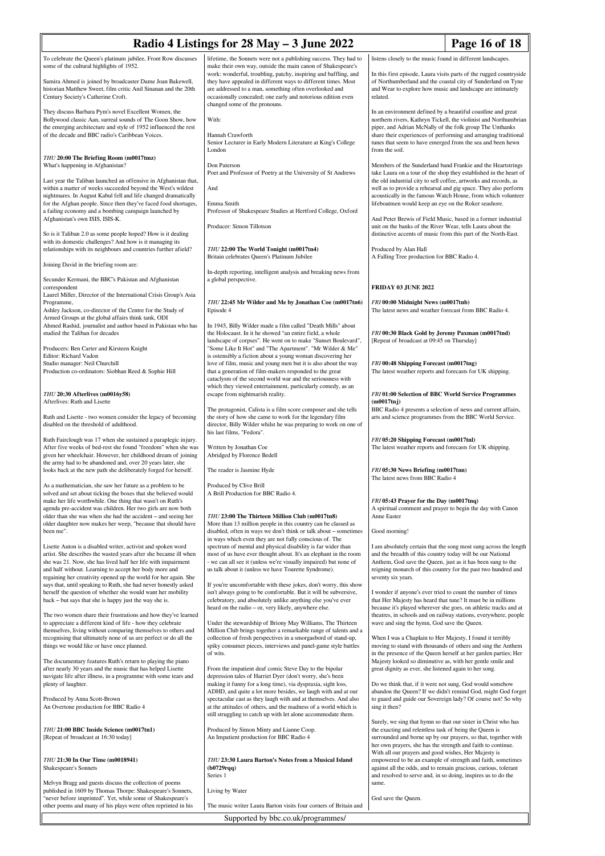| Radio 4 Listings for 28 May - 3 June 2022<br>Page 16 of 18                                                                                                                                                                                                                                                                                                                                       |                                                                                                                                                                                                                                                                                                                                  |                                                                                                                                                                                                                                                                                                                                                                                                   |  |
|--------------------------------------------------------------------------------------------------------------------------------------------------------------------------------------------------------------------------------------------------------------------------------------------------------------------------------------------------------------------------------------------------|----------------------------------------------------------------------------------------------------------------------------------------------------------------------------------------------------------------------------------------------------------------------------------------------------------------------------------|---------------------------------------------------------------------------------------------------------------------------------------------------------------------------------------------------------------------------------------------------------------------------------------------------------------------------------------------------------------------------------------------------|--|
| To celebrate the Queen's platinum jubilee, Front Row discusses<br>some of the cultural highlights of 1952.                                                                                                                                                                                                                                                                                       | lifetime, the Sonnets were not a publishing success. They had to<br>make their own way, outside the main canon of Shakespeare's                                                                                                                                                                                                  | listens closely to the music found in different landscapes.                                                                                                                                                                                                                                                                                                                                       |  |
| Samira Ahmed is joined by broadcaster Dame Joan Bakewell,<br>historian Matthew Sweet, film critic Anil Sinanan and the 20th<br>Century Society's Catherine Croft.                                                                                                                                                                                                                                | work: wonderful, troubling, patchy, inspiring and baffling, and<br>they have appealed in different ways to different times. Most<br>are addressed to a man, something often overlooked and<br>occasionally concealed; one early and notorious edition even<br>changed some of the pronouns.                                      | In this first episode, Laura visits parts of the rugged countryside<br>of Northumberland and the coastal city of Sunderland on Tyne<br>and Wear to explore how music and landscape are intimately<br>related.                                                                                                                                                                                     |  |
| They discuss Barbara Pym's novel Excellent Women, the<br>Bollywood classic Aan, surreal sounds of The Goon Show, how<br>the emerging architecture and style of 1952 influenced the rest<br>of the decade and BBC radio's Caribbean Voices.                                                                                                                                                       | With:<br>Hannah Crawforth<br>Senior Lecturer in Early Modern Literature at King's College                                                                                                                                                                                                                                        | In an environment defined by a beautiful coastline and great<br>northern rivers, Kathryn Tickell, the violinist and Northumbrian<br>piper, and Adrian McNally of the folk group The Unthanks<br>share their experiences of performing and arranging traditional<br>tunes that seem to have emerged from the sea and been hewn                                                                     |  |
| THU 20:00 The Briefing Room (m0017tmz)<br>What's happening in Afghanistan?                                                                                                                                                                                                                                                                                                                       | London<br>Don Paterson                                                                                                                                                                                                                                                                                                           | from the soil.<br>Members of the Sunderland band Frankie and the Heartstrings                                                                                                                                                                                                                                                                                                                     |  |
| Last year the Taliban launched an offensive in Afghanistan that,<br>within a matter of weeks succeeded beyond the West's wildest<br>nightmares. In August Kabul fell and life changed dramatically<br>for the Afghan people. Since then they've faced food shortages,<br>a failing economy and a bombing campaign launched by<br>Afghanistan's own ISIS, ISIS-K.                                 | Poet and Professor of Poetry at the University of St Andrews<br>And<br>Emma Smith<br>Professor of Shakespeare Studies at Hertford College, Oxford                                                                                                                                                                                | take Laura on a tour of the shop they established in the heart of<br>the old industrial city to sell coffee, artworks and records, as<br>well as to provide a rehearsal and gig space. They also perform<br>acoustically in the famous Watch House, from which volunteer<br>lifeboatmen would keep an eye on the Roker seashore.<br>And Peter Brewis of Field Music, based in a former industrial |  |
| So is it Taliban 2.0 as some people hoped? How is it dealing<br>with its domestic challenges? And how is it managing its<br>relationships with its neighbours and countries further afield?                                                                                                                                                                                                      | Producer: Simon Tillotson<br>THU 22:00 The World Tonight (m0017tn4)                                                                                                                                                                                                                                                              | unit on the banks of the River Wear, tells Laura about the<br>distinctive accents of music from this part of the North-East.<br>Produced by Alan Hall                                                                                                                                                                                                                                             |  |
| Joining David in the briefing room are:                                                                                                                                                                                                                                                                                                                                                          | Britain celebrates Queen's Platinum Jubilee                                                                                                                                                                                                                                                                                      | A Falling Tree production for BBC Radio 4.                                                                                                                                                                                                                                                                                                                                                        |  |
| Secunder Kermani, the BBC's Pakistan and Afghanistan<br>correspondent                                                                                                                                                                                                                                                                                                                            | In-depth reporting, intelligent analysis and breaking news from<br>a global perspective.                                                                                                                                                                                                                                         | <b>FRIDAY 03 JUNE 2022</b>                                                                                                                                                                                                                                                                                                                                                                        |  |
| Laurel Miller, Director of the International Crisis Group's Asia<br>Programme,                                                                                                                                                                                                                                                                                                                   | THU 22:45 Mr Wilder and Me by Jonathan Coe (m0017tn6)                                                                                                                                                                                                                                                                            | FRI 00:00 Midnight News (m0017tnb)                                                                                                                                                                                                                                                                                                                                                                |  |
| Ashley Jackson, co-director of the Centre for the Study of<br>Armed Groups at the global affairs think tank, ODI                                                                                                                                                                                                                                                                                 | Episode 4                                                                                                                                                                                                                                                                                                                        | The latest news and weather forecast from BBC Radio 4.                                                                                                                                                                                                                                                                                                                                            |  |
| Ahmed Rashid, journalist and author based in Pakistan who has<br>studied the Taliban for decades<br>Producers: Ben Carter and Kirsteen Knight                                                                                                                                                                                                                                                    | In 1945, Billy Wilder made a film called "Death Mills" about<br>the Holocaust. In it he showed "an entire field, a whole<br>landscape of corpses". He went on to make "Sunset Boulevard",<br>"Some Like It Hot" and "The Apartment". "Mr Wilder & Me"<br>is ostensibly a fiction about a young woman discovering her             | FRI 00:30 Black Gold by Jeremy Paxman (m0017tnd)<br>[Repeat of broadcast at 09:45 on Thursday]                                                                                                                                                                                                                                                                                                    |  |
| Editor: Richard Vadon<br>Studio manager: Neil Churchill<br>Production co-ordinators: Siobhan Reed & Sophie Hill                                                                                                                                                                                                                                                                                  | love of film, music and young men but it is also about the way<br>that a generation of film-makers responded to the great<br>cataclysm of the second world war and the seriousness with<br>which they viewed entertainment, particularly comedy, as an                                                                           | FRI 00:48 Shipping Forecast (m0017tng)<br>The latest weather reports and forecasts for UK shipping.                                                                                                                                                                                                                                                                                               |  |
| <b>THU 20:30 Afterlives (m0016y58)</b><br>Afterlives: Ruth and Lisette                                                                                                                                                                                                                                                                                                                           | escape from nightmarish reality.                                                                                                                                                                                                                                                                                                 | FRI 01:00 Selection of BBC World Service Programmes<br>(m0017tnj)                                                                                                                                                                                                                                                                                                                                 |  |
| Ruth and Lisette - two women consider the legacy of becoming<br>disabled on the threshold of adulthood.                                                                                                                                                                                                                                                                                          | The protagonist, Calista is a film score composer and she tells<br>the story of how she came to work for the legendary film<br>director, Billy Wilder whilst he was preparing to work on one of<br>his last films, "Fedora".                                                                                                     | BBC Radio 4 presents a selection of news and current affairs,<br>arts and science programmes from the BBC World Service.                                                                                                                                                                                                                                                                          |  |
| Ruth Fairclough was 17 when she sustained a paraplegic in jury.<br>After five weeks of bed-rest she found "freedom" when she was<br>given her wheelchair. However, her childhood dream of joining<br>the army had to be abandoned and, over 20 years later, she                                                                                                                                  | Written by Jonathan Coe<br>Abridged by Florence Bedell                                                                                                                                                                                                                                                                           | FRI 05:20 Shipping Forecast (m0017tnl)<br>The latest weather reports and forecasts for UK shipping.                                                                                                                                                                                                                                                                                               |  |
| looks back at the new path she deliberately forged for herself.                                                                                                                                                                                                                                                                                                                                  | The reader is Jasmine Hyde                                                                                                                                                                                                                                                                                                       | FRI 05:30 News Briefing (m0017tnn)<br>The latest news from BBC Radio 4                                                                                                                                                                                                                                                                                                                            |  |
| As a mathematician, she saw her future as a problem to be<br>solved and set about ticking the boxes that she believed would<br>make her life worthwhile. One thing that wasn't on Ruth's<br>agenda pre-accident was children. Her two girls are now both<br>older than she was when she had the accident - and seeing her<br>older daughter now makes her weep, "because that should have        | Produced by Clive Brill<br>A Brill Production for BBC Radio 4.<br>THU 23:00 The Thirteen Million Club (m0017tn8)<br>More than 13 million people in this country can be classed as                                                                                                                                                | FRI 05:43 Prayer for the Day (m0017tnq)<br>A spiritual comment and prayer to begin the day with Canon<br>Anne Easter                                                                                                                                                                                                                                                                              |  |
| been me".                                                                                                                                                                                                                                                                                                                                                                                        | disabled, often in ways we don't think or talk about - sometimes<br>in ways which even they are not fully conscious of. The                                                                                                                                                                                                      | Good morning!                                                                                                                                                                                                                                                                                                                                                                                     |  |
| Lisette Auton is a disabled writer, activist and spoken word<br>artist. She describes the wasted years after she became ill when<br>she was 21. Now, she has lived half her life with impairment<br>and half without. Learning to accept her body more and<br>regaining her creativity opened up the world for her again. She<br>says that, until speaking to Ruth, she had never honestly asked | spectrum of mental and physical disability is far wider than<br>most of us have ever thought about. It's an elephant in the room<br>- we can all see it (unless we're visually impaired) but none of<br>us talk about it (unless we have Tourette Syndrome).<br>If you're uncomfortable with these jokes, don't worry, this show | I am absolutely certain that the song most sung across the length<br>and the breadth of this country today will be our National<br>Anthem, God save the Queen, just as it has been sung to the<br>reigning monarch of this country for the past two hundred and<br>seventy six years.                                                                                                             |  |
| herself the question of whether she would want her mobility<br>back – but says that she is happy just the way she is.<br>The two women share their frustrations and how they've learned                                                                                                                                                                                                          | isn't always going to be comfortable. But it will be subversive,<br>celebratory, and absolutely unlike anything else you've ever<br>heard on the radio - or, very likely, anywhere else.                                                                                                                                         | I wonder if anyone's ever tried to count the number of times<br>that Her Majesty has heard that tune? It must be in millions<br>because it's played wherever she goes, on athletic tracks and at<br>theatres, in schools and on railway stations, everywhere, people                                                                                                                              |  |
| to appreciate a different kind of life - how they celebrate<br>themselves, living without comparing themselves to others and<br>recognising that ultimately none of us are perfect or do all the<br>things we would like or have once planned.                                                                                                                                                   | Under the stewardship of Briony May Williams, The Thirteen<br>Million Club brings together a remarkable range of talents and a<br>collection of fresh perspectives in a smorgasbord of stand-up,<br>spiky consumer pieces, interviews and panel-game style battles<br>of wits.                                                   | wave and sing the hymn, God save the Queen.<br>When I was a Chaplain to Her Majesty, I found it terribly<br>moving to stand with thousands of others and sing the Anthem<br>in the presence of the Queen herself at her garden parties; Her                                                                                                                                                       |  |
| The documentary features Ruth's return to playing the piano<br>after nearly 30 years and the music that has helped Lisette<br>navigate life after illness, in a programme with some tears and<br>plenty of laughter.                                                                                                                                                                             | From the impatient deaf comic Steve Day to the bipolar<br>depression tales of Harriet Dyer (don't worry, she's been<br>making it funny for a long time), via dyspraxia, sight loss,<br>ADHD, and quite a lot more besides, we laugh with and at our                                                                              | Majesty looked so diminutive as, with her gentle smile and<br>great dignity as ever, she listened again to her song.<br>Do we think that, if it were not sung, God would somehow<br>abandon the Queen? If we didn't remind God, might God forget                                                                                                                                                  |  |
| Produced by Anna Scott-Brown<br>An Overtone production for BBC Radio 4                                                                                                                                                                                                                                                                                                                           | spectacular cast as they laugh with and at themselves. And also<br>at the attitudes of others, and the madness of a world which is<br>still struggling to catch up with let alone accommodate them.                                                                                                                              | to guard and guide our Sovereign lady? Of course not! So why<br>sing it then?                                                                                                                                                                                                                                                                                                                     |  |
| THU 21:00 BBC Inside Science (m0017tn1)<br>[Repeat of broadcast at 16:30 today]                                                                                                                                                                                                                                                                                                                  | Produced by Simon Minty and Lianne Coop.<br>An Impatient production for BBC Radio 4                                                                                                                                                                                                                                              | Surely, we sing that hymn so that our sister in Christ who has<br>the exacting and relentless task of being the Queen is<br>surrounded and borne up by our prayers, so that, together with<br>her own prayers, she has the strength and faith to continue.                                                                                                                                        |  |
| THU 21:30 In Our Time (m0018941)<br>Shakespeare's Sonnets                                                                                                                                                                                                                                                                                                                                        | THU 23:30 Laura Barton's Notes from a Musical Island<br>(b0729rqq)<br>Series 1                                                                                                                                                                                                                                                   | With all our prayers and good wishes, Her Majesty is<br>empowered to be an example of strength and faith, sometimes<br>against all the odds, and to remain gracious, curious, tolerant<br>and resolved to serve and, in so doing, inspires us to do the                                                                                                                                           |  |
| Melvyn Bragg and guests discuss the collection of poems<br>published in 1609 by Thomas Thorpe: Shakespeare's Sonnets,<br>"never before imprinted". Yet, while some of Shakespeare's<br>other poems and many of his plays were often reprinted in his                                                                                                                                             | Living by Water<br>The music writer Laura Barton visits four corners of Britain and                                                                                                                                                                                                                                              | same.<br>God save the Queen.                                                                                                                                                                                                                                                                                                                                                                      |  |

The music writer Laura Barton visits four corners of Britain and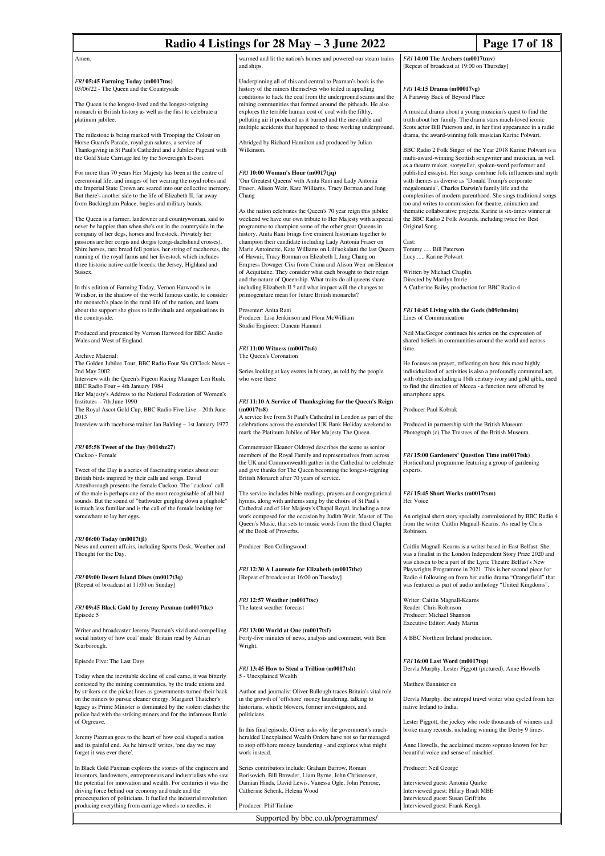# **Radio 4 Listings for 28 May – 3 June 2022** Page 17 of 18

# Amen.

*FRI* **05:45 Farming Today (m0017tns)** 03/06/22 - The Queen and the Countryside

The Queen is the longest-lived and the longest-reigning monarch in British history as well as the first to celebrate a platinum jubilee

The milestone is being marked with Trooping the Colour on Horse Guard's Parade, royal gun salutes, a service of Thanksgiving in St Paul's Cathedral and a Jubilee Pageant with the Gold State Carriage led by the Sovereign's Escort.

For more than 70 years Her Majesty has been at the centre of ceremonial life, and images of her wearing the royal robes and the Imperial State Crown are seared into our collective memory. But there's another side to the life of Elizabeth II, far away from Buckingham Palace, bugles and military bands.

The Queen is a farmer, landowner and countrywoman, said to never be happier than when she's out in the countryside in the company of her dogs, horses and livestock. Privately her passions are her corgis and dorgis (corgi-dachshund crosses), Shire horses, rare breed fell ponies, her string of racehorses, the running of the royal farms and her livestock which includes three historic native cattle breeds; the Jersey, Highland and **Sussex.** 

In this edition of Farming Today, Vernon Harwood is in Windsor, in the shadow of the world famous castle, to consider the monarch's place in the rural life of the nation, and learn about the support she gives to individuals and organisations in the countryside.

Produced and presented by Vernon Harwood for BBC Audio Wales and West of England.

Archive Material:

The Golden Jubilee Tour, BBC Radio Four Six O'Clock News – 2nd May 2002

Interview with the Queen's Pigeon Racing Manager Len Rush, BBC Radio Four – 4th January 1984 Her Majesty's Address to the National Federation of Women's

Institutes – 7th June 1990

The Royal Ascot Gold Cup, BBC Radio Five Live – 20th June 2013

Interview with racehorse trainer Ian Balding – 1st January 1977

*FRI* **05:58 Tweet of the Day (b01sbz27)** Cuckoo - Female

Tweet of the Day is a series of fascinating stories about our British birds inspired by their calls and songs. David Attenborough presents the female Cuckoo. The "cuckoo" call of the male is perhaps one of the most recognisable of all bird bunds. But the sound of "bathwater gurgling down a plughole" is much less familiar and is the call of the female looking for somewhere to lay her eggs.

#### *FRI* **06:00 Today (m0017tjl)**

News and current affairs, including Sports Desk, Weather and Thought for the Day.

*FRI* **09:00 Desert Island Discs (m0017t3q)** [Repeat of broadcast at 11:00 on Sunday]

*FRI* **09:45 Black Gold by Jeremy Paxman (m0017tkc)** Episode 5

Writer and broadcaster Jeremy Paxman's vivid and compelling social history of how coal 'made' Britain read by Adrian Scarborough.

Episode Five: The Last Days

Today when the inevitable decline of coal came, it was bitterly contested by the mining communities, by the trade unions and by strikers on the picket lines as governments turned their back on the miners to pursue cleaner energy. Margaret Thatcher's legacy as Prime Minister is dominated by the violent clashes the police had with the striking miners and for the infamous Battle of Orgreave.

Jeremy Paxman goes to the heart of how coal shaped a nation and its painful end. As he himself writes, 'one day we may forget it was ever there'.

In Black Gold Paxman explores the stories of the engineers and inventors, landowners, entrepreneurs and industrialists who saw the potential for innovation and wealth. For centuries it was the driving force behind our economy and trade and the preoccupation of politicians. It fuelled the industrial revolution producing everything from carriage wheels to needles, it

warmed and lit the nation's homes and powered our steam trains and ships.

Underpinning all of this and central to Paxman's book is the history of the miners themselves who toiled in appalling conditions to hack the coal from the underground seams and the mining communities that formed around the pitheads. He also explores the terrible human cost of coal with the filthy, polluting air it produced as it burned and the inevitable and multiple accidents that happened to those working underground.

Abridged by Richard Hamilton and produced by Julian Wilkinson.

# *FRI* **10:00 Woman's Hour (m0017tjq)**

'Our Greatest Queens' with Anita Rani and Lady Antonia Fraser, Alison Weir, Kate Williams, Tracy Borman and Jung Chang

As the nation celebrates the Queen's 70 year reign this jubilee weekend we have our own tribute to Her Majesty with a special programme to champion some of the other great Queens in history. Anita Rani brings five eminent historians together to champion their candidate including Lady Antonia Fraser on Marie Antoinette, Kate Williams on Liliʻuokalani the last Queen of Hawaii, Tracy Borman on Elizabeth I, Jung Chang on Empress Dowager Cixi from China and Alison Weir on Eleanor of Acquitaine. They consider what each brought to their reign and the nature of Queenship. What traits do all queens share including Elizabeth II ? and what impact will the changes to primogeniture mean for future British monarchs?

Presenter: Anita Rani Producer: Lisa Jenkinson and Flora McWilliam Studio Engineer: Duncan Hannant

*FRI* **11:00 Witness (m0017ts6)** The Queen's Coronation

Series looking at key events in history, as told by the people who were there

#### *FRI* **11:10 A Service of Thanksgiving for the Queen's Reign (m0017ts8)**

A service live from St Paul's Cathedral in London as part of the celebrations across the extended UK Bank Holiday weekend to mark the Platinum Jubilee of Her Majesty The Queen.

Commentator Eleanor Oldroyd describes the scene as senior members of the Royal Family and representatives from across the UK and Commonwealth gather in the Cathedral to celebrate and give thanks for The Queen becoming the longest-reigning British Monarch after 70 years of service.

The service includes bible readings, prayers and congregational hymns, along with anthems sung by the choirs of St Paul's Cathedral and of Her Majesty's Chapel Royal, including a new work composed for the occasion by Judith Weir, Master of The Queen's Music, that sets to music words from the third Chapter of the Book of Proverbs.

Producer: Ben Collingwood.

*FRI* **12:30 A Laureate for Elizabeth (m0017thc)** [Repeat of broadcast at 16:00 on Tuesday]

*FRI* **12:57 Weather (m0017tsc)** The latest weather forecast

*FRI* **13:00 World at One (m0017tsf)** Forty-five minutes of news, analysis and comment, with Ben Wright.

*FRI* **13:45 How to Steal a Trillion (m0017tsh)** 5 - Unexplained Wealth

Author and journalist Oliver Bullough traces Britain's vital role in the growth of 'offshore' money laundering, talking to historians, whistle blowers, former investigators, and politicians.

In this final episode, Oliver asks why the government's muchheralded Unexplained Wealth Orders have not so far managed to stop offshore money laundering - and explores what might work instead.

Series contributors include: Graham Barrow, Roman Borisovich, Bill Browder, Liam Byrne, John Christensen, Damian Hinds, David Lewis, Vanessa Ogle, John Penrose, Catherine Schenk, Helena Wood

Producer: Phil Tinline

Supported by bbc.co.uk/programmes/

*FRI* **14:00 The Archers (m0017tmv)** [Repeat of broadcast at 19:00 on Thursday]

*FRI* **14:15 Drama (m00017vg)** A Faraway Back of Beyond Place

A musical drama about a young musician's quest to find the truth about her family. The drama stars much-loved iconic Scots actor Bill Paterson and, in her first appearance in a radio drama, the award-winning folk musician Karine Polwart.

BBC Radio 2 Folk Singer of the Year 2018 Karine Polwart is a multi-award-winning Scottish songwriter and musician, as well as a theatre maker, storyteller, spoken-word performer and published essayist. Her songs combine folk influences and myth with themes as diverse as "Donald Trump's corporate megalomania", Charles Darwin's family life and the complexities of modern parenthood. She sings traditional songs too and writes to commission for theatre, animation and thematic collaborative projects. Karine is six-times winner at the BBC Radio 2 Folk Awards, including twice for Best Original Song.

Cast: Tommy ..... Bill Paterson Lucy ..... Karine Polwart

Written by Michael Chaplin. Directed by Marilyn Imrie A Catherine Bailey production for BBC Radio 4

*FRI* **14:45 Living with the Gods (b09c0m4m)** Lines of Communication

Neil MacGregor continues his series on the expression of shared beliefs in communities around the world and across time.

He focuses on prayer, reflecting on how this most highly individualized of activities is also a profoundly communal act, with objects including a 16th century ivory and gold qibla, used to find the direction of Mecca - a function now offered by smartphone apps.

Producer Paul Kobrak

Produced in partnership with the British Museum Photograph (c) The Trustees of the British Museum.

*FRI* **15:00 Gardeners' Question Time (m0017tsk)** Horticultural programme featuring a group of gardening experts.

*FRI* **15:45 Short Works (m0017tsm)** Her Voice

An original short story specially commissioned by BBC Radio 4 from the writer Caitlin Magnall-Kearns. As read by Chris Robinson.

Caitlin Magnall-Kearns is a writer based in East Belfast. She was a finalist in the London Independent Story Prize 2020 and was chosen to be a part of the Lyric Theatre Belfast's New Playwrights Programme in 2021. This is her second piece for Radio 4 following on from her audio drama "Orangefield" that was featured as part of audio anthology "United Kingdoms".

Writer: Caitlin Magnall-Kearns Reader: Chris Robinson Producer: Michael Shannon Executive Editor: Andy Martin

A BBC Northern Ireland production.

*FRI* **16:00 Last Word (m0017tsp)** Dervla Murphy, Lester Piggott (pictured), Anne Howells

Matthew Bannister on

Dervla Murphy, the intrepid travel writer who cycled from her native Ireland to India.

Lester Piggott, the jockey who rode thousands of winners and broke many records, including winning the Derby 9 times.

Anne Howells, the acclaimed mezzo soprano known for her beautiful voice and sense of mischief.

Producer: Neil George

Interviewed guest: Antonia Quirke Interviewed guest: Hilary Bradt MBE Interviewed guest: Susan Griffiths Interviewed guest: Frank Keogh